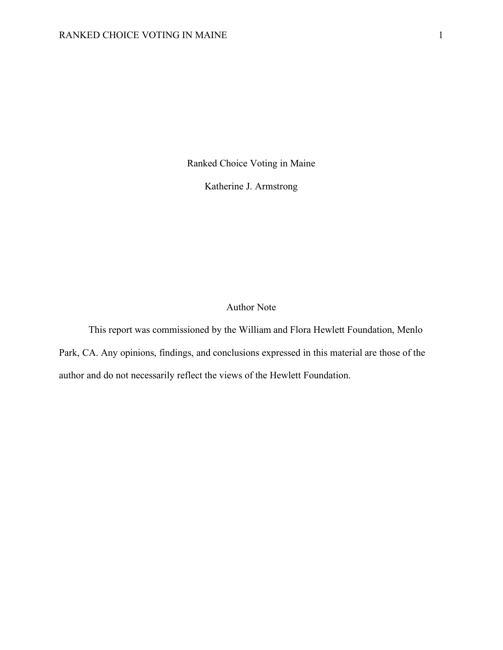Ranked Choice Voting in Maine

Katherine J. Armstrong

# Author Note

This report was commissioned by the William and Flora Hewlett Foundation, Menlo Park, CA. Any opinions, findings, and conclusions expressed in this material are those of the author and do not necessarily reflect the views of the Hewlett Foundation.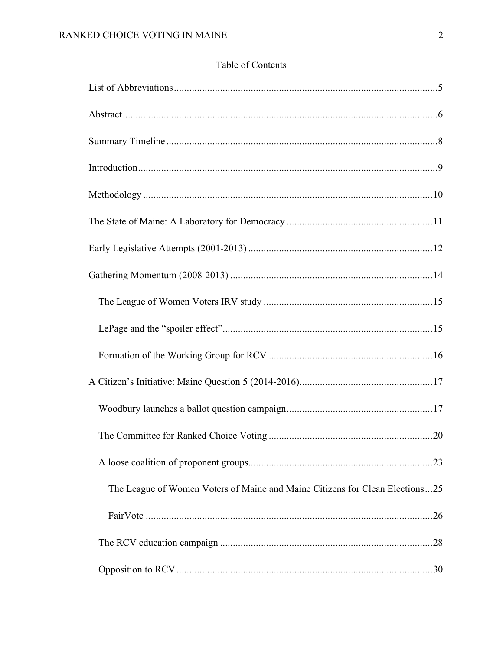# Table of Contents

| The League of Women Voters of Maine and Maine Citizens for Clean Elections25 |  |
|------------------------------------------------------------------------------|--|
|                                                                              |  |
|                                                                              |  |
|                                                                              |  |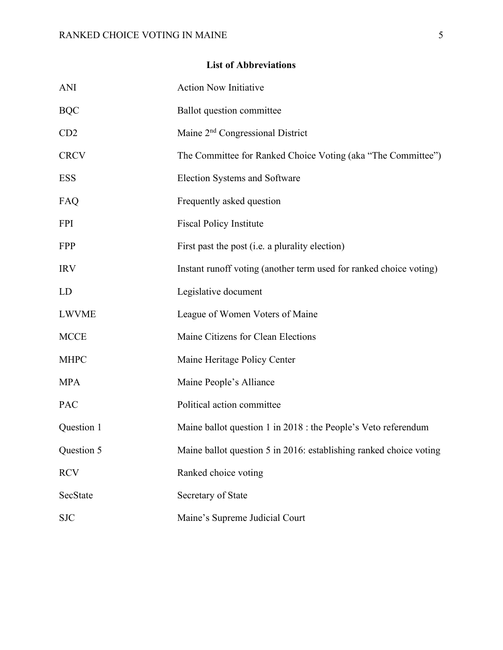# **List of Abbreviations**

| <b>ANI</b>   | <b>Action Now Initiative</b>                                       |
|--------------|--------------------------------------------------------------------|
| <b>BQC</b>   | <b>Ballot</b> question committee                                   |
| CD2          | Maine 2 <sup>nd</sup> Congressional District                       |
| <b>CRCV</b>  | The Committee for Ranked Choice Voting (aka "The Committee")       |
| <b>ESS</b>   | Election Systems and Software                                      |
| FAQ          | Frequently asked question                                          |
| <b>FPI</b>   | <b>Fiscal Policy Institute</b>                                     |
| <b>FPP</b>   | First past the post ( <i>i.e.</i> a plurality election)            |
| <b>IRV</b>   | Instant runoff voting (another term used for ranked choice voting) |
| LD           | Legislative document                                               |
| <b>LWVME</b> | League of Women Voters of Maine                                    |
| <b>MCCE</b>  | Maine Citizens for Clean Elections                                 |
| <b>MHPC</b>  | Maine Heritage Policy Center                                       |
| <b>MPA</b>   | Maine People's Alliance                                            |
| PAC          | Political action committee                                         |
| Question 1   | Maine ballot question 1 in 2018 : the People's Veto referendum     |
| Question 5   | Maine ballot question 5 in 2016: establishing ranked choice voting |
| <b>RCV</b>   | Ranked choice voting                                               |
| SecState     | Secretary of State                                                 |
| <b>SJC</b>   | Maine's Supreme Judicial Court                                     |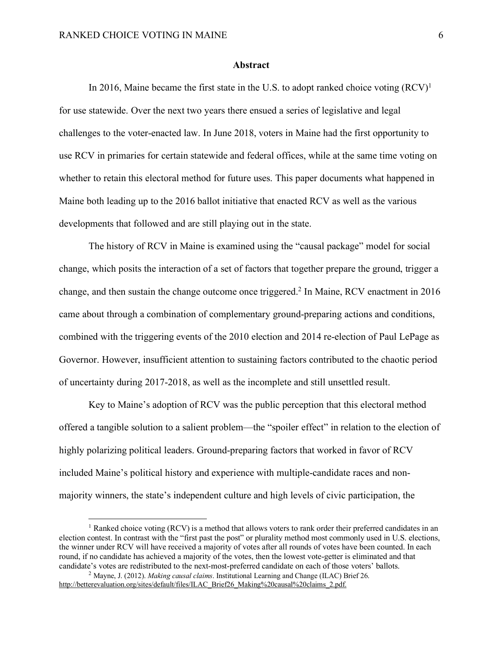#### **Abstract**

In 2016, Maine became the first state in the U.S. to adopt ranked choice voting  $(RCV)^1$ for use statewide. Over the next two years there ensued a series of legislative and legal challenges to the voter-enacted law. In June 2018, voters in Maine had the first opportunity to use RCV in primaries for certain statewide and federal offices, while at the same time voting on whether to retain this electoral method for future uses. This paper documents what happened in Maine both leading up to the 2016 ballot initiative that enacted RCV as well as the various developments that followed and are still playing out in the state.

The history of RCV in Maine is examined using the "causal package" model for social change, which posits the interaction of a set of factors that together prepare the ground, trigger a change, and then sustain the change outcome once triggered. <sup>2</sup> In Maine, RCV enactment in 2016 came about through a combination of complementary ground-preparing actions and conditions, combined with the triggering events of the 2010 election and 2014 re-election of Paul LePage as Governor. However, insufficient attention to sustaining factors contributed to the chaotic period of uncertainty during 2017-2018, as well as the incomplete and still unsettled result.

Key to Maine's adoption of RCV was the public perception that this electoral method offered a tangible solution to a salient problem—the "spoiler effect" in relation to the election of highly polarizing political leaders. Ground-preparing factors that worked in favor of RCV included Maine's political history and experience with multiple-candidate races and nonmajority winners, the state's independent culture and high levels of civic participation, the

<sup>&</sup>lt;sup>1</sup> Ranked choice voting (RCV) is a method that allows voters to rank order their preferred candidates in an election contest. In contrast with the "first past the post" or plurality method most commonly used in U.S. elections, the winner under RCV will have received a majority of votes after all rounds of votes have been counted. In each round, if no candidate has achieved a majority of the votes, then the lowest vote-getter is eliminated and that candidate's votes are redistributed to the next-most-preferred candidate on each of those voters' ballots.

<sup>2</sup> Mayne, J. (2012). *Making causal claims*. Institutional Learning and Change (ILAC) Brief 26. http://betterevaluation.org/sites/default/files/ILAC\_Brief26\_Making%20causal%20claims\_2.pdf.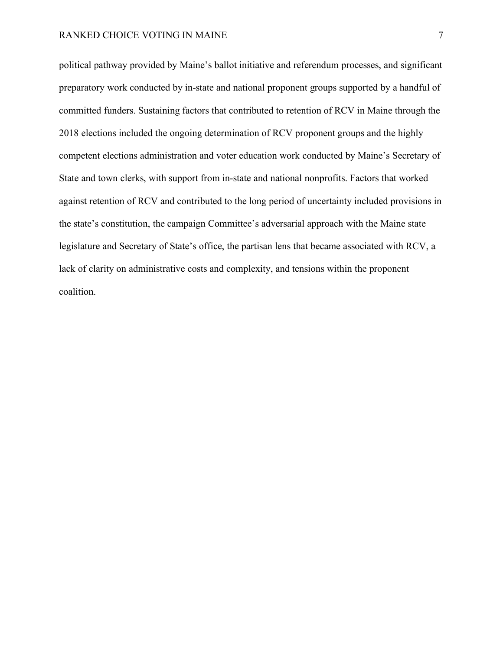political pathway provided by Maine's ballot initiative and referendum processes, and significant preparatory work conducted by in-state and national proponent groups supported by a handful of committed funders. Sustaining factors that contributed to retention of RCV in Maine through the 2018 elections included the ongoing determination of RCV proponent groups and the highly competent elections administration and voter education work conducted by Maine's Secretary of State and town clerks, with support from in-state and national nonprofits. Factors that worked against retention of RCV and contributed to the long period of uncertainty included provisions in the state's constitution, the campaign Committee's adversarial approach with the Maine state legislature and Secretary of State's office, the partisan lens that became associated with RCV, a lack of clarity on administrative costs and complexity, and tensions within the proponent coalition.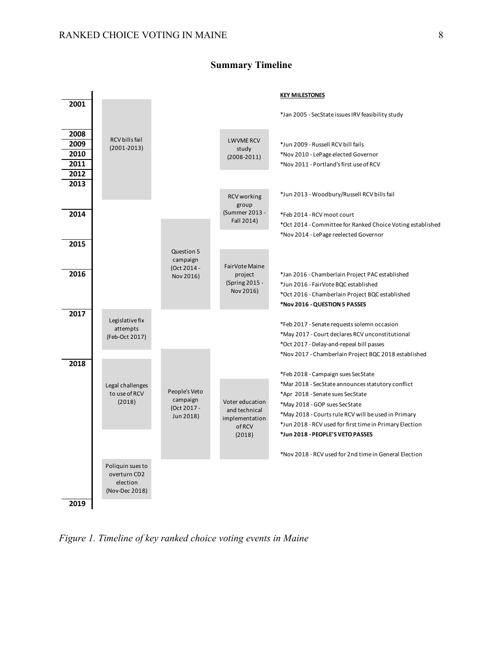

# **Summary Timeline**

*Figure 1. Timeline of key ranked choice voting events in Maine*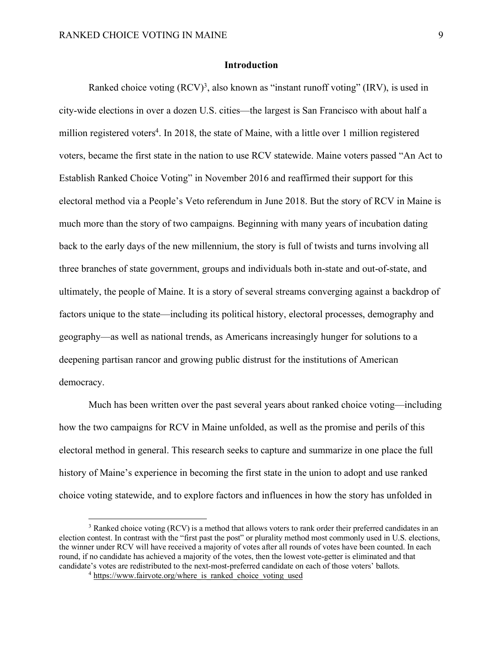# **Introduction**

Ranked choice voting  $(RCV)^3$ , also known as "instant runoff voting" (IRV), is used in city-wide elections in over a dozen U.S. cities—the largest is San Francisco with about half a million registered voters<sup>4</sup>. In 2018, the state of Maine, with a little over 1 million registered voters, became the first state in the nation to use RCV statewide. Maine voters passed "An Act to Establish Ranked Choice Voting" in November 2016 and reaffirmed their support for this electoral method via a People's Veto referendum in June 2018. But the story of RCV in Maine is much more than the story of two campaigns. Beginning with many years of incubation dating back to the early days of the new millennium, the story is full of twists and turns involving all three branches of state government, groups and individuals both in-state and out-of-state, and ultimately, the people of Maine. It is a story of several streams converging against a backdrop of factors unique to the state—including its political history, electoral processes, demography and geography—as well as national trends, as Americans increasingly hunger for solutions to a deepening partisan rancor and growing public distrust for the institutions of American democracy.

Much has been written over the past several years about ranked choice voting—including how the two campaigns for RCV in Maine unfolded, as well as the promise and perils of this electoral method in general. This research seeks to capture and summarize in one place the full history of Maine's experience in becoming the first state in the union to adopt and use ranked choice voting statewide, and to explore factors and influences in how the story has unfolded in

<sup>&</sup>lt;sup>3</sup> Ranked choice voting (RCV) is a method that allows voters to rank order their preferred candidates in an election contest. In contrast with the "first past the post" or plurality method most commonly used in U.S. elections, the winner under RCV will have received a majority of votes after all rounds of votes have been counted. In each round, if no candidate has achieved a majority of the votes, then the lowest vote-getter is eliminated and that candidate's votes are redistributed to the next-most-preferred candidate on each of those voters' ballots.

<sup>&</sup>lt;sup>4</sup> https://www.fairvote.org/where is ranked choice voting used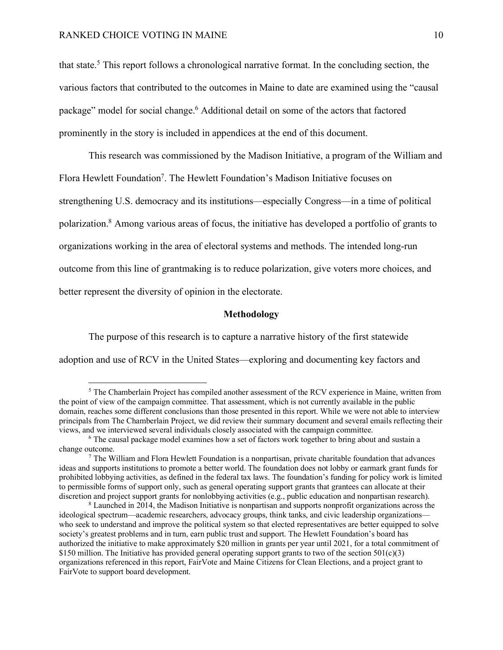that state. <sup>5</sup> This report follows a chronological narrative format. In the concluding section, the various factors that contributed to the outcomes in Maine to date are examined using the "causal package" model for social change.<sup>6</sup> Additional detail on some of the actors that factored prominently in the story is included in appendices at the end of this document.

This research was commissioned by the Madison Initiative, a program of the William and Flora Hewlett Foundation<sup>7</sup>. The Hewlett Foundation's Madison Initiative focuses on strengthening U.S. democracy and its institutions—especially Congress—in a time of political polarization.8 Among various areas of focus, the initiative has developed a portfolio of grants to organizations working in the area of electoral systems and methods. The intended long-run outcome from this line of grantmaking is to reduce polarization, give voters more choices, and better represent the diversity of opinion in the electorate.

#### **Methodology**

The purpose of this research is to capture a narrative history of the first statewide adoption and use of RCV in the United States—exploring and documenting key factors and

<sup>&</sup>lt;sup>5</sup> The Chamberlain Project has compiled another assessment of the RCV experience in Maine, written from the point of view of the campaign committee. That assessment, which is not currently available in the public domain, reaches some different conclusions than those presented in this report. While we were not able to interview principals from The Chamberlain Project, we did review their summary document and several emails reflecting their views, and we interviewed several individuals closely associated with the campaign committee.

<sup>6</sup> The causal package model examines how a set of factors work together to bring about and sustain a change outcome.

<sup>7</sup> The William and Flora Hewlett Foundation is a nonpartisan, private charitable foundation that advances ideas and supports institutions to promote a better world. The foundation does not lobby or earmark grant funds for prohibited lobbying activities, as defined in the federal tax laws. The foundation's funding for policy work is limited to permissible forms of support only, such as general operating support grants that grantees can allocate at their discretion and project support grants for nonlobbying activities (e.g., public education and nonpartisan research).

<sup>8</sup> Launched in 2014, the Madison Initiative is nonpartisan and supports nonprofit organizations across the ideological spectrum—academic researchers, advocacy groups, think tanks, and civic leadership organizations who seek to understand and improve the political system so that elected representatives are better equipped to solve society's greatest problems and in turn, earn public trust and support. The Hewlett Foundation's board has authorized the initiative to make approximately \$20 million in grants per year until 2021, for a total commitment of \$150 million. The Initiative has provided general operating support grants to two of the section  $501(c)(3)$ organizations referenced in this report, FairVote and Maine Citizens for Clean Elections, and a project grant to FairVote to support board development.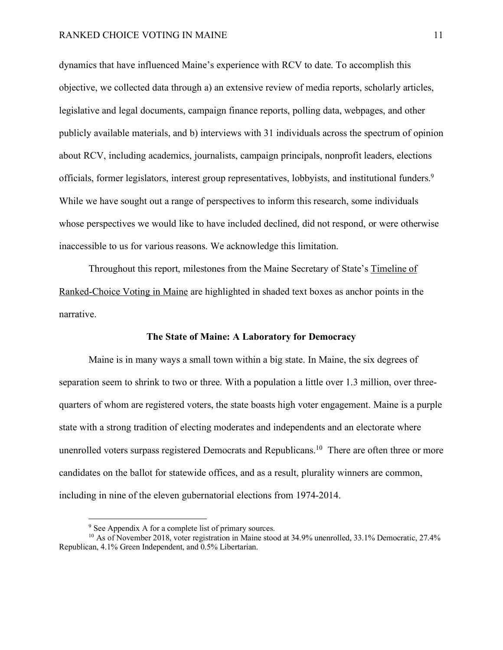dynamics that have influenced Maine's experience with RCV to date. To accomplish this objective, we collected data through a) an extensive review of media reports, scholarly articles, legislative and legal documents, campaign finance reports, polling data, webpages, and other publicly available materials, and b) interviews with 31 individuals across the spectrum of opinion about RCV, including academics, journalists, campaign principals, nonprofit leaders, elections officials, former legislators, interest group representatives, lobbyists, and institutional funders.<sup>9</sup> While we have sought out a range of perspectives to inform this research, some individuals whose perspectives we would like to have included declined, did not respond, or were otherwise inaccessible to us for various reasons. We acknowledge this limitation.

Throughout this report, milestones from the Maine Secretary of State's Timeline of Ranked-Choice Voting in Maine are highlighted in shaded text boxes as anchor points in the narrative.

#### **The State of Maine: A Laboratory for Democracy**

Maine is in many ways a small town within a big state. In Maine, the six degrees of separation seem to shrink to two or three. With a population a little over 1.3 million, over threequarters of whom are registered voters, the state boasts high voter engagement. Maine is a purple state with a strong tradition of electing moderates and independents and an electorate where unenrolled voters surpass registered Democrats and Republicans.<sup>10</sup> There are often three or more candidates on the ballot for statewide offices, and as a result, plurality winners are common, including in nine of the eleven gubernatorial elections from 1974-2014.

<sup>&</sup>lt;sup>9</sup> See Appendix A for a complete list of primary sources.

<sup>&</sup>lt;sup>10</sup> As of November 2018, voter registration in Maine stood at 34.9% unenrolled, 33.1% Democratic, 27.4% Republican, 4.1% Green Independent, and 0.5% Libertarian.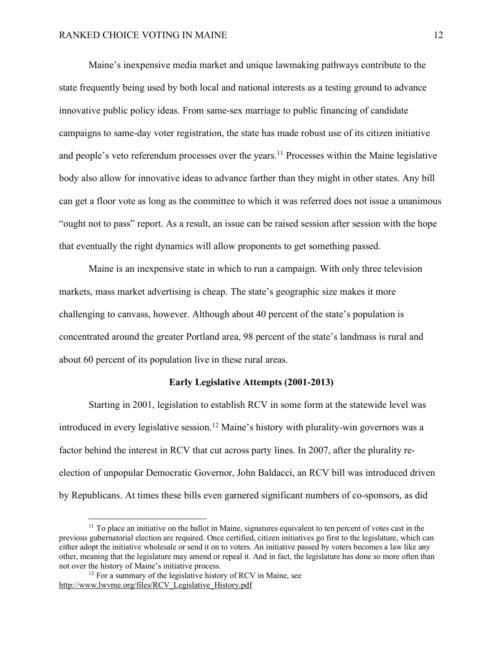Maine's inexpensive media market and unique lawmaking pathways contribute to the state frequently being used by both local and national interests as a testing ground to advance innovative public policy ideas. From same-sex marriage to public financing of candidate campaigns to same-day voter registration, the state has made robust use of its citizen initiative and people's veto referendum processes over the years.<sup>11</sup> Processes within the Maine legislative body also allow for innovative ideas to advance farther than they might in other states. Any bill can get a floor vote as long as the committee to which it was referred does not issue a unanimous "ought not to pass" report. As a result, an issue can be raised session after session with the hope that eventually the right dynamics will allow proponents to get something passed.

Maine is an inexpensive state in which to run a campaign. With only three television markets, mass market advertising is cheap. The state's geographic size makes it more challenging to canvass, however. Although about 40 percent of the state's population is concentrated around the greater Portland area, 98 percent of the state's landmass is rural and about 60 percent of its population live in these rural areas.

#### **Early Legislative Attempts (2001-2013)**

Starting in 2001, legislation to establish RCV in some form at the statewide level was introduced in every legislative session.<sup>12</sup> Maine's history with plurality-win governors was a factor behind the interest in RCV that cut across party lines. In 2007, after the plurality reelection of unpopular Democratic Governor, John Baldacci, an RCV bill was introduced driven by Republicans. At times these bills even garnered significant numbers of co-sponsors, as did

<sup>&</sup>lt;sup>11</sup> To place an initiative on the ballot in Maine, signatures equivalent to ten percent of votes cast in the previous gubernatorial election are required. Once certified, citizen initiatives go first to the legislature, which can either adopt the initiative wholesale or send it on to voters. An initiative passed by voters becomes a law like any other, meaning that the legislature may amend or repeal it. And in fact, the legislature has done so more often than not over the history of Maine's initiative process.

 $12$  For a summary of the legislative history of RCV in Maine, see http://www.lwvme.org/files/RCV\_Legislative\_History.pdf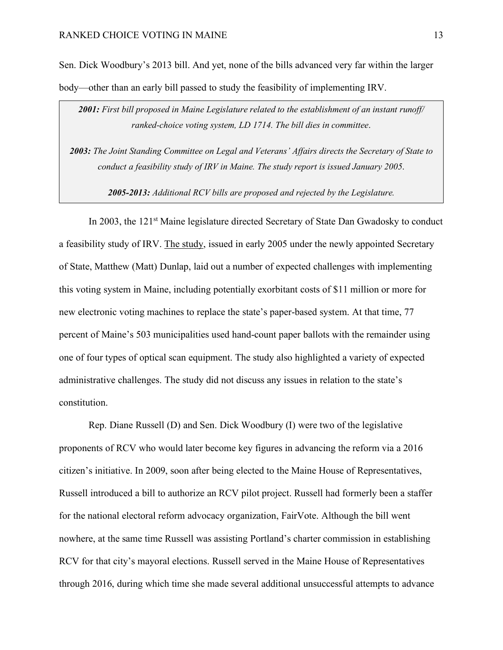Sen. Dick Woodbury's 2013 bill. And yet, none of the bills advanced very far within the larger body—other than an early bill passed to study the feasibility of implementing IRV.

*2001: First bill proposed in Maine Legislature related to the establishment of an instant runoff/ ranked-choice voting system, LD 1714. The bill dies in committee*.

*2003: The Joint Standing Committee on Legal and Veterans' Affairs directs the Secretary of State to conduct a feasibility study of IRV in Maine. The study report is issued January 2005*.

*2005-2013: Additional RCV bills are proposed and rejected by the Legislature.*

In 2003, the 121<sup>st</sup> Maine legislature directed Secretary of State Dan Gwadosky to conduct a feasibility study of IRV. The study, issued in early 2005 under the newly appointed Secretary of State, Matthew (Matt) Dunlap, laid out a number of expected challenges with implementing this voting system in Maine, including potentially exorbitant costs of \$11 million or more for new electronic voting machines to replace the state's paper-based system. At that time, 77 percent of Maine's 503 municipalities used hand-count paper ballots with the remainder using one of four types of optical scan equipment. The study also highlighted a variety of expected administrative challenges. The study did not discuss any issues in relation to the state's constitution.

Rep. Diane Russell (D) and Sen. Dick Woodbury (I) were two of the legislative proponents of RCV who would later become key figures in advancing the reform via a 2016 citizen's initiative. In 2009, soon after being elected to the Maine House of Representatives, Russell introduced a bill to authorize an RCV pilot project. Russell had formerly been a staffer for the national electoral reform advocacy organization, FairVote. Although the bill went nowhere, at the same time Russell was assisting Portland's charter commission in establishing RCV for that city's mayoral elections. Russell served in the Maine House of Representatives through 2016, during which time she made several additional unsuccessful attempts to advance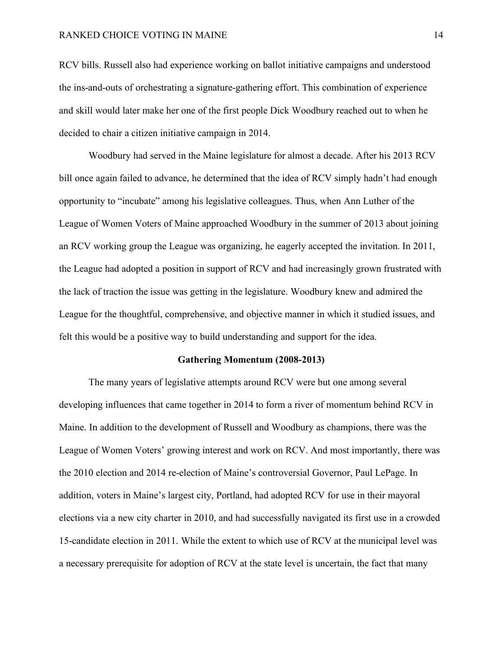RCV bills. Russell also had experience working on ballot initiative campaigns and understood the ins-and-outs of orchestrating a signature-gathering effort. This combination of experience and skill would later make her one of the first people Dick Woodbury reached out to when he decided to chair a citizen initiative campaign in 2014.

Woodbury had served in the Maine legislature for almost a decade. After his 2013 RCV bill once again failed to advance, he determined that the idea of RCV simply hadn't had enough opportunity to "incubate" among his legislative colleagues. Thus, when Ann Luther of the League of Women Voters of Maine approached Woodbury in the summer of 2013 about joining an RCV working group the League was organizing, he eagerly accepted the invitation. In 2011, the League had adopted a position in support of RCV and had increasingly grown frustrated with the lack of traction the issue was getting in the legislature. Woodbury knew and admired the League for the thoughtful, comprehensive, and objective manner in which it studied issues, and felt this would be a positive way to build understanding and support for the idea.

#### **Gathering Momentum (2008-2013)**

The many years of legislative attempts around RCV were but one among several developing influences that came together in 2014 to form a river of momentum behind RCV in Maine. In addition to the development of Russell and Woodbury as champions, there was the League of Women Voters' growing interest and work on RCV. And most importantly, there was the 2010 election and 2014 re-election of Maine's controversial Governor, Paul LePage. In addition, voters in Maine's largest city, Portland, had adopted RCV for use in their mayoral elections via a new city charter in 2010, and had successfully navigated its first use in a crowded 15-candidate election in 2011. While the extent to which use of RCV at the municipal level was a necessary prerequisite for adoption of RCV at the state level is uncertain, the fact that many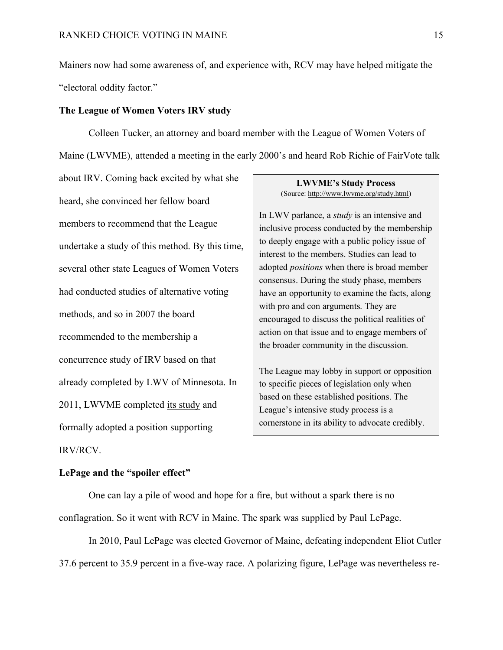Mainers now had some awareness of, and experience with, RCV may have helped mitigate the "electoral oddity factor."

## **The League of Women Voters IRV study**

Colleen Tucker, an attorney and board member with the League of Women Voters of Maine (LWVME), attended a meeting in the early 2000's and heard Rob Richie of FairVote talk

about IRV. Coming back excited by what she heard, she convinced her fellow board members to recommend that the League undertake a study of this method. By this time, several other state Leagues of Women Voters had conducted studies of alternative voting methods, and so in 2007 the board recommended to the membership a concurrence study of IRV based on that already completed by LWV of Minnesota. In 2011, LWVME completed its study and formally adopted a position supporting IRV/RCV.

# **LWVME's Study Process** (Source: http://www.lwvme.org/study.html)

In LWV parlance, a *study* is an intensive and inclusive process conducted by the membership to deeply engage with a public policy issue of interest to the members. Studies can lead to adopted *positions* when there is broad member consensus. During the study phase, members have an opportunity to examine the facts, along with pro and con arguments. They are encouraged to discuss the political realities of action on that issue and to engage members of the broader community in the discussion.

The League may lobby in support or opposition to specific pieces of legislation only when based on these established positions. The League's intensive study process is a cornerstone in its ability to advocate credibly.

### **LePage and the "spoiler effect"**

One can lay a pile of wood and hope for a fire, but without a spark there is no conflagration. So it went with RCV in Maine. The spark was supplied by Paul LePage.

In 2010, Paul LePage was elected Governor of Maine, defeating independent Eliot Cutler 37.6 percent to 35.9 percent in a five-way race. A polarizing figure, LePage was nevertheless re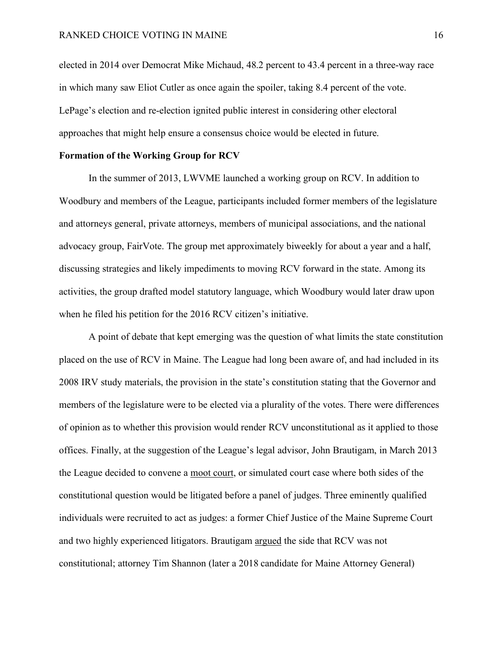elected in 2014 over Democrat Mike Michaud, 48.2 percent to 43.4 percent in a three-way race in which many saw Eliot Cutler as once again the spoiler, taking 8.4 percent of the vote. LePage's election and re-election ignited public interest in considering other electoral approaches that might help ensure a consensus choice would be elected in future.

#### **Formation of the Working Group for RCV**

In the summer of 2013, LWVME launched a working group on RCV. In addition to Woodbury and members of the League, participants included former members of the legislature and attorneys general, private attorneys, members of municipal associations, and the national advocacy group, FairVote. The group met approximately biweekly for about a year and a half, discussing strategies and likely impediments to moving RCV forward in the state. Among its activities, the group drafted model statutory language, which Woodbury would later draw upon when he filed his petition for the 2016 RCV citizen's initiative.

A point of debate that kept emerging was the question of what limits the state constitution placed on the use of RCV in Maine. The League had long been aware of, and had included in its 2008 IRV study materials, the provision in the state's constitution stating that the Governor and members of the legislature were to be elected via a plurality of the votes. There were differences of opinion as to whether this provision would render RCV unconstitutional as it applied to those offices. Finally, at the suggestion of the League's legal advisor, John Brautigam, in March 2013 the League decided to convene a moot court, or simulated court case where both sides of the constitutional question would be litigated before a panel of judges. Three eminently qualified individuals were recruited to act as judges: a former Chief Justice of the Maine Supreme Court and two highly experienced litigators. Brautigam argued the side that RCV was not constitutional; attorney Tim Shannon (later a 2018 candidate for Maine Attorney General)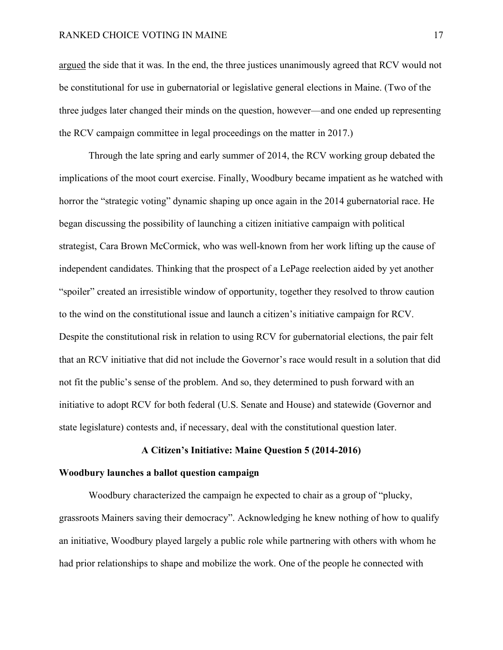argued the side that it was. In the end, the three justices unanimously agreed that RCV would not be constitutional for use in gubernatorial or legislative general elections in Maine. (Two of the three judges later changed their minds on the question, however—and one ended up representing the RCV campaign committee in legal proceedings on the matter in 2017.)

Through the late spring and early summer of 2014, the RCV working group debated the implications of the moot court exercise. Finally, Woodbury became impatient as he watched with horror the "strategic voting" dynamic shaping up once again in the 2014 gubernatorial race. He began discussing the possibility of launching a citizen initiative campaign with political strategist, Cara Brown McCormick, who was well-known from her work lifting up the cause of independent candidates. Thinking that the prospect of a LePage reelection aided by yet another "spoiler" created an irresistible window of opportunity, together they resolved to throw caution to the wind on the constitutional issue and launch a citizen's initiative campaign for RCV. Despite the constitutional risk in relation to using RCV for gubernatorial elections, the pair felt that an RCV initiative that did not include the Governor's race would result in a solution that did not fit the public's sense of the problem. And so, they determined to push forward with an initiative to adopt RCV for both federal (U.S. Senate and House) and statewide (Governor and state legislature) contests and, if necessary, deal with the constitutional question later.

### **A Citizen's Initiative: Maine Question 5 (2014-2016)**

### **Woodbury launches a ballot question campaign**

Woodbury characterized the campaign he expected to chair as a group of "plucky, grassroots Mainers saving their democracy". Acknowledging he knew nothing of how to qualify an initiative, Woodbury played largely a public role while partnering with others with whom he had prior relationships to shape and mobilize the work. One of the people he connected with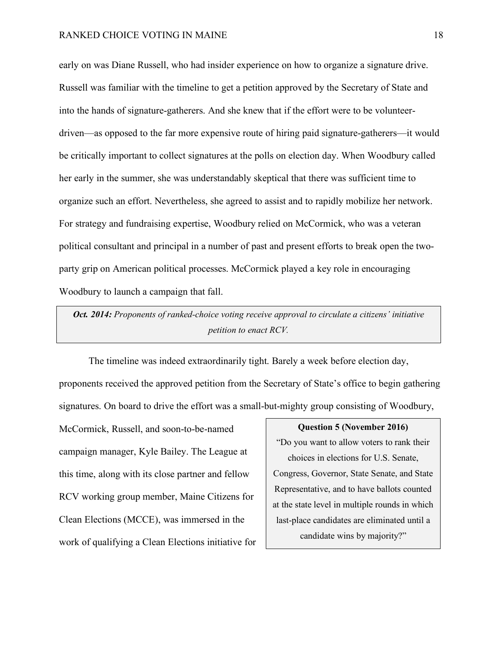early on was Diane Russell, who had insider experience on how to organize a signature drive. Russell was familiar with the timeline to get a petition approved by the Secretary of State and into the hands of signature-gatherers. And she knew that if the effort were to be volunteerdriven—as opposed to the far more expensive route of hiring paid signature-gatherers—it would be critically important to collect signatures at the polls on election day. When Woodbury called her early in the summer, she was understandably skeptical that there was sufficient time to organize such an effort. Nevertheless, she agreed to assist and to rapidly mobilize her network. For strategy and fundraising expertise, Woodbury relied on McCormick, who was a veteran political consultant and principal in a number of past and present efforts to break open the twoparty grip on American political processes. McCormick played a key role in encouraging Woodbury to launch a campaign that fall.

*Oct. 2014: Proponents of ranked-choice voting receive approval to circulate a citizens' initiative petition to enact RCV.*

The timeline was indeed extraordinarily tight. Barely a week before election day, proponents received the approved petition from the Secretary of State's office to begin gathering signatures. On board to drive the effort was a small-but-mighty group consisting of Woodbury,

McCormick, Russell, and soon-to-be-named campaign manager, Kyle Bailey. The League at this time, along with its close partner and fellow RCV working group member, Maine Citizens for Clean Elections (MCCE), was immersed in the work of qualifying a Clean Elections initiative for

#### **Question 5 (November 2016)**

"Do you want to allow voters to rank their choices in elections for U.S. Senate, Congress, Governor, State Senate, and State Representative, and to have ballots counted at the state level in multiple rounds in which last-place candidates are eliminated until a candidate wins by majority?"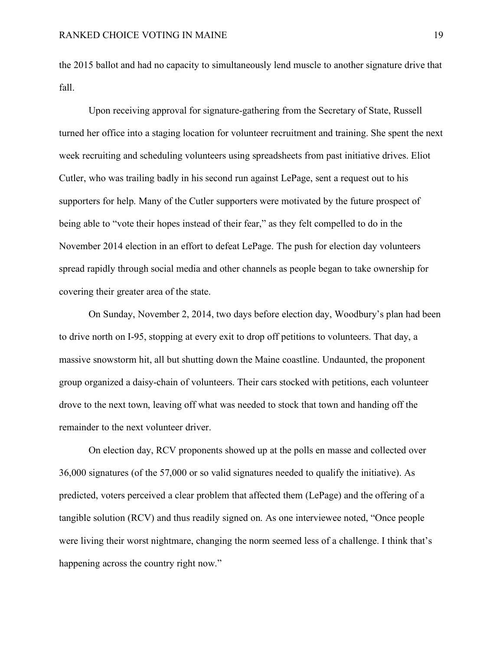the 2015 ballot and had no capacity to simultaneously lend muscle to another signature drive that fall.

Upon receiving approval for signature-gathering from the Secretary of State, Russell turned her office into a staging location for volunteer recruitment and training. She spent the next week recruiting and scheduling volunteers using spreadsheets from past initiative drives. Eliot Cutler, who was trailing badly in his second run against LePage, sent a request out to his supporters for help. Many of the Cutler supporters were motivated by the future prospect of being able to "vote their hopes instead of their fear," as they felt compelled to do in the November 2014 election in an effort to defeat LePage. The push for election day volunteers spread rapidly through social media and other channels as people began to take ownership for covering their greater area of the state.

On Sunday, November 2, 2014, two days before election day, Woodbury's plan had been to drive north on I-95, stopping at every exit to drop off petitions to volunteers. That day, a massive snowstorm hit, all but shutting down the Maine coastline. Undaunted, the proponent group organized a daisy-chain of volunteers. Their cars stocked with petitions, each volunteer drove to the next town, leaving off what was needed to stock that town and handing off the remainder to the next volunteer driver.

On election day, RCV proponents showed up at the polls en masse and collected over 36,000 signatures (of the 57,000 or so valid signatures needed to qualify the initiative). As predicted, voters perceived a clear problem that affected them (LePage) and the offering of a tangible solution (RCV) and thus readily signed on. As one interviewee noted, "Once people were living their worst nightmare, changing the norm seemed less of a challenge. I think that's happening across the country right now."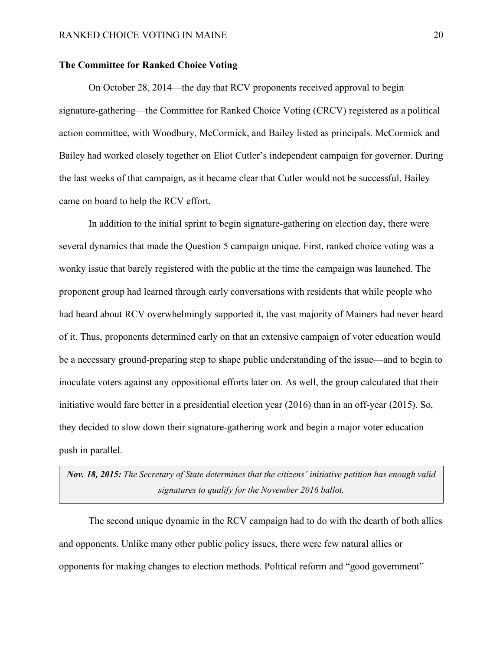## **The Committee for Ranked Choice Voting**

On October 28, 2014—the day that RCV proponents received approval to begin signature-gathering—the Committee for Ranked Choice Voting (CRCV) registered as a political action committee, with Woodbury, McCormick, and Bailey listed as principals. McCormick and Bailey had worked closely together on Eliot Cutler's independent campaign for governor. During the last weeks of that campaign, as it became clear that Cutler would not be successful, Bailey came on board to help the RCV effort.

In addition to the initial sprint to begin signature-gathering on election day, there were several dynamics that made the Question 5 campaign unique. First, ranked choice voting was a wonky issue that barely registered with the public at the time the campaign was launched. The proponent group had learned through early conversations with residents that while people who had heard about RCV overwhelmingly supported it, the vast majority of Mainers had never heard of it. Thus, proponents determined early on that an extensive campaign of voter education would be a necessary ground-preparing step to shape public understanding of the issue—and to begin to inoculate voters against any oppositional efforts later on. As well, the group calculated that their initiative would fare better in a presidential election year (2016) than in an off-year (2015). So, they decided to slow down their signature-gathering work and begin a major voter education push in parallel.

# *Nov. 18, 2015: The Secretary of State determines that the citizens' initiative petition has enough valid signatures to qualify for the November 2016 ballot.*

The second unique dynamic in the RCV campaign had to do with the dearth of both allies and opponents. Unlike many other public policy issues, there were few natural allies or opponents for making changes to election methods. Political reform and "good government"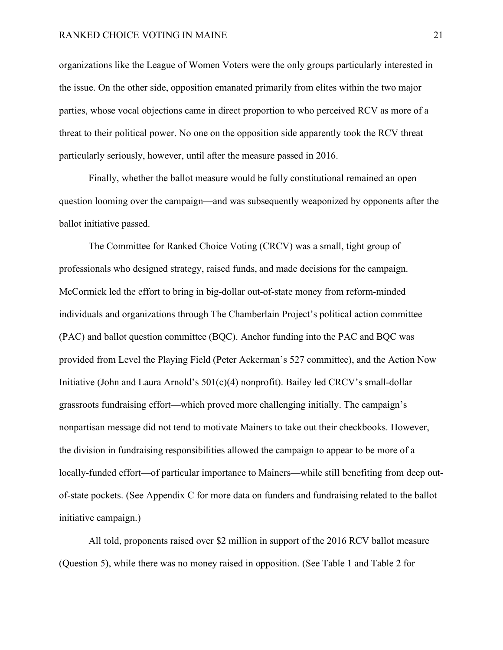organizations like the League of Women Voters were the only groups particularly interested in the issue. On the other side, opposition emanated primarily from elites within the two major parties, whose vocal objections came in direct proportion to who perceived RCV as more of a threat to their political power. No one on the opposition side apparently took the RCV threat particularly seriously, however, until after the measure passed in 2016.

Finally, whether the ballot measure would be fully constitutional remained an open question looming over the campaign—and was subsequently weaponized by opponents after the ballot initiative passed.

The Committee for Ranked Choice Voting (CRCV) was a small, tight group of professionals who designed strategy, raised funds, and made decisions for the campaign. McCormick led the effort to bring in big-dollar out-of-state money from reform-minded individuals and organizations through The Chamberlain Project's political action committee (PAC) and ballot question committee (BQC). Anchor funding into the PAC and BQC was provided from Level the Playing Field (Peter Ackerman's 527 committee), and the Action Now Initiative (John and Laura Arnold's 501(c)(4) nonprofit). Bailey led CRCV's small-dollar grassroots fundraising effort—which proved more challenging initially. The campaign's nonpartisan message did not tend to motivate Mainers to take out their checkbooks. However, the division in fundraising responsibilities allowed the campaign to appear to be more of a locally-funded effort—of particular importance to Mainers—while still benefiting from deep outof-state pockets. (See Appendix C for more data on funders and fundraising related to the ballot initiative campaign.)

All told, proponents raised over \$2 million in support of the 2016 RCV ballot measure (Question 5), while there was no money raised in opposition. (See Table 1 and Table 2 for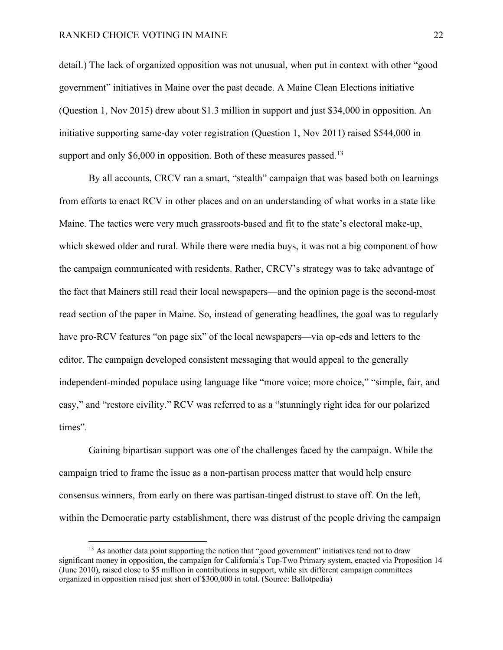detail.) The lack of organized opposition was not unusual, when put in context with other "good government" initiatives in Maine over the past decade. A Maine Clean Elections initiative (Question 1, Nov 2015) drew about \$1.3 million in support and just \$34,000 in opposition. An initiative supporting same-day voter registration (Question 1, Nov 2011) raised \$544,000 in support and only  $$6,000$  in opposition. Both of these measures passed.<sup>13</sup>

By all accounts, CRCV ran a smart, "stealth" campaign that was based both on learnings from efforts to enact RCV in other places and on an understanding of what works in a state like Maine. The tactics were very much grassroots-based and fit to the state's electoral make-up, which skewed older and rural. While there were media buys, it was not a big component of how the campaign communicated with residents. Rather, CRCV's strategy was to take advantage of the fact that Mainers still read their local newspapers—and the opinion page is the second-most read section of the paper in Maine. So, instead of generating headlines, the goal was to regularly have pro-RCV features "on page six" of the local newspapers—via op-eds and letters to the editor. The campaign developed consistent messaging that would appeal to the generally independent-minded populace using language like "more voice; more choice," "simple, fair, and easy," and "restore civility." RCV was referred to as a "stunningly right idea for our polarized times".

Gaining bipartisan support was one of the challenges faced by the campaign. While the campaign tried to frame the issue as a non-partisan process matter that would help ensure consensus winners, from early on there was partisan-tinged distrust to stave off. On the left, within the Democratic party establishment, there was distrust of the people driving the campaign

<sup>&</sup>lt;sup>13</sup> As another data point supporting the notion that "good government" initiatives tend not to draw significant money in opposition, the campaign for California's Top-Two Primary system, enacted via Proposition 14 (June 2010), raised close to \$5 million in contributions in support, while six different campaign committees organized in opposition raised just short of \$300,000 in total. (Source: Ballotpedia)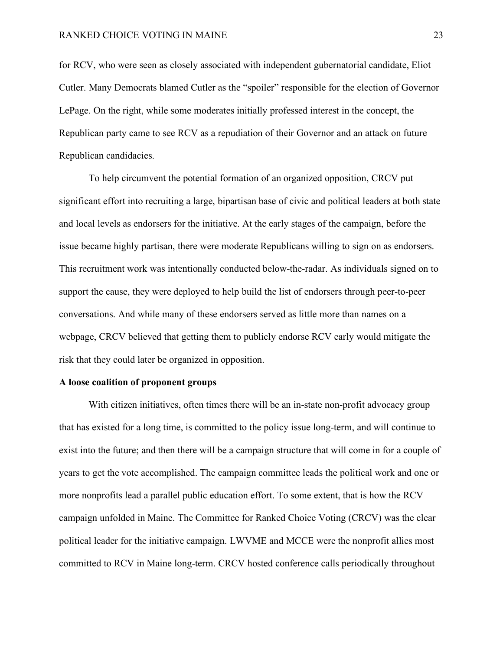for RCV, who were seen as closely associated with independent gubernatorial candidate, Eliot Cutler. Many Democrats blamed Cutler as the "spoiler" responsible for the election of Governor LePage. On the right, while some moderates initially professed interest in the concept, the Republican party came to see RCV as a repudiation of their Governor and an attack on future Republican candidacies.

To help circumvent the potential formation of an organized opposition, CRCV put significant effort into recruiting a large, bipartisan base of civic and political leaders at both state and local levels as endorsers for the initiative. At the early stages of the campaign, before the issue became highly partisan, there were moderate Republicans willing to sign on as endorsers. This recruitment work was intentionally conducted below-the-radar. As individuals signed on to support the cause, they were deployed to help build the list of endorsers through peer-to-peer conversations. And while many of these endorsers served as little more than names on a webpage, CRCV believed that getting them to publicly endorse RCV early would mitigate the risk that they could later be organized in opposition.

### **A loose coalition of proponent groups**

With citizen initiatives, often times there will be an in-state non-profit advocacy group that has existed for a long time, is committed to the policy issue long-term, and will continue to exist into the future; and then there will be a campaign structure that will come in for a couple of years to get the vote accomplished. The campaign committee leads the political work and one or more nonprofits lead a parallel public education effort. To some extent, that is how the RCV campaign unfolded in Maine. The Committee for Ranked Choice Voting (CRCV) was the clear political leader for the initiative campaign. LWVME and MCCE were the nonprofit allies most committed to RCV in Maine long-term. CRCV hosted conference calls periodically throughout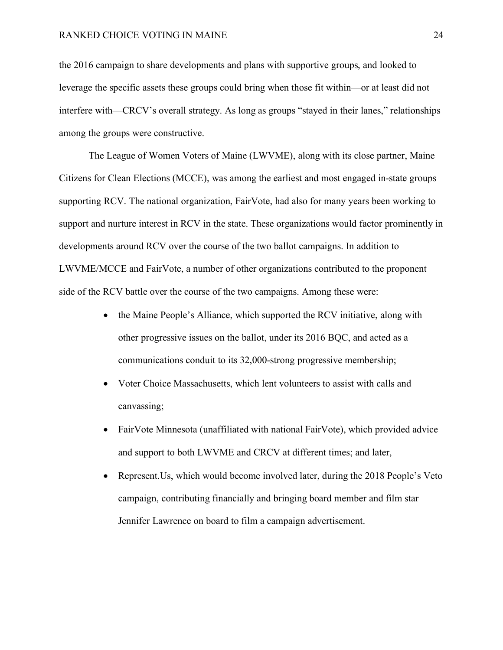the 2016 campaign to share developments and plans with supportive groups, and looked to leverage the specific assets these groups could bring when those fit within—or at least did not interfere with—CRCV's overall strategy. As long as groups "stayed in their lanes," relationships among the groups were constructive.

The League of Women Voters of Maine (LWVME), along with its close partner, Maine Citizens for Clean Elections (MCCE), was among the earliest and most engaged in-state groups supporting RCV. The national organization, FairVote, had also for many years been working to support and nurture interest in RCV in the state. These organizations would factor prominently in developments around RCV over the course of the two ballot campaigns. In addition to LWVME/MCCE and FairVote, a number of other organizations contributed to the proponent side of the RCV battle over the course of the two campaigns. Among these were:

- the Maine People's Alliance, which supported the RCV initiative, along with other progressive issues on the ballot, under its 2016 BQC, and acted as a communications conduit to its 32,000-strong progressive membership;
- Voter Choice Massachusetts, which lent volunteers to assist with calls and canvassing;
- FairVote Minnesota (unaffiliated with national FairVote), which provided advice and support to both LWVME and CRCV at different times; and later,
- Represent. Us, which would become involved later, during the 2018 People's Veto campaign, contributing financially and bringing board member and film star Jennifer Lawrence on board to film a campaign advertisement.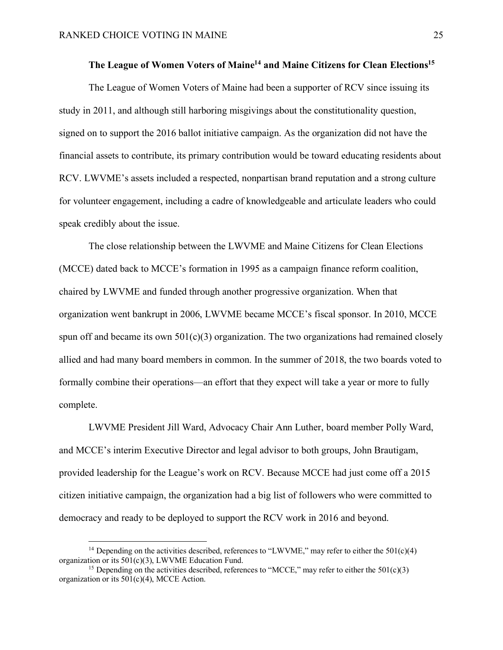# The League of Women Voters of Maine<sup>14</sup> and Maine Citizens for Clean Elections<sup>15</sup>

The League of Women Voters of Maine had been a supporter of RCV since issuing its study in 2011, and although still harboring misgivings about the constitutionality question, signed on to support the 2016 ballot initiative campaign. As the organization did not have the financial assets to contribute, its primary contribution would be toward educating residents about RCV. LWVME's assets included a respected, nonpartisan brand reputation and a strong culture for volunteer engagement, including a cadre of knowledgeable and articulate leaders who could speak credibly about the issue.

The close relationship between the LWVME and Maine Citizens for Clean Elections (MCCE) dated back to MCCE's formation in 1995 as a campaign finance reform coalition, chaired by LWVME and funded through another progressive organization. When that organization went bankrupt in 2006, LWVME became MCCE's fiscal sponsor. In 2010, MCCE spun off and became its own  $501(c)(3)$  organization. The two organizations had remained closely allied and had many board members in common. In the summer of 2018, the two boards voted to formally combine their operations—an effort that they expect will take a year or more to fully complete.

LWVME President Jill Ward, Advocacy Chair Ann Luther, board member Polly Ward, and MCCE's interim Executive Director and legal advisor to both groups, John Brautigam, provided leadership for the League's work on RCV. Because MCCE had just come off a 2015 citizen initiative campaign, the organization had a big list of followers who were committed to democracy and ready to be deployed to support the RCV work in 2016 and beyond.

<sup>&</sup>lt;sup>14</sup> Depending on the activities described, references to "LWVME," may refer to either the  $501(c)(4)$ organization or its 501(c)(3), LWVME Education Fund.

<sup>&</sup>lt;sup>15</sup> Depending on the activities described, references to "MCCE," may refer to either the  $501(c)(3)$ organization or its 501(c)(4), MCCE Action.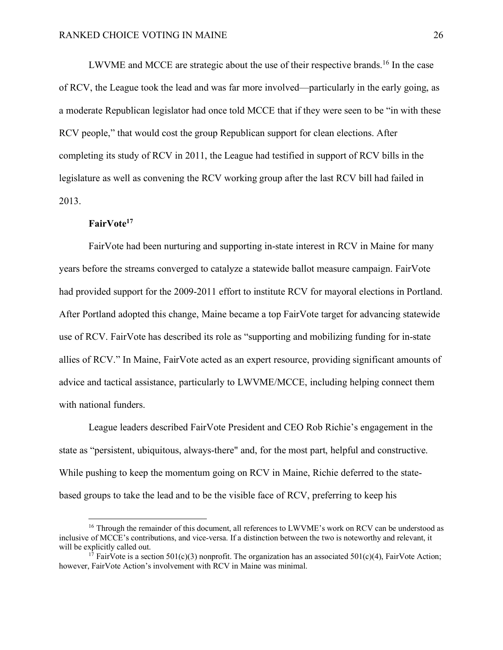LWVME and MCCE are strategic about the use of their respective brands.16 In the case of RCV, the League took the lead and was far more involved—particularly in the early going, as a moderate Republican legislator had once told MCCE that if they were seen to be "in with these RCV people," that would cost the group Republican support for clean elections. After completing its study of RCV in 2011, the League had testified in support of RCV bills in the legislature as well as convening the RCV working group after the last RCV bill had failed in 2013.

# **FairVote17**

FairVote had been nurturing and supporting in-state interest in RCV in Maine for many years before the streams converged to catalyze a statewide ballot measure campaign. FairVote had provided support for the 2009-2011 effort to institute RCV for mayoral elections in Portland. After Portland adopted this change, Maine became a top FairVote target for advancing statewide use of RCV. FairVote has described its role as "supporting and mobilizing funding for in-state allies of RCV." In Maine, FairVote acted as an expert resource, providing significant amounts of advice and tactical assistance, particularly to LWVME/MCCE, including helping connect them with national funders.

League leaders described FairVote President and CEO Rob Richie's engagement in the state as "persistent, ubiquitous, always-there" and, for the most part, helpful and constructive. While pushing to keep the momentum going on RCV in Maine, Richie deferred to the statebased groups to take the lead and to be the visible face of RCV, preferring to keep his

<sup>&</sup>lt;sup>16</sup> Through the remainder of this document, all references to LWVME's work on RCV can be understood as inclusive of MCCE's contributions, and vice-versa. If a distinction between the two is noteworthy and relevant, it will be explicitly called out.

<sup>&</sup>lt;sup>17</sup> FairVote is a section 501(c)(3) nonprofit. The organization has an associated 501(c)(4), FairVote Action; however, FairVote Action's involvement with RCV in Maine was minimal.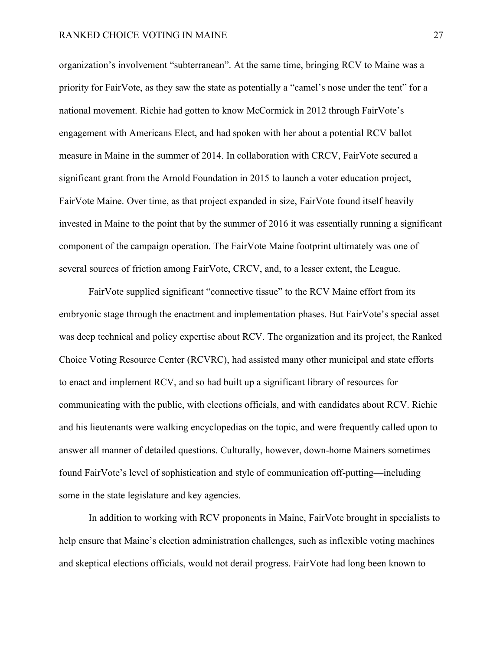organization's involvement "subterranean". At the same time, bringing RCV to Maine was a priority for FairVote, as they saw the state as potentially a "camel's nose under the tent" for a national movement. Richie had gotten to know McCormick in 2012 through FairVote's engagement with Americans Elect, and had spoken with her about a potential RCV ballot measure in Maine in the summer of 2014. In collaboration with CRCV, FairVote secured a significant grant from the Arnold Foundation in 2015 to launch a voter education project, FairVote Maine. Over time, as that project expanded in size, FairVote found itself heavily invested in Maine to the point that by the summer of 2016 it was essentially running a significant component of the campaign operation. The FairVote Maine footprint ultimately was one of several sources of friction among FairVote, CRCV, and, to a lesser extent, the League.

FairVote supplied significant "connective tissue" to the RCV Maine effort from its embryonic stage through the enactment and implementation phases. But FairVote's special asset was deep technical and policy expertise about RCV. The organization and its project, the Ranked Choice Voting Resource Center (RCVRC), had assisted many other municipal and state efforts to enact and implement RCV, and so had built up a significant library of resources for communicating with the public, with elections officials, and with candidates about RCV. Richie and his lieutenants were walking encyclopedias on the topic, and were frequently called upon to answer all manner of detailed questions. Culturally, however, down-home Mainers sometimes found FairVote's level of sophistication and style of communication off-putting—including some in the state legislature and key agencies.

In addition to working with RCV proponents in Maine, FairVote brought in specialists to help ensure that Maine's election administration challenges, such as inflexible voting machines and skeptical elections officials, would not derail progress. FairVote had long been known to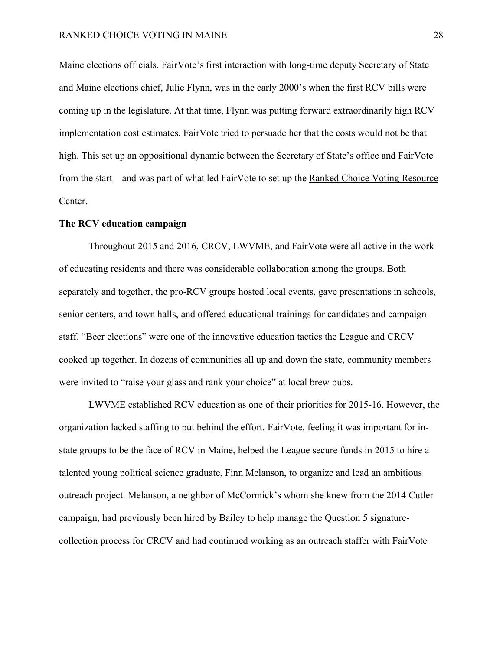Maine elections officials. FairVote's first interaction with long-time deputy Secretary of State and Maine elections chief, Julie Flynn, was in the early 2000's when the first RCV bills were coming up in the legislature. At that time, Flynn was putting forward extraordinarily high RCV implementation cost estimates. FairVote tried to persuade her that the costs would not be that high. This set up an oppositional dynamic between the Secretary of State's office and FairVote from the start—and was part of what led FairVote to set up the Ranked Choice Voting Resource Center.

### **The RCV education campaign**

Throughout 2015 and 2016, CRCV, LWVME, and FairVote were all active in the work of educating residents and there was considerable collaboration among the groups. Both separately and together, the pro-RCV groups hosted local events, gave presentations in schools, senior centers, and town halls, and offered educational trainings for candidates and campaign staff. "Beer elections" were one of the innovative education tactics the League and CRCV cooked up together. In dozens of communities all up and down the state, community members were invited to "raise your glass and rank your choice" at local brew pubs.

LWVME established RCV education as one of their priorities for 2015-16. However, the organization lacked staffing to put behind the effort. FairVote, feeling it was important for instate groups to be the face of RCV in Maine, helped the League secure funds in 2015 to hire a talented young political science graduate, Finn Melanson, to organize and lead an ambitious outreach project. Melanson, a neighbor of McCormick's whom she knew from the 2014 Cutler campaign, had previously been hired by Bailey to help manage the Question 5 signaturecollection process for CRCV and had continued working as an outreach staffer with FairVote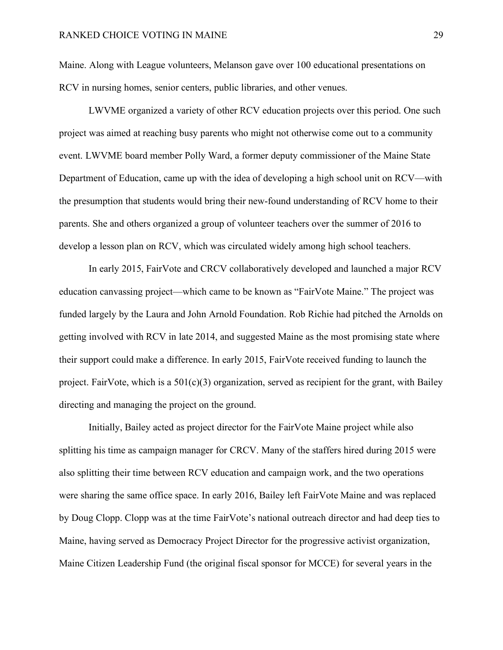Maine. Along with League volunteers, Melanson gave over 100 educational presentations on RCV in nursing homes, senior centers, public libraries, and other venues.

LWVME organized a variety of other RCV education projects over this period. One such project was aimed at reaching busy parents who might not otherwise come out to a community event. LWVME board member Polly Ward, a former deputy commissioner of the Maine State Department of Education, came up with the idea of developing a high school unit on RCV—with the presumption that students would bring their new-found understanding of RCV home to their parents. She and others organized a group of volunteer teachers over the summer of 2016 to develop a lesson plan on RCV, which was circulated widely among high school teachers.

In early 2015, FairVote and CRCV collaboratively developed and launched a major RCV education canvassing project—which came to be known as "FairVote Maine." The project was funded largely by the Laura and John Arnold Foundation. Rob Richie had pitched the Arnolds on getting involved with RCV in late 2014, and suggested Maine as the most promising state where their support could make a difference. In early 2015, FairVote received funding to launch the project. FairVote, which is a  $501(c)(3)$  organization, served as recipient for the grant, with Bailey directing and managing the project on the ground.

Initially, Bailey acted as project director for the FairVote Maine project while also splitting his time as campaign manager for CRCV. Many of the staffers hired during 2015 were also splitting their time between RCV education and campaign work, and the two operations were sharing the same office space. In early 2016, Bailey left FairVote Maine and was replaced by Doug Clopp. Clopp was at the time FairVote's national outreach director and had deep ties to Maine, having served as Democracy Project Director for the progressive activist organization, Maine Citizen Leadership Fund (the original fiscal sponsor for MCCE) for several years in the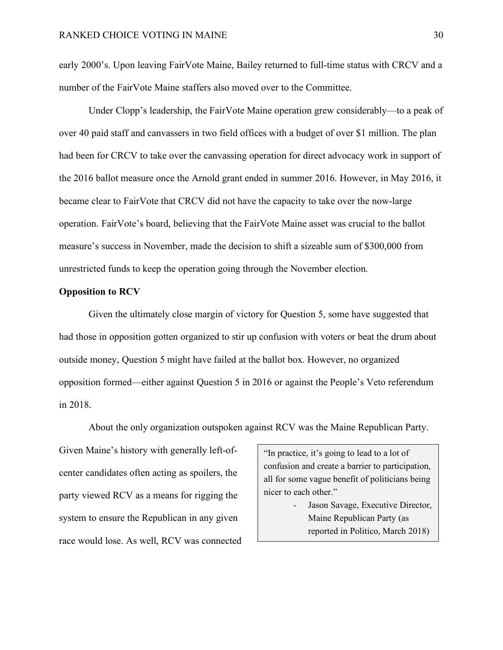early 2000's. Upon leaving FairVote Maine, Bailey returned to full-time status with CRCV and a number of the FairVote Maine staffers also moved over to the Committee.

Under Clopp's leadership, the FairVote Maine operation grew considerably—to a peak of over 40 paid staff and canvassers in two field offices with a budget of over \$1 million. The plan had been for CRCV to take over the canvassing operation for direct advocacy work in support of the 2016 ballot measure once the Arnold grant ended in summer 2016. However, in May 2016, it became clear to FairVote that CRCV did not have the capacity to take over the now-large operation. FairVote's board, believing that the FairVote Maine asset was crucial to the ballot measure's success in November, made the decision to shift a sizeable sum of \$300,000 from unrestricted funds to keep the operation going through the November election.

# **Opposition to RCV**

Given the ultimately close margin of victory for Question 5, some have suggested that had those in opposition gotten organized to stir up confusion with voters or beat the drum about outside money, Question 5 might have failed at the ballot box. However, no organized opposition formed—either against Question 5 in 2016 or against the People's Veto referendum in 2018.

About the only organization outspoken against RCV was the Maine Republican Party.

Given Maine's history with generally left-ofcenter candidates often acting as spoilers, the party viewed RCV as a means for rigging the system to ensure the Republican in any given race would lose. As well, RCV was connected

"In practice, it's going to lead to a lot of confusion and create a barrier to participation, all for some vague benefit of politicians being nicer to each other."

> - Jason Savage, Executive Director, Maine Republican Party (as reported in Politico, March 2018)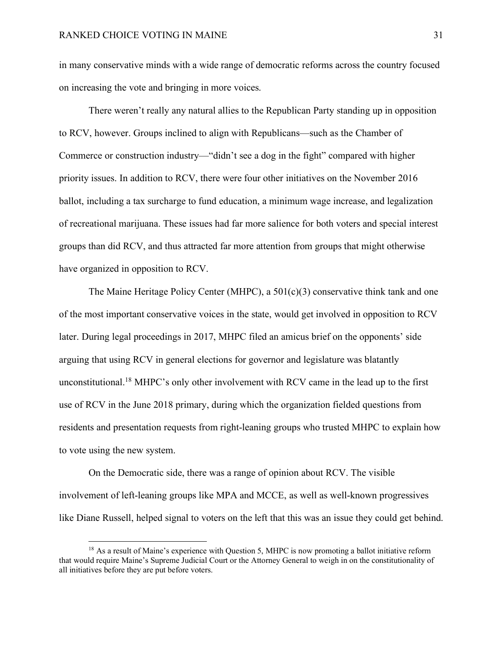in many conservative minds with a wide range of democratic reforms across the country focused on increasing the vote and bringing in more voices.

There weren't really any natural allies to the Republican Party standing up in opposition to RCV, however. Groups inclined to align with Republicans—such as the Chamber of Commerce or construction industry—"didn't see a dog in the fight" compared with higher priority issues. In addition to RCV, there were four other initiatives on the November 2016 ballot, including a tax surcharge to fund education, a minimum wage increase, and legalization of recreational marijuana. These issues had far more salience for both voters and special interest groups than did RCV, and thus attracted far more attention from groups that might otherwise have organized in opposition to RCV.

The Maine Heritage Policy Center (MHPC), a 501(c)(3) conservative think tank and one of the most important conservative voices in the state, would get involved in opposition to RCV later. During legal proceedings in 2017, MHPC filed an amicus brief on the opponents' side arguing that using RCV in general elections for governor and legislature was blatantly unconstitutional.18 MHPC's only other involvement with RCV came in the lead up to the first use of RCV in the June 2018 primary, during which the organization fielded questions from residents and presentation requests from right-leaning groups who trusted MHPC to explain how to vote using the new system.

On the Democratic side, there was a range of opinion about RCV. The visible involvement of left-leaning groups like MPA and MCCE, as well as well-known progressives like Diane Russell, helped signal to voters on the left that this was an issue they could get behind.

<sup>&</sup>lt;sup>18</sup> As a result of Maine's experience with Question 5, MHPC is now promoting a ballot initiative reform that would require Maine's Supreme Judicial Court or the Attorney General to weigh in on the constitutionality of all initiatives before they are put before voters.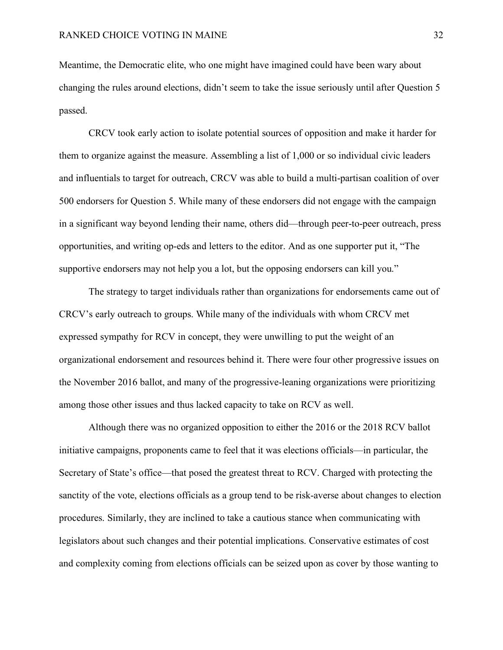Meantime, the Democratic elite, who one might have imagined could have been wary about changing the rules around elections, didn't seem to take the issue seriously until after Question 5 passed.

CRCV took early action to isolate potential sources of opposition and make it harder for them to organize against the measure. Assembling a list of 1,000 or so individual civic leaders and influentials to target for outreach, CRCV was able to build a multi-partisan coalition of over 500 endorsers for Question 5. While many of these endorsers did not engage with the campaign in a significant way beyond lending their name, others did—through peer-to-peer outreach, press opportunities, and writing op-eds and letters to the editor. And as one supporter put it, "The supportive endorsers may not help you a lot, but the opposing endorsers can kill you."

The strategy to target individuals rather than organizations for endorsements came out of CRCV's early outreach to groups. While many of the individuals with whom CRCV met expressed sympathy for RCV in concept, they were unwilling to put the weight of an organizational endorsement and resources behind it. There were four other progressive issues on the November 2016 ballot, and many of the progressive-leaning organizations were prioritizing among those other issues and thus lacked capacity to take on RCV as well.

Although there was no organized opposition to either the 2016 or the 2018 RCV ballot initiative campaigns, proponents came to feel that it was elections officials—in particular, the Secretary of State's office—that posed the greatest threat to RCV. Charged with protecting the sanctity of the vote, elections officials as a group tend to be risk-averse about changes to election procedures. Similarly, they are inclined to take a cautious stance when communicating with legislators about such changes and their potential implications. Conservative estimates of cost and complexity coming from elections officials can be seized upon as cover by those wanting to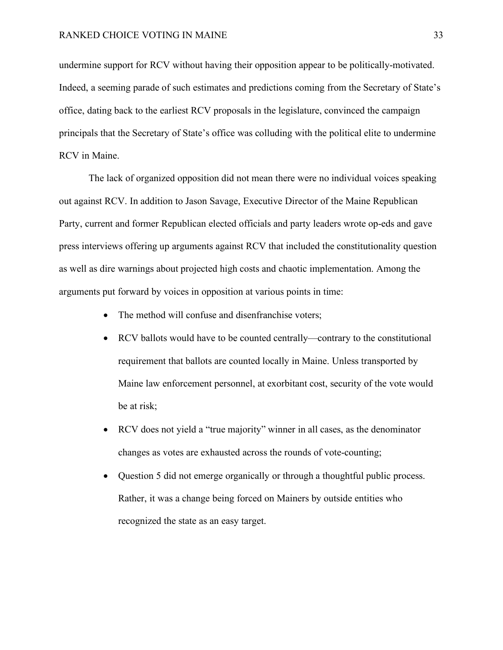undermine support for RCV without having their opposition appear to be politically-motivated. Indeed, a seeming parade of such estimates and predictions coming from the Secretary of State's office, dating back to the earliest RCV proposals in the legislature, convinced the campaign principals that the Secretary of State's office was colluding with the political elite to undermine RCV in Maine.

The lack of organized opposition did not mean there were no individual voices speaking out against RCV. In addition to Jason Savage, Executive Director of the Maine Republican Party, current and former Republican elected officials and party leaders wrote op-eds and gave press interviews offering up arguments against RCV that included the constitutionality question as well as dire warnings about projected high costs and chaotic implementation. Among the arguments put forward by voices in opposition at various points in time:

- The method will confuse and disenfranchise voters;
- RCV ballots would have to be counted centrally—contrary to the constitutional requirement that ballots are counted locally in Maine. Unless transported by Maine law enforcement personnel, at exorbitant cost, security of the vote would be at risk;
- RCV does not yield a "true majority" winner in all cases, as the denominator changes as votes are exhausted across the rounds of vote-counting;
- Question 5 did not emerge organically or through a thoughtful public process. Rather, it was a change being forced on Mainers by outside entities who recognized the state as an easy target.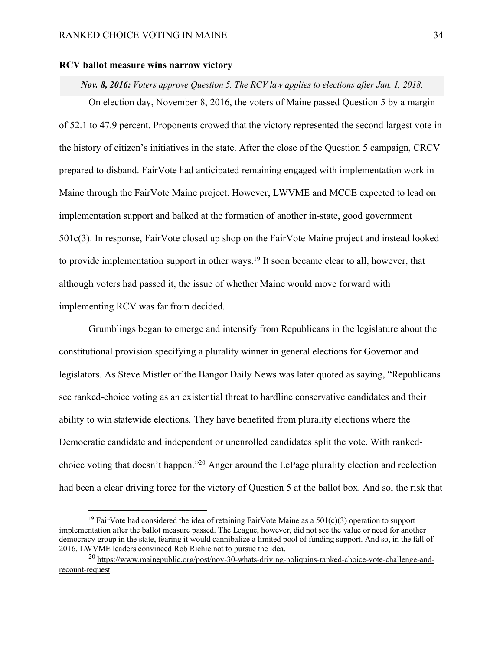#### **RCV ballot measure wins narrow victory**

*Nov. 8, 2016: Voters approve Question 5. The RCV law applies to elections after Jan. 1, 2018.*

On election day, November 8, 2016, the voters of Maine passed Question 5 by a margin of 52.1 to 47.9 percent. Proponents crowed that the victory represented the second largest vote in the history of citizen's initiatives in the state. After the close of the Question 5 campaign, CRCV prepared to disband. FairVote had anticipated remaining engaged with implementation work in Maine through the FairVote Maine project. However, LWVME and MCCE expected to lead on implementation support and balked at the formation of another in-state, good government 501c(3). In response, FairVote closed up shop on the FairVote Maine project and instead looked to provide implementation support in other ways.<sup>19</sup> It soon became clear to all, however, that although voters had passed it, the issue of whether Maine would move forward with implementing RCV was far from decided.

Grumblings began to emerge and intensify from Republicans in the legislature about the constitutional provision specifying a plurality winner in general elections for Governor and legislators. As Steve Mistler of the Bangor Daily News was later quoted as saying, "Republicans see ranked-choice voting as an existential threat to hardline conservative candidates and their ability to win statewide elections. They have benefited from plurality elections where the Democratic candidate and independent or unenrolled candidates split the vote. With rankedchoice voting that doesn't happen."20 Anger around the LePage plurality election and reelection had been a clear driving force for the victory of Question 5 at the ballot box. And so, the risk that

<sup>&</sup>lt;sup>19</sup> FairVote had considered the idea of retaining FairVote Maine as a 501(c)(3) operation to support implementation after the ballot measure passed. The League, however, did not see the value or need for another democracy group in the state, fearing it would cannibalize a limited pool of funding support. And so, in the fall of 2016, LWVME leaders convinced Rob Richie not to pursue the idea.

<sup>&</sup>lt;sup>20</sup> https://www.mainepublic.org/post/nov-30-whats-driving-poliquins-ranked-choice-vote-challenge-andrecount-request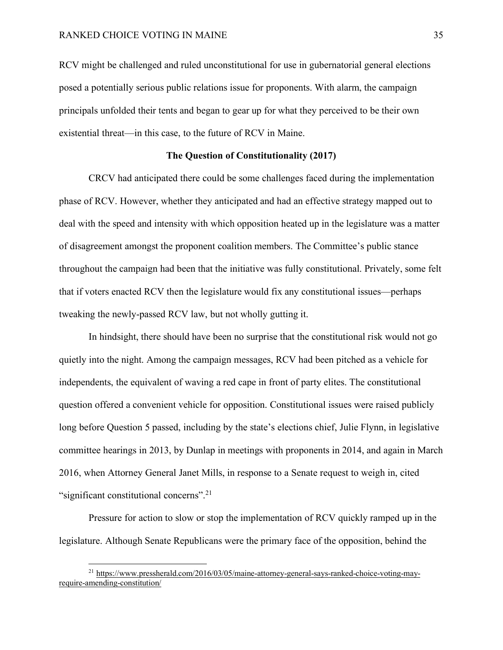RCV might be challenged and ruled unconstitutional for use in gubernatorial general elections posed a potentially serious public relations issue for proponents. With alarm, the campaign principals unfolded their tents and began to gear up for what they perceived to be their own existential threat—in this case, to the future of RCV in Maine.

### **The Question of Constitutionality (2017)**

CRCV had anticipated there could be some challenges faced during the implementation phase of RCV. However, whether they anticipated and had an effective strategy mapped out to deal with the speed and intensity with which opposition heated up in the legislature was a matter of disagreement amongst the proponent coalition members. The Committee's public stance throughout the campaign had been that the initiative was fully constitutional. Privately, some felt that if voters enacted RCV then the legislature would fix any constitutional issues—perhaps tweaking the newly-passed RCV law, but not wholly gutting it.

In hindsight, there should have been no surprise that the constitutional risk would not go quietly into the night. Among the campaign messages, RCV had been pitched as a vehicle for independents, the equivalent of waving a red cape in front of party elites. The constitutional question offered a convenient vehicle for opposition. Constitutional issues were raised publicly long before Question 5 passed, including by the state's elections chief, Julie Flynn, in legislative committee hearings in 2013, by Dunlap in meetings with proponents in 2014, and again in March 2016, when Attorney General Janet Mills, in response to a Senate request to weigh in, cited "significant constitutional concerns".<sup>21</sup>

Pressure for action to slow or stop the implementation of RCV quickly ramped up in the legislature. Although Senate Republicans were the primary face of the opposition, behind the

 <sup>21</sup> https://www.pressherald.com/2016/03/05/maine-attorney-general-says-ranked-choice-voting-mayrequire-amending-constitution/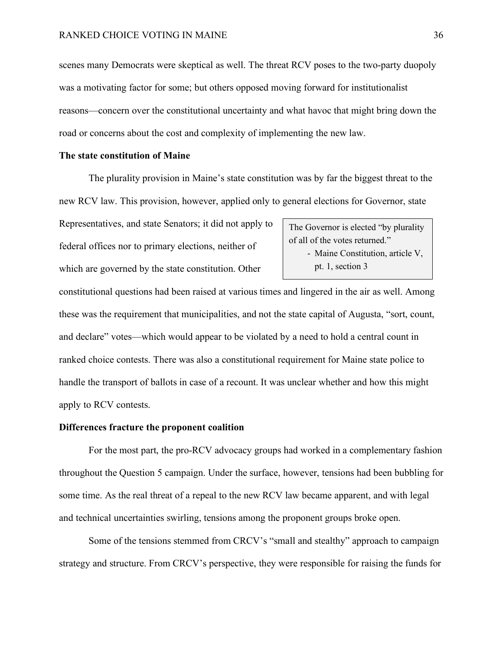scenes many Democrats were skeptical as well. The threat RCV poses to the two-party duopoly was a motivating factor for some; but others opposed moving forward for institutionalist reasons—concern over the constitutional uncertainty and what havoc that might bring down the road or concerns about the cost and complexity of implementing the new law.

# **The state constitution of Maine**

The plurality provision in Maine's state constitution was by far the biggest threat to the new RCV law. This provision, however, applied only to general elections for Governor, state

Representatives, and state Senators; it did not apply to federal offices nor to primary elections, neither of which are governed by the state constitution. Other

The Governor is elected "by plurality of all of the votes returned." - Maine Constitution, article V, pt. 1, section 3

constitutional questions had been raised at various times and lingered in the air as well. Among these was the requirement that municipalities, and not the state capital of Augusta, "sort, count, and declare" votes—which would appear to be violated by a need to hold a central count in ranked choice contests. There was also a constitutional requirement for Maine state police to handle the transport of ballots in case of a recount. It was unclear whether and how this might apply to RCV contests.

#### **Differences fracture the proponent coalition**

For the most part, the pro-RCV advocacy groups had worked in a complementary fashion throughout the Question 5 campaign. Under the surface, however, tensions had been bubbling for some time. As the real threat of a repeal to the new RCV law became apparent, and with legal and technical uncertainties swirling, tensions among the proponent groups broke open.

Some of the tensions stemmed from CRCV's "small and stealthy" approach to campaign strategy and structure. From CRCV's perspective, they were responsible for raising the funds for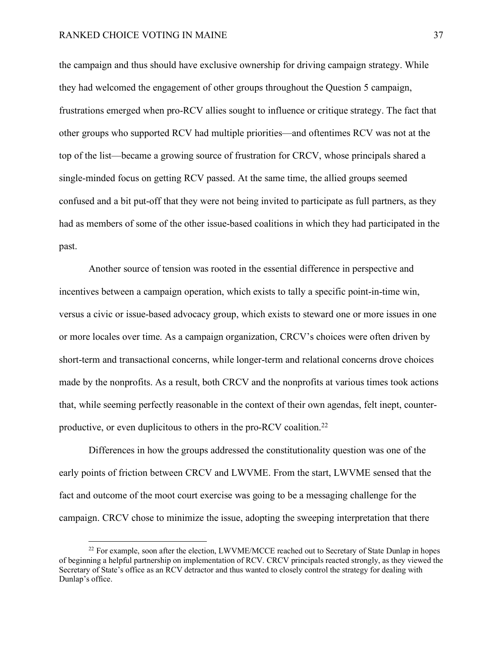the campaign and thus should have exclusive ownership for driving campaign strategy. While they had welcomed the engagement of other groups throughout the Question 5 campaign, frustrations emerged when pro-RCV allies sought to influence or critique strategy. The fact that other groups who supported RCV had multiple priorities—and oftentimes RCV was not at the top of the list—became a growing source of frustration for CRCV, whose principals shared a single-minded focus on getting RCV passed. At the same time, the allied groups seemed confused and a bit put-off that they were not being invited to participate as full partners, as they had as members of some of the other issue-based coalitions in which they had participated in the past.

Another source of tension was rooted in the essential difference in perspective and incentives between a campaign operation, which exists to tally a specific point-in-time win, versus a civic or issue-based advocacy group, which exists to steward one or more issues in one or more locales over time. As a campaign organization, CRCV's choices were often driven by short-term and transactional concerns, while longer-term and relational concerns drove choices made by the nonprofits. As a result, both CRCV and the nonprofits at various times took actions that, while seeming perfectly reasonable in the context of their own agendas, felt inept, counterproductive, or even duplicitous to others in the pro-RCV coalition.<sup>22</sup>

Differences in how the groups addressed the constitutionality question was one of the early points of friction between CRCV and LWVME. From the start, LWVME sensed that the fact and outcome of the moot court exercise was going to be a messaging challenge for the campaign. CRCV chose to minimize the issue, adopting the sweeping interpretation that there

 $^{22}$  For example, soon after the election, LWVME/MCCE reached out to Secretary of State Dunlap in hopes of beginning a helpful partnership on implementation of RCV. CRCV principals reacted strongly, as they viewed the Secretary of State's office as an RCV detractor and thus wanted to closely control the strategy for dealing with Dunlap's office.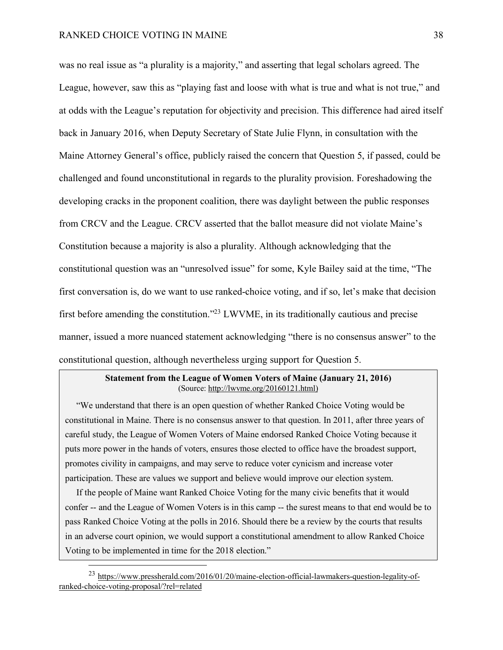was no real issue as "a plurality is a majority," and asserting that legal scholars agreed. The League, however, saw this as "playing fast and loose with what is true and what is not true," and at odds with the League's reputation for objectivity and precision. This difference had aired itself back in January 2016, when Deputy Secretary of State Julie Flynn, in consultation with the Maine Attorney General's office, publicly raised the concern that Question 5, if passed, could be challenged and found unconstitutional in regards to the plurality provision. Foreshadowing the developing cracks in the proponent coalition, there was daylight between the public responses from CRCV and the League. CRCV asserted that the ballot measure did not violate Maine's Constitution because a majority is also a plurality. Although acknowledging that the constitutional question was an "unresolved issue" for some, Kyle Bailey said at the time, "The first conversation is, do we want to use ranked-choice voting, and if so, let's make that decision first before amending the constitution."23 LWVME, in its traditionally cautious and precise manner, issued a more nuanced statement acknowledging "there is no consensus answer" to the constitutional question, although nevertheless urging support for Question 5.

## **Statement from the League of Women Voters of Maine (January 21, 2016)** (Source: http://lwvme.org/20160121.html)

"We understand that there is an open question of whether Ranked Choice Voting would be constitutional in Maine. There is no consensus answer to that question. In 2011, after three years of careful study, the League of Women Voters of Maine endorsed Ranked Choice Voting because it puts more power in the hands of voters, ensures those elected to office have the broadest support, promotes civility in campaigns, and may serve to reduce voter cynicism and increase voter participation. These are values we support and believe would improve our election system.

If the people of Maine want Ranked Choice Voting for the many civic benefits that it would confer -- and the League of Women Voters is in this camp -- the surest means to that end would be to pass Ranked Choice Voting at the polls in 2016. Should there be a review by the courts that results in an adverse court opinion, we would support a constitutional amendment to allow Ranked Choice Voting to be implemented in time for the 2018 election."

 <sup>23</sup> https://www.pressherald.com/2016/01/20/maine-election-official-lawmakers-question-legality-ofranked-choice-voting-proposal/?rel=related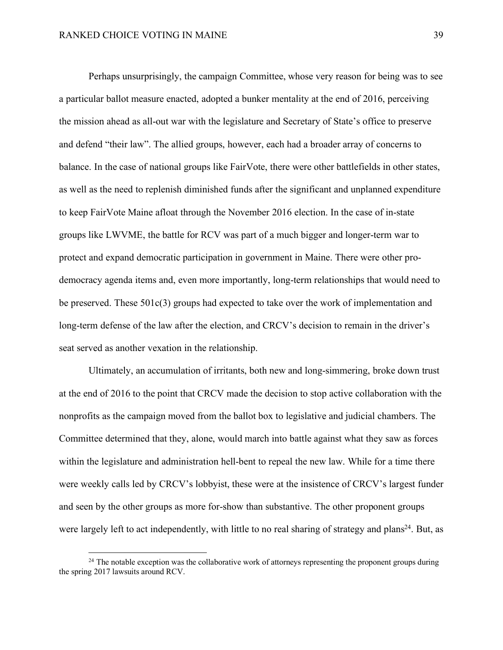Perhaps unsurprisingly, the campaign Committee, whose very reason for being was to see a particular ballot measure enacted, adopted a bunker mentality at the end of 2016, perceiving the mission ahead as all-out war with the legislature and Secretary of State's office to preserve and defend "their law". The allied groups, however, each had a broader array of concerns to balance. In the case of national groups like FairVote, there were other battlefields in other states, as well as the need to replenish diminished funds after the significant and unplanned expenditure to keep FairVote Maine afloat through the November 2016 election. In the case of in-state groups like LWVME, the battle for RCV was part of a much bigger and longer-term war to protect and expand democratic participation in government in Maine. There were other prodemocracy agenda items and, even more importantly, long-term relationships that would need to be preserved. These 501c(3) groups had expected to take over the work of implementation and long-term defense of the law after the election, and CRCV's decision to remain in the driver's seat served as another vexation in the relationship.

Ultimately, an accumulation of irritants, both new and long-simmering, broke down trust at the end of 2016 to the point that CRCV made the decision to stop active collaboration with the nonprofits as the campaign moved from the ballot box to legislative and judicial chambers. The Committee determined that they, alone, would march into battle against what they saw as forces within the legislature and administration hell-bent to repeal the new law. While for a time there were weekly calls led by CRCV's lobbyist, these were at the insistence of CRCV's largest funder and seen by the other groups as more for-show than substantive. The other proponent groups were largely left to act independently, with little to no real sharing of strategy and plans<sup>24</sup>. But, as

<sup>&</sup>lt;sup>24</sup> The notable exception was the collaborative work of attorneys representing the proponent groups during the spring 2017 lawsuits around RCV.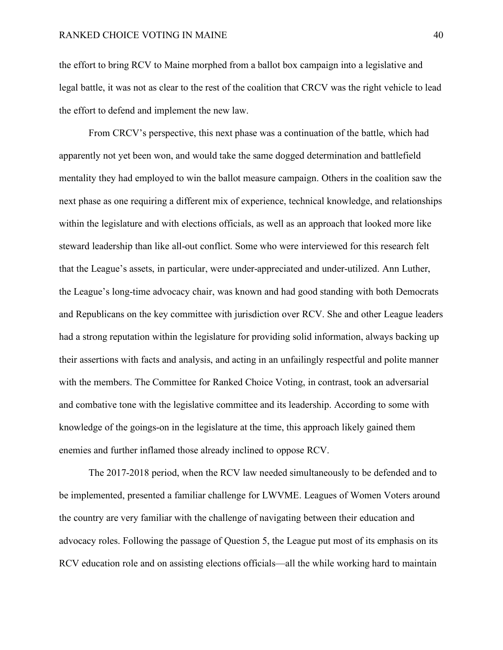the effort to bring RCV to Maine morphed from a ballot box campaign into a legislative and legal battle, it was not as clear to the rest of the coalition that CRCV was the right vehicle to lead the effort to defend and implement the new law.

From CRCV's perspective, this next phase was a continuation of the battle, which had apparently not yet been won, and would take the same dogged determination and battlefield mentality they had employed to win the ballot measure campaign. Others in the coalition saw the next phase as one requiring a different mix of experience, technical knowledge, and relationships within the legislature and with elections officials, as well as an approach that looked more like steward leadership than like all-out conflict. Some who were interviewed for this research felt that the League's assets, in particular, were under-appreciated and under-utilized. Ann Luther, the League's long-time advocacy chair, was known and had good standing with both Democrats and Republicans on the key committee with jurisdiction over RCV. She and other League leaders had a strong reputation within the legislature for providing solid information, always backing up their assertions with facts and analysis, and acting in an unfailingly respectful and polite manner with the members. The Committee for Ranked Choice Voting, in contrast, took an adversarial and combative tone with the legislative committee and its leadership. According to some with knowledge of the goings-on in the legislature at the time, this approach likely gained them enemies and further inflamed those already inclined to oppose RCV.

The 2017-2018 period, when the RCV law needed simultaneously to be defended and to be implemented, presented a familiar challenge for LWVME. Leagues of Women Voters around the country are very familiar with the challenge of navigating between their education and advocacy roles. Following the passage of Question 5, the League put most of its emphasis on its RCV education role and on assisting elections officials—all the while working hard to maintain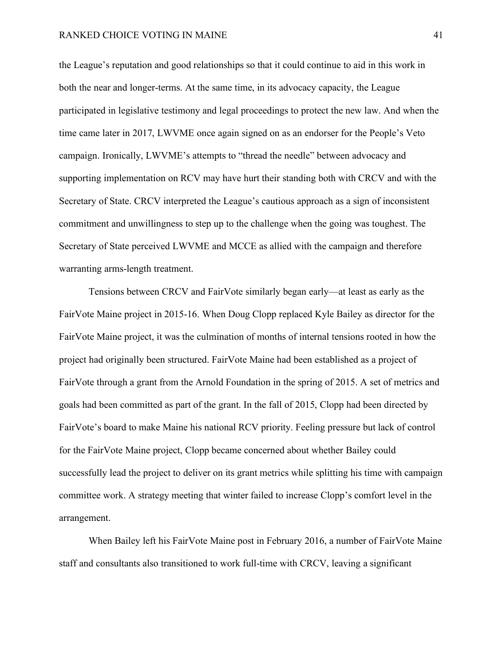the League's reputation and good relationships so that it could continue to aid in this work in both the near and longer-terms. At the same time, in its advocacy capacity, the League participated in legislative testimony and legal proceedings to protect the new law. And when the time came later in 2017, LWVME once again signed on as an endorser for the People's Veto campaign. Ironically, LWVME's attempts to "thread the needle" between advocacy and supporting implementation on RCV may have hurt their standing both with CRCV and with the Secretary of State. CRCV interpreted the League's cautious approach as a sign of inconsistent commitment and unwillingness to step up to the challenge when the going was toughest. The Secretary of State perceived LWVME and MCCE as allied with the campaign and therefore warranting arms-length treatment.

Tensions between CRCV and FairVote similarly began early—at least as early as the FairVote Maine project in 2015-16. When Doug Clopp replaced Kyle Bailey as director for the FairVote Maine project, it was the culmination of months of internal tensions rooted in how the project had originally been structured. FairVote Maine had been established as a project of FairVote through a grant from the Arnold Foundation in the spring of 2015. A set of metrics and goals had been committed as part of the grant. In the fall of 2015, Clopp had been directed by FairVote's board to make Maine his national RCV priority. Feeling pressure but lack of control for the FairVote Maine project, Clopp became concerned about whether Bailey could successfully lead the project to deliver on its grant metrics while splitting his time with campaign committee work. A strategy meeting that winter failed to increase Clopp's comfort level in the arrangement.

When Bailey left his FairVote Maine post in February 2016, a number of FairVote Maine staff and consultants also transitioned to work full-time with CRCV, leaving a significant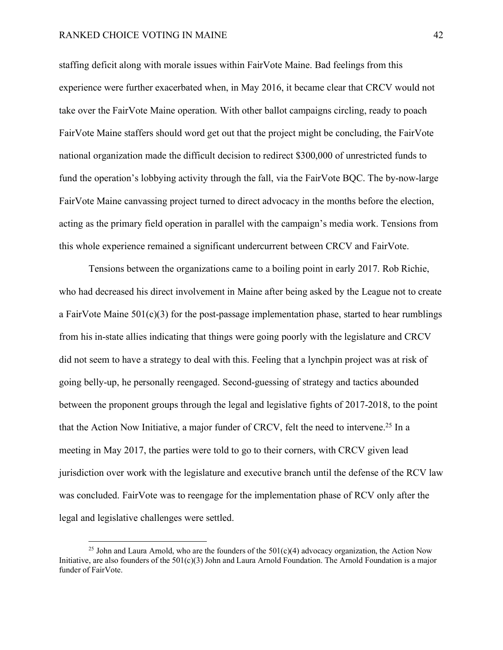staffing deficit along with morale issues within FairVote Maine. Bad feelings from this experience were further exacerbated when, in May 2016, it became clear that CRCV would not take over the FairVote Maine operation. With other ballot campaigns circling, ready to poach FairVote Maine staffers should word get out that the project might be concluding, the FairVote national organization made the difficult decision to redirect \$300,000 of unrestricted funds to fund the operation's lobbying activity through the fall, via the FairVote BQC. The by-now-large FairVote Maine canvassing project turned to direct advocacy in the months before the election, acting as the primary field operation in parallel with the campaign's media work. Tensions from this whole experience remained a significant undercurrent between CRCV and FairVote.

Tensions between the organizations came to a boiling point in early 2017. Rob Richie, who had decreased his direct involvement in Maine after being asked by the League not to create a FairVote Maine  $501(c)(3)$  for the post-passage implementation phase, started to hear rumblings from his in-state allies indicating that things were going poorly with the legislature and CRCV did not seem to have a strategy to deal with this. Feeling that a lynchpin project was at risk of going belly-up, he personally reengaged. Second-guessing of strategy and tactics abounded between the proponent groups through the legal and legislative fights of 2017-2018, to the point that the Action Now Initiative, a major funder of CRCV, felt the need to intervene.25 In a meeting in May 2017, the parties were told to go to their corners, with CRCV given lead jurisdiction over work with the legislature and executive branch until the defense of the RCV law was concluded. FairVote was to reengage for the implementation phase of RCV only after the legal and legislative challenges were settled.

<sup>&</sup>lt;sup>25</sup> John and Laura Arnold, who are the founders of the  $501(c)(4)$  advocacy organization, the Action Now Initiative, are also founders of the  $501(c)(3)$  John and Laura Arnold Foundation. The Arnold Foundation is a major funder of FairVote.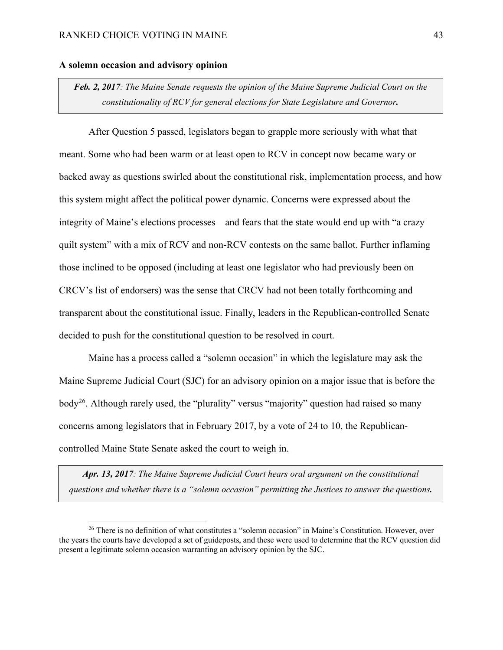## **A solemn occasion and advisory opinion**

*Feb. 2, 2017: The Maine Senate requests the opinion of the Maine Supreme Judicial Court on the constitutionality of RCV for general elections for State Legislature and Governor.*

After Question 5 passed, legislators began to grapple more seriously with what that meant. Some who had been warm or at least open to RCV in concept now became wary or backed away as questions swirled about the constitutional risk, implementation process, and how this system might affect the political power dynamic. Concerns were expressed about the integrity of Maine's elections processes—and fears that the state would end up with "a crazy quilt system" with a mix of RCV and non-RCV contests on the same ballot. Further inflaming those inclined to be opposed (including at least one legislator who had previously been on CRCV's list of endorsers) was the sense that CRCV had not been totally forthcoming and transparent about the constitutional issue. Finally, leaders in the Republican-controlled Senate decided to push for the constitutional question to be resolved in court.

Maine has a process called a "solemn occasion" in which the legislature may ask the Maine Supreme Judicial Court (SJC) for an advisory opinion on a major issue that is before the body<sup>26</sup>. Although rarely used, the "plurality" versus "majority" question had raised so many concerns among legislators that in February 2017, by a vote of 24 to 10, the Republicancontrolled Maine State Senate asked the court to weigh in.

*Apr. 13, 2017: The Maine Supreme Judicial Court hears oral argument on the constitutional questions and whether there is a "solemn occasion" permitting the Justices to answer the questions.*

<sup>&</sup>lt;sup>26</sup> There is no definition of what constitutes a "solemn occasion" in Maine's Constitution. However, over the years the courts have developed a set of guideposts, and these were used to determine that the RCV question did present a legitimate solemn occasion warranting an advisory opinion by the SJC.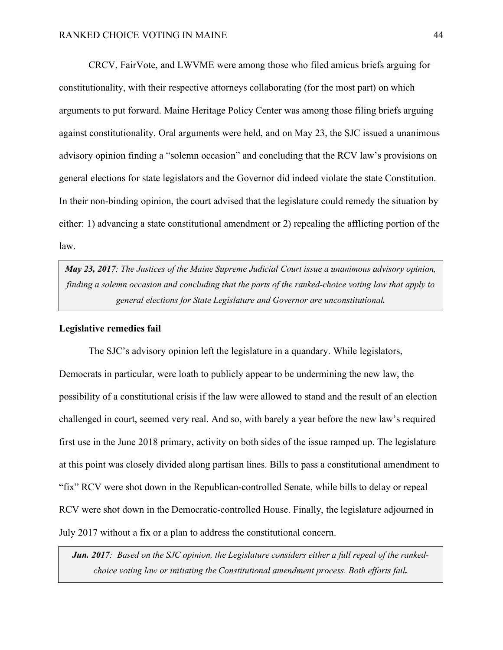CRCV, FairVote, and LWVME were among those who filed amicus briefs arguing for constitutionality, with their respective attorneys collaborating (for the most part) on which arguments to put forward. Maine Heritage Policy Center was among those filing briefs arguing against constitutionality. Oral arguments were held, and on May 23, the SJC issued a unanimous advisory opinion finding a "solemn occasion" and concluding that the RCV law's provisions on general elections for state legislators and the Governor did indeed violate the state Constitution. In their non-binding opinion, the court advised that the legislature could remedy the situation by either: 1) advancing a state constitutional amendment or 2) repealing the afflicting portion of the law.

*May 23, 2017: The Justices of the Maine Supreme Judicial Court issue a unanimous advisory opinion, finding a solemn occasion and concluding that the parts of the ranked-choice voting law that apply to general elections for State Legislature and Governor are unconstitutional.*

#### **Legislative remedies fail**

The SJC's advisory opinion left the legislature in a quandary. While legislators, Democrats in particular, were loath to publicly appear to be undermining the new law, the possibility of a constitutional crisis if the law were allowed to stand and the result of an election challenged in court, seemed very real. And so, with barely a year before the new law's required first use in the June 2018 primary, activity on both sides of the issue ramped up. The legislature at this point was closely divided along partisan lines. Bills to pass a constitutional amendment to "fix" RCV were shot down in the Republican-controlled Senate, while bills to delay or repeal RCV were shot down in the Democratic-controlled House. Finally, the legislature adjourned in July 2017 without a fix or a plan to address the constitutional concern.

*Jun. 2017: Based on the SJC opinion, the Legislature considers either a full repeal of the rankedchoice voting law or initiating the Constitutional amendment process. Both efforts fail.*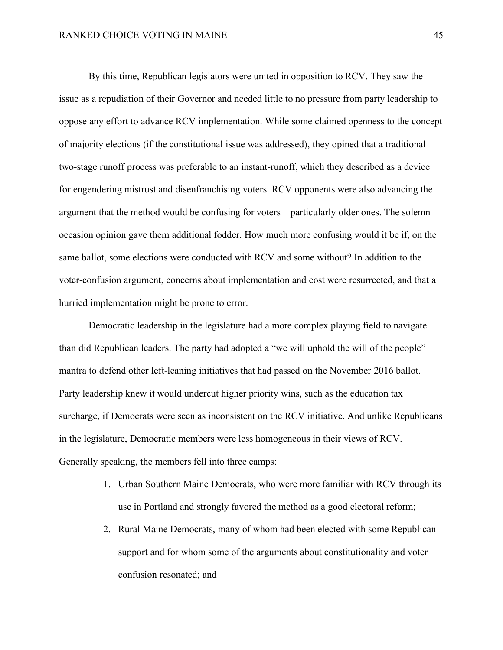By this time, Republican legislators were united in opposition to RCV. They saw the issue as a repudiation of their Governor and needed little to no pressure from party leadership to oppose any effort to advance RCV implementation. While some claimed openness to the concept of majority elections (if the constitutional issue was addressed), they opined that a traditional two-stage runoff process was preferable to an instant-runoff, which they described as a device for engendering mistrust and disenfranchising voters. RCV opponents were also advancing the argument that the method would be confusing for voters—particularly older ones. The solemn occasion opinion gave them additional fodder. How much more confusing would it be if, on the same ballot, some elections were conducted with RCV and some without? In addition to the voter-confusion argument, concerns about implementation and cost were resurrected, and that a hurried implementation might be prone to error.

Democratic leadership in the legislature had a more complex playing field to navigate than did Republican leaders. The party had adopted a "we will uphold the will of the people" mantra to defend other left-leaning initiatives that had passed on the November 2016 ballot. Party leadership knew it would undercut higher priority wins, such as the education tax surcharge, if Democrats were seen as inconsistent on the RCV initiative. And unlike Republicans in the legislature, Democratic members were less homogeneous in their views of RCV. Generally speaking, the members fell into three camps:

- 1. Urban Southern Maine Democrats, who were more familiar with RCV through its use in Portland and strongly favored the method as a good electoral reform;
- 2. Rural Maine Democrats, many of whom had been elected with some Republican support and for whom some of the arguments about constitutionality and voter confusion resonated; and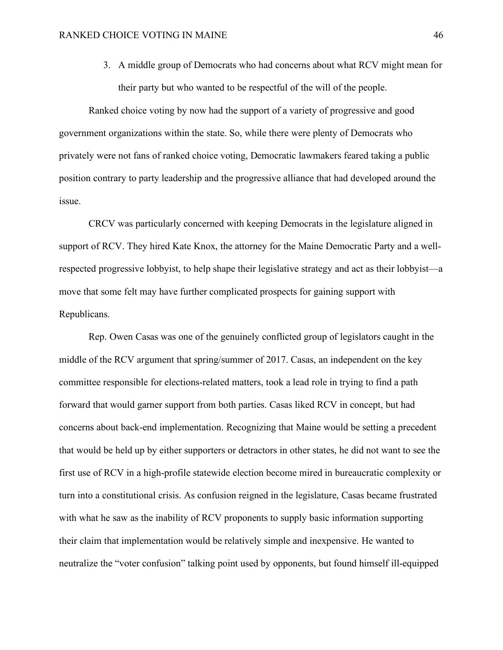3. A middle group of Democrats who had concerns about what RCV might mean for their party but who wanted to be respectful of the will of the people.

Ranked choice voting by now had the support of a variety of progressive and good government organizations within the state. So, while there were plenty of Democrats who privately were not fans of ranked choice voting, Democratic lawmakers feared taking a public position contrary to party leadership and the progressive alliance that had developed around the issue.

CRCV was particularly concerned with keeping Democrats in the legislature aligned in support of RCV. They hired Kate Knox, the attorney for the Maine Democratic Party and a wellrespected progressive lobbyist, to help shape their legislative strategy and act as their lobbyist—a move that some felt may have further complicated prospects for gaining support with Republicans.

Rep. Owen Casas was one of the genuinely conflicted group of legislators caught in the middle of the RCV argument that spring/summer of 2017. Casas, an independent on the key committee responsible for elections-related matters, took a lead role in trying to find a path forward that would garner support from both parties. Casas liked RCV in concept, but had concerns about back-end implementation. Recognizing that Maine would be setting a precedent that would be held up by either supporters or detractors in other states, he did not want to see the first use of RCV in a high-profile statewide election become mired in bureaucratic complexity or turn into a constitutional crisis. As confusion reigned in the legislature, Casas became frustrated with what he saw as the inability of RCV proponents to supply basic information supporting their claim that implementation would be relatively simple and inexpensive. He wanted to neutralize the "voter confusion" talking point used by opponents, but found himself ill-equipped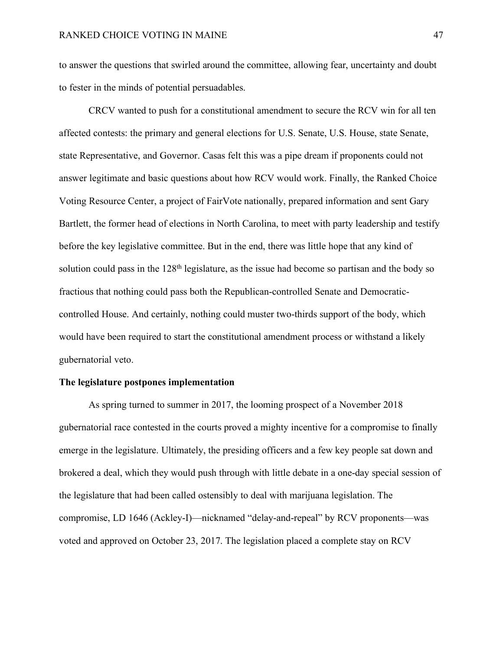to answer the questions that swirled around the committee, allowing fear, uncertainty and doubt to fester in the minds of potential persuadables.

CRCV wanted to push for a constitutional amendment to secure the RCV win for all ten affected contests: the primary and general elections for U.S. Senate, U.S. House, state Senate, state Representative, and Governor. Casas felt this was a pipe dream if proponents could not answer legitimate and basic questions about how RCV would work. Finally, the Ranked Choice Voting Resource Center, a project of FairVote nationally, prepared information and sent Gary Bartlett, the former head of elections in North Carolina, to meet with party leadership and testify before the key legislative committee. But in the end, there was little hope that any kind of solution could pass in the 128<sup>th</sup> legislature, as the issue had become so partisan and the body so fractious that nothing could pass both the Republican-controlled Senate and Democraticcontrolled House. And certainly, nothing could muster two-thirds support of the body, which would have been required to start the constitutional amendment process or withstand a likely gubernatorial veto.

## **The legislature postpones implementation**

As spring turned to summer in 2017, the looming prospect of a November 2018 gubernatorial race contested in the courts proved a mighty incentive for a compromise to finally emerge in the legislature. Ultimately, the presiding officers and a few key people sat down and brokered a deal, which they would push through with little debate in a one-day special session of the legislature that had been called ostensibly to deal with marijuana legislation. The compromise, LD 1646 (Ackley-I)—nicknamed "delay-and-repeal" by RCV proponents—was voted and approved on October 23, 2017. The legislation placed a complete stay on RCV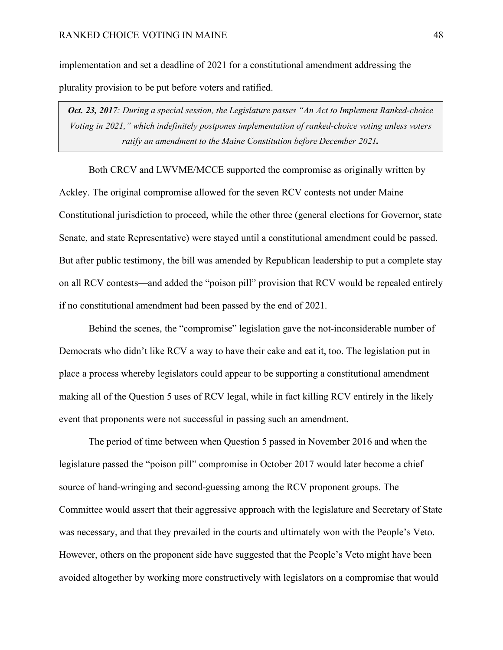implementation and set a deadline of 2021 for a constitutional amendment addressing the plurality provision to be put before voters and ratified.

*Oct. 23, 2017: During a special session, the Legislature passes "An Act to Implement Ranked-choice Voting in 2021," which indefinitely postpones implementation of ranked-choice voting unless voters ratify an amendment to the Maine Constitution before December 2021.*

Both CRCV and LWVME/MCCE supported the compromise as originally written by Ackley. The original compromise allowed for the seven RCV contests not under Maine Constitutional jurisdiction to proceed, while the other three (general elections for Governor, state Senate, and state Representative) were stayed until a constitutional amendment could be passed. But after public testimony, the bill was amended by Republican leadership to put a complete stay on all RCV contests—and added the "poison pill" provision that RCV would be repealed entirely if no constitutional amendment had been passed by the end of 2021.

Behind the scenes, the "compromise" legislation gave the not-inconsiderable number of Democrats who didn't like RCV a way to have their cake and eat it, too. The legislation put in place a process whereby legislators could appear to be supporting a constitutional amendment making all of the Question 5 uses of RCV legal, while in fact killing RCV entirely in the likely event that proponents were not successful in passing such an amendment.

The period of time between when Question 5 passed in November 2016 and when the legislature passed the "poison pill" compromise in October 2017 would later become a chief source of hand-wringing and second-guessing among the RCV proponent groups. The Committee would assert that their aggressive approach with the legislature and Secretary of State was necessary, and that they prevailed in the courts and ultimately won with the People's Veto. However, others on the proponent side have suggested that the People's Veto might have been avoided altogether by working more constructively with legislators on a compromise that would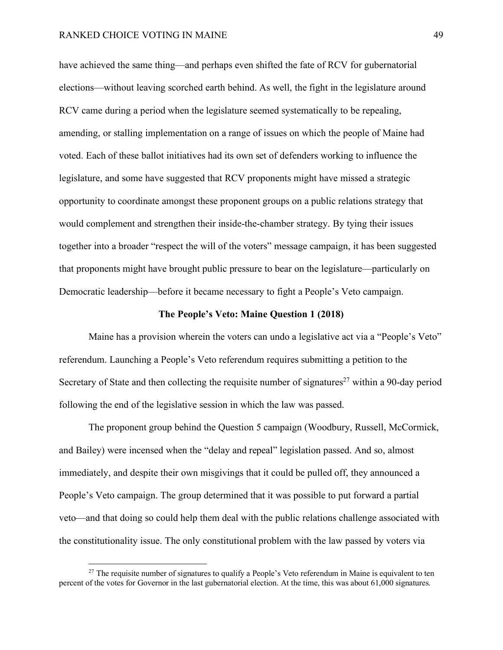have achieved the same thing—and perhaps even shifted the fate of RCV for gubernatorial elections—without leaving scorched earth behind. As well, the fight in the legislature around RCV came during a period when the legislature seemed systematically to be repealing, amending, or stalling implementation on a range of issues on which the people of Maine had voted. Each of these ballot initiatives had its own set of defenders working to influence the legislature, and some have suggested that RCV proponents might have missed a strategic opportunity to coordinate amongst these proponent groups on a public relations strategy that would complement and strengthen their inside-the-chamber strategy. By tying their issues together into a broader "respect the will of the voters" message campaign, it has been suggested that proponents might have brought public pressure to bear on the legislature—particularly on Democratic leadership—before it became necessary to fight a People's Veto campaign.

#### **The People's Veto: Maine Question 1 (2018)**

Maine has a provision wherein the voters can undo a legislative act via a "People's Veto" referendum. Launching a People's Veto referendum requires submitting a petition to the Secretary of State and then collecting the requisite number of signatures<sup>27</sup> within a 90-day period following the end of the legislative session in which the law was passed.

The proponent group behind the Question 5 campaign (Woodbury, Russell, McCormick, and Bailey) were incensed when the "delay and repeal" legislation passed. And so, almost immediately, and despite their own misgivings that it could be pulled off, they announced a People's Veto campaign. The group determined that it was possible to put forward a partial veto—and that doing so could help them deal with the public relations challenge associated with the constitutionality issue. The only constitutional problem with the law passed by voters via

 $27$  The requisite number of signatures to qualify a People's Veto referendum in Maine is equivalent to ten percent of the votes for Governor in the last gubernatorial election. At the time, this was about 61,000 signatures.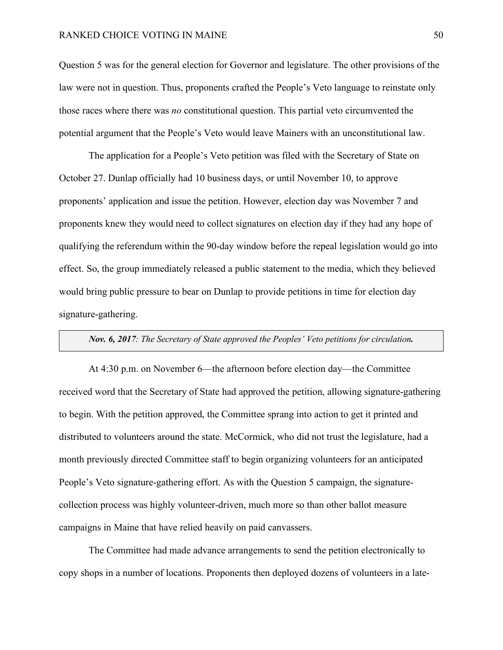Question 5 was for the general election for Governor and legislature. The other provisions of the law were not in question. Thus, proponents crafted the People's Veto language to reinstate only those races where there was *no* constitutional question. This partial veto circumvented the potential argument that the People's Veto would leave Mainers with an unconstitutional law.

The application for a People's Veto petition was filed with the Secretary of State on October 27. Dunlap officially had 10 business days, or until November 10, to approve proponents' application and issue the petition. However, election day was November 7 and proponents knew they would need to collect signatures on election day if they had any hope of qualifying the referendum within the 90-day window before the repeal legislation would go into effect. So, the group immediately released a public statement to the media, which they believed would bring public pressure to bear on Dunlap to provide petitions in time for election day signature-gathering.

## *Nov. 6, 2017: The Secretary of State approved the Peoples' Veto petitions for circulation.*

At 4:30 p.m. on November 6—the afternoon before election day—the Committee received word that the Secretary of State had approved the petition, allowing signature-gathering to begin. With the petition approved, the Committee sprang into action to get it printed and distributed to volunteers around the state. McCormick, who did not trust the legislature, had a month previously directed Committee staff to begin organizing volunteers for an anticipated People's Veto signature-gathering effort. As with the Question 5 campaign, the signaturecollection process was highly volunteer-driven, much more so than other ballot measure campaigns in Maine that have relied heavily on paid canvassers.

The Committee had made advance arrangements to send the petition electronically to copy shops in a number of locations. Proponents then deployed dozens of volunteers in a late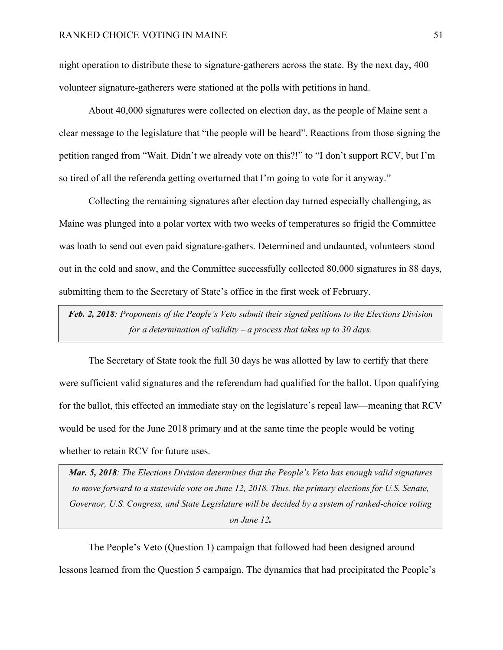night operation to distribute these to signature-gatherers across the state. By the next day, 400 volunteer signature-gatherers were stationed at the polls with petitions in hand.

About 40,000 signatures were collected on election day, as the people of Maine sent a clear message to the legislature that "the people will be heard". Reactions from those signing the petition ranged from "Wait. Didn't we already vote on this?!" to "I don't support RCV, but I'm so tired of all the referenda getting overturned that I'm going to vote for it anyway."

Collecting the remaining signatures after election day turned especially challenging, as Maine was plunged into a polar vortex with two weeks of temperatures so frigid the Committee was loath to send out even paid signature-gathers. Determined and undaunted, volunteers stood out in the cold and snow, and the Committee successfully collected 80,000 signatures in 88 days, submitting them to the Secretary of State's office in the first week of February.

*Feb. 2, 2018: Proponents of the People's Veto submit their signed petitions to the Elections Division for a determination of validity – a process that takes up to 30 days.*

The Secretary of State took the full 30 days he was allotted by law to certify that there were sufficient valid signatures and the referendum had qualified for the ballot. Upon qualifying for the ballot, this effected an immediate stay on the legislature's repeal law—meaning that RCV would be used for the June 2018 primary and at the same time the people would be voting whether to retain RCV for future uses.

*Mar. 5, 2018: The Elections Division determines that the People's Veto has enough valid signatures to move forward to a statewide vote on June 12, 2018. Thus, the primary elections for U.S. Senate, Governor, U.S. Congress, and State Legislature will be decided by a system of ranked-choice voting on June 12.*

The People's Veto (Question 1) campaign that followed had been designed around lessons learned from the Question 5 campaign. The dynamics that had precipitated the People's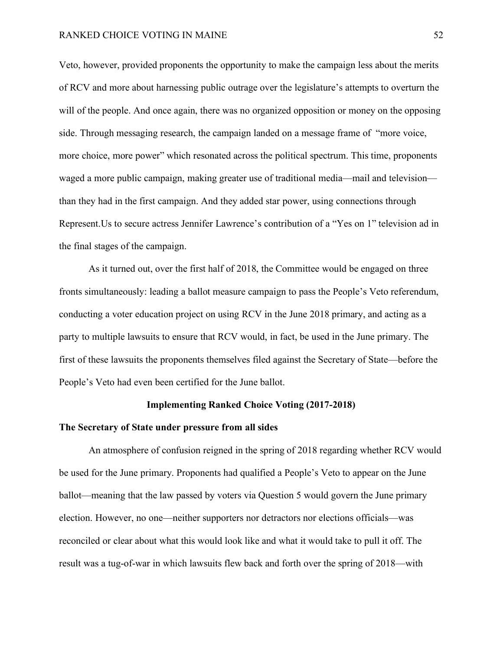Veto, however, provided proponents the opportunity to make the campaign less about the merits of RCV and more about harnessing public outrage over the legislature's attempts to overturn the will of the people. And once again, there was no organized opposition or money on the opposing side. Through messaging research, the campaign landed on a message frame of "more voice, more choice, more power" which resonated across the political spectrum. This time, proponents waged a more public campaign, making greater use of traditional media—mail and television than they had in the first campaign. And they added star power, using connections through Represent.Us to secure actress Jennifer Lawrence's contribution of a "Yes on 1" television ad in the final stages of the campaign.

As it turned out, over the first half of 2018, the Committee would be engaged on three fronts simultaneously: leading a ballot measure campaign to pass the People's Veto referendum, conducting a voter education project on using RCV in the June 2018 primary, and acting as a party to multiple lawsuits to ensure that RCV would, in fact, be used in the June primary. The first of these lawsuits the proponents themselves filed against the Secretary of State—before the People's Veto had even been certified for the June ballot.

## **Implementing Ranked Choice Voting (2017-2018)**

#### **The Secretary of State under pressure from all sides**

An atmosphere of confusion reigned in the spring of 2018 regarding whether RCV would be used for the June primary. Proponents had qualified a People's Veto to appear on the June ballot—meaning that the law passed by voters via Question 5 would govern the June primary election. However, no one—neither supporters nor detractors nor elections officials—was reconciled or clear about what this would look like and what it would take to pull it off. The result was a tug-of-war in which lawsuits flew back and forth over the spring of 2018—with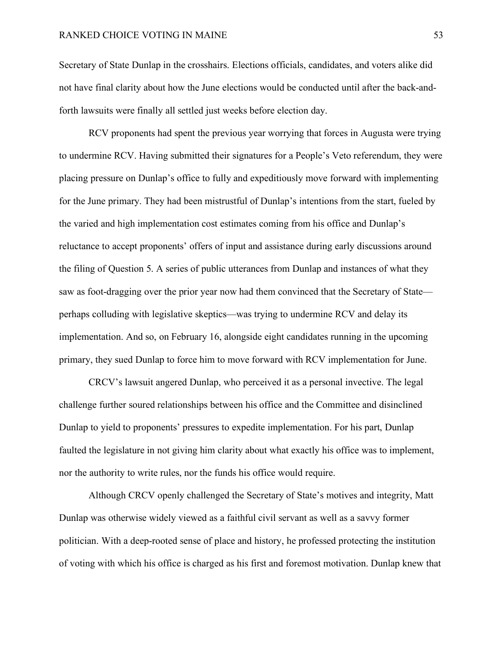Secretary of State Dunlap in the crosshairs. Elections officials, candidates, and voters alike did not have final clarity about how the June elections would be conducted until after the back-andforth lawsuits were finally all settled just weeks before election day.

RCV proponents had spent the previous year worrying that forces in Augusta were trying to undermine RCV. Having submitted their signatures for a People's Veto referendum, they were placing pressure on Dunlap's office to fully and expeditiously move forward with implementing for the June primary. They had been mistrustful of Dunlap's intentions from the start, fueled by the varied and high implementation cost estimates coming from his office and Dunlap's reluctance to accept proponents' offers of input and assistance during early discussions around the filing of Question 5. A series of public utterances from Dunlap and instances of what they saw as foot-dragging over the prior year now had them convinced that the Secretary of State perhaps colluding with legislative skeptics—was trying to undermine RCV and delay its implementation. And so, on February 16, alongside eight candidates running in the upcoming primary, they sued Dunlap to force him to move forward with RCV implementation for June.

CRCV's lawsuit angered Dunlap, who perceived it as a personal invective. The legal challenge further soured relationships between his office and the Committee and disinclined Dunlap to yield to proponents' pressures to expedite implementation. For his part, Dunlap faulted the legislature in not giving him clarity about what exactly his office was to implement, nor the authority to write rules, nor the funds his office would require.

Although CRCV openly challenged the Secretary of State's motives and integrity, Matt Dunlap was otherwise widely viewed as a faithful civil servant as well as a savvy former politician. With a deep-rooted sense of place and history, he professed protecting the institution of voting with which his office is charged as his first and foremost motivation. Dunlap knew that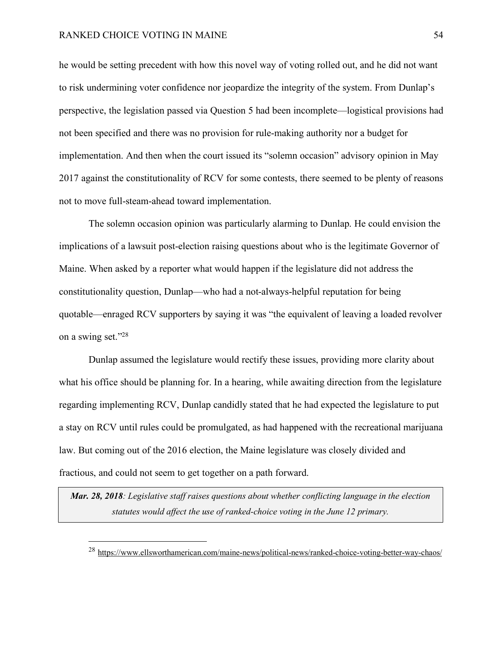he would be setting precedent with how this novel way of voting rolled out, and he did not want to risk undermining voter confidence nor jeopardize the integrity of the system. From Dunlap's perspective, the legislation passed via Question 5 had been incomplete—logistical provisions had not been specified and there was no provision for rule-making authority nor a budget for implementation. And then when the court issued its "solemn occasion" advisory opinion in May 2017 against the constitutionality of RCV for some contests, there seemed to be plenty of reasons not to move full-steam-ahead toward implementation.

The solemn occasion opinion was particularly alarming to Dunlap. He could envision the implications of a lawsuit post-election raising questions about who is the legitimate Governor of Maine. When asked by a reporter what would happen if the legislature did not address the constitutionality question, Dunlap—who had a not-always-helpful reputation for being quotable—enraged RCV supporters by saying it was "the equivalent of leaving a loaded revolver on a swing set."28

Dunlap assumed the legislature would rectify these issues, providing more clarity about what his office should be planning for. In a hearing, while awaiting direction from the legislature regarding implementing RCV, Dunlap candidly stated that he had expected the legislature to put a stay on RCV until rules could be promulgated, as had happened with the recreational marijuana law. But coming out of the 2016 election, the Maine legislature was closely divided and fractious, and could not seem to get together on a path forward.

*Mar. 28, 2018: Legislative staff raises questions about whether conflicting language in the election statutes would affect the use of ranked-choice voting in the June 12 primary.*

 <sup>28</sup> https://www.ellsworthamerican.com/maine-news/political-news/ranked-choice-voting-better-way-chaos/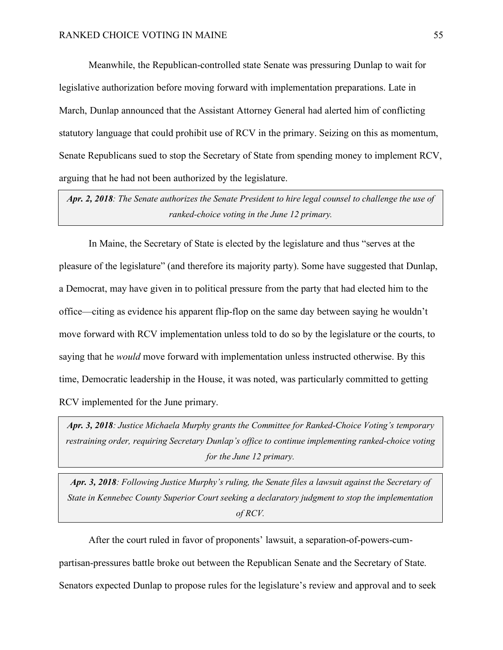Meanwhile, the Republican-controlled state Senate was pressuring Dunlap to wait for legislative authorization before moving forward with implementation preparations. Late in March, Dunlap announced that the Assistant Attorney General had alerted him of conflicting statutory language that could prohibit use of RCV in the primary. Seizing on this as momentum, Senate Republicans sued to stop the Secretary of State from spending money to implement RCV, arguing that he had not been authorized by the legislature.

*Apr. 2, 2018: The Senate authorizes the Senate President to hire legal counsel to challenge the use of ranked-choice voting in the June 12 primary.*

In Maine, the Secretary of State is elected by the legislature and thus "serves at the pleasure of the legislature" (and therefore its majority party). Some have suggested that Dunlap, a Democrat, may have given in to political pressure from the party that had elected him to the office—citing as evidence his apparent flip-flop on the same day between saying he wouldn't move forward with RCV implementation unless told to do so by the legislature or the courts, to saying that he *would* move forward with implementation unless instructed otherwise. By this time, Democratic leadership in the House, it was noted, was particularly committed to getting RCV implemented for the June primary.

*Apr. 3, 2018: Justice Michaela Murphy grants the Committee for Ranked-Choice Voting's temporary restraining order, requiring Secretary Dunlap's office to continue implementing ranked-choice voting for the June 12 primary.*

*Apr. 3, 2018: Following Justice Murphy's ruling, the Senate files a lawsuit against the Secretary of State in Kennebec County Superior Court seeking a declaratory judgment to stop the implementation of RCV.*

After the court ruled in favor of proponents' lawsuit, a separation-of-powers-cumpartisan-pressures battle broke out between the Republican Senate and the Secretary of State. Senators expected Dunlap to propose rules for the legislature's review and approval and to seek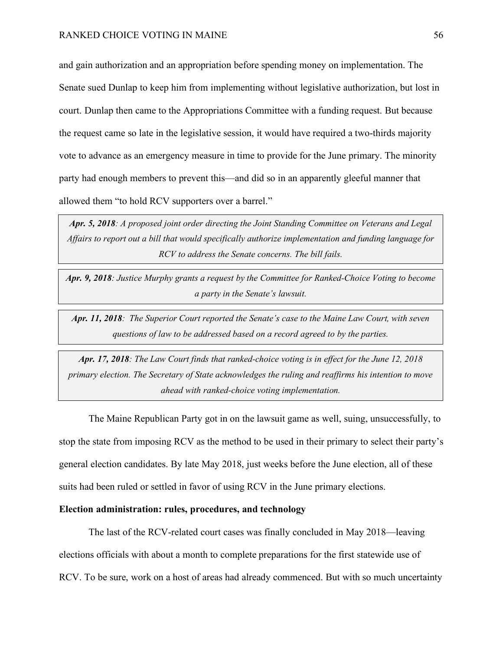and gain authorization and an appropriation before spending money on implementation. The Senate sued Dunlap to keep him from implementing without legislative authorization, but lost in court. Dunlap then came to the Appropriations Committee with a funding request. But because the request came so late in the legislative session, it would have required a two-thirds majority vote to advance as an emergency measure in time to provide for the June primary. The minority party had enough members to prevent this—and did so in an apparently gleeful manner that allowed them "to hold RCV supporters over a barrel."

*Apr. 5, 2018: A proposed joint order directing the Joint Standing Committee on Veterans and Legal Affairs to report out a bill that would specifically authorize implementation and funding language for RCV to address the Senate concerns. The bill fails.*

*Apr. 9, 2018: Justice Murphy grants a request by the Committee for Ranked-Choice Voting to become a party in the Senate's lawsuit.*

*Apr. 11, 2018: The Superior Court reported the Senate's case to the Maine Law Court, with seven questions of law to be addressed based on a record agreed to by the parties.*

*Apr. 17, 2018: The Law Court finds that ranked-choice voting is in effect for the June 12, 2018 primary election. The Secretary of State acknowledges the ruling and reaffirms his intention to move ahead with ranked-choice voting implementation.*

The Maine Republican Party got in on the lawsuit game as well, suing, unsuccessfully, to stop the state from imposing RCV as the method to be used in their primary to select their party's general election candidates. By late May 2018, just weeks before the June election, all of these suits had been ruled or settled in favor of using RCV in the June primary elections.

## **Election administration: rules, procedures, and technology**

The last of the RCV-related court cases was finally concluded in May 2018—leaving elections officials with about a month to complete preparations for the first statewide use of RCV. To be sure, work on a host of areas had already commenced. But with so much uncertainty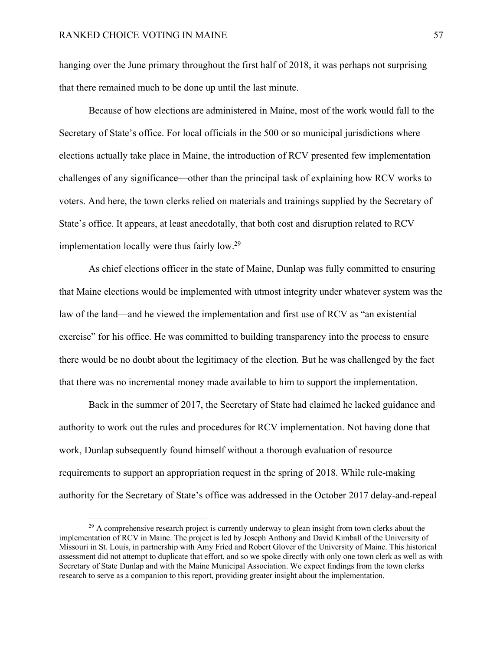hanging over the June primary throughout the first half of 2018, it was perhaps not surprising that there remained much to be done up until the last minute.

Because of how elections are administered in Maine, most of the work would fall to the Secretary of State's office. For local officials in the 500 or so municipal jurisdictions where elections actually take place in Maine, the introduction of RCV presented few implementation challenges of any significance—other than the principal task of explaining how RCV works to voters. And here, the town clerks relied on materials and trainings supplied by the Secretary of State's office. It appears, at least anecdotally, that both cost and disruption related to RCV implementation locally were thus fairly low.29

As chief elections officer in the state of Maine, Dunlap was fully committed to ensuring that Maine elections would be implemented with utmost integrity under whatever system was the law of the land—and he viewed the implementation and first use of RCV as "an existential exercise" for his office. He was committed to building transparency into the process to ensure there would be no doubt about the legitimacy of the election. But he was challenged by the fact that there was no incremental money made available to him to support the implementation.

Back in the summer of 2017, the Secretary of State had claimed he lacked guidance and authority to work out the rules and procedures for RCV implementation. Not having done that work, Dunlap subsequently found himself without a thorough evaluation of resource requirements to support an appropriation request in the spring of 2018. While rule-making authority for the Secretary of State's office was addressed in the October 2017 delay-and-repeal

<sup>&</sup>lt;sup>29</sup> A comprehensive research project is currently underway to glean insight from town clerks about the implementation of RCV in Maine. The project is led by Joseph Anthony and David Kimball of the University of Missouri in St. Louis, in partnership with Amy Fried and Robert Glover of the University of Maine. This historical assessment did not attempt to duplicate that effort, and so we spoke directly with only one town clerk as well as with Secretary of State Dunlap and with the Maine Municipal Association. We expect findings from the town clerks research to serve as a companion to this report, providing greater insight about the implementation.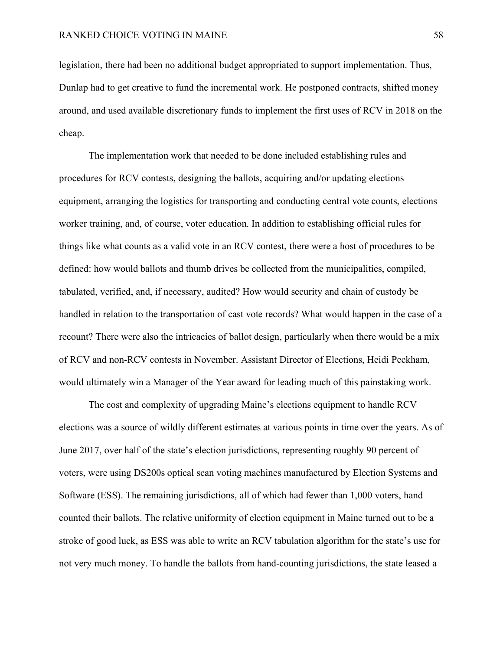legislation, there had been no additional budget appropriated to support implementation. Thus, Dunlap had to get creative to fund the incremental work. He postponed contracts, shifted money around, and used available discretionary funds to implement the first uses of RCV in 2018 on the cheap.

The implementation work that needed to be done included establishing rules and procedures for RCV contests, designing the ballots, acquiring and/or updating elections equipment, arranging the logistics for transporting and conducting central vote counts, elections worker training, and, of course, voter education. In addition to establishing official rules for things like what counts as a valid vote in an RCV contest, there were a host of procedures to be defined: how would ballots and thumb drives be collected from the municipalities, compiled, tabulated, verified, and, if necessary, audited? How would security and chain of custody be handled in relation to the transportation of cast vote records? What would happen in the case of a recount? There were also the intricacies of ballot design, particularly when there would be a mix of RCV and non-RCV contests in November. Assistant Director of Elections, Heidi Peckham, would ultimately win a Manager of the Year award for leading much of this painstaking work.

The cost and complexity of upgrading Maine's elections equipment to handle RCV elections was a source of wildly different estimates at various points in time over the years. As of June 2017, over half of the state's election jurisdictions, representing roughly 90 percent of voters, were using DS200s optical scan voting machines manufactured by Election Systems and Software (ESS). The remaining jurisdictions, all of which had fewer than 1,000 voters, hand counted their ballots. The relative uniformity of election equipment in Maine turned out to be a stroke of good luck, as ESS was able to write an RCV tabulation algorithm for the state's use for not very much money. To handle the ballots from hand-counting jurisdictions, the state leased a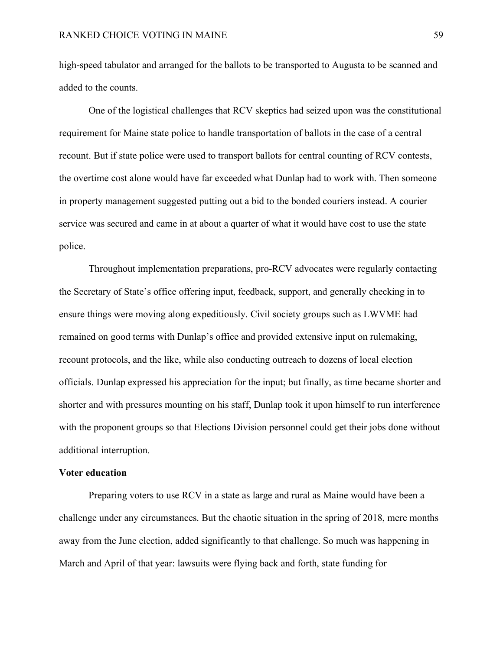high-speed tabulator and arranged for the ballots to be transported to Augusta to be scanned and added to the counts.

One of the logistical challenges that RCV skeptics had seized upon was the constitutional requirement for Maine state police to handle transportation of ballots in the case of a central recount. But if state police were used to transport ballots for central counting of RCV contests, the overtime cost alone would have far exceeded what Dunlap had to work with. Then someone in property management suggested putting out a bid to the bonded couriers instead. A courier service was secured and came in at about a quarter of what it would have cost to use the state police.

Throughout implementation preparations, pro-RCV advocates were regularly contacting the Secretary of State's office offering input, feedback, support, and generally checking in to ensure things were moving along expeditiously. Civil society groups such as LWVME had remained on good terms with Dunlap's office and provided extensive input on rulemaking, recount protocols, and the like, while also conducting outreach to dozens of local election officials. Dunlap expressed his appreciation for the input; but finally, as time became shorter and shorter and with pressures mounting on his staff, Dunlap took it upon himself to run interference with the proponent groups so that Elections Division personnel could get their jobs done without additional interruption.

## **Voter education**

Preparing voters to use RCV in a state as large and rural as Maine would have been a challenge under any circumstances. But the chaotic situation in the spring of 2018, mere months away from the June election, added significantly to that challenge. So much was happening in March and April of that year: lawsuits were flying back and forth, state funding for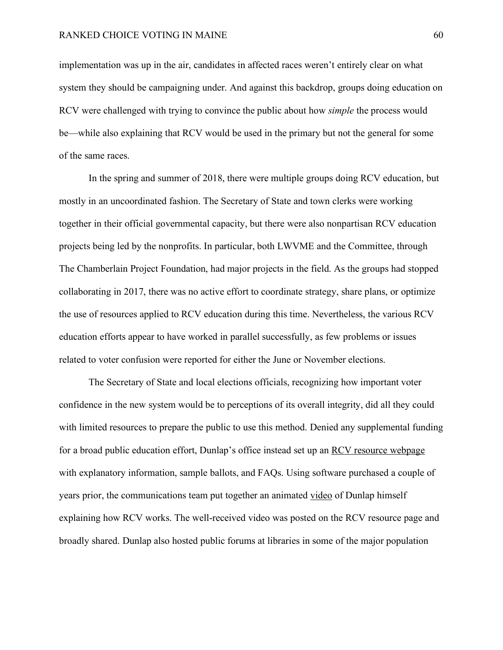implementation was up in the air, candidates in affected races weren't entirely clear on what system they should be campaigning under. And against this backdrop, groups doing education on RCV were challenged with trying to convince the public about how *simple* the process would be—while also explaining that RCV would be used in the primary but not the general for some of the same races.

In the spring and summer of 2018, there were multiple groups doing RCV education, but mostly in an uncoordinated fashion. The Secretary of State and town clerks were working together in their official governmental capacity, but there were also nonpartisan RCV education projects being led by the nonprofits. In particular, both LWVME and the Committee, through The Chamberlain Project Foundation, had major projects in the field. As the groups had stopped collaborating in 2017, there was no active effort to coordinate strategy, share plans, or optimize the use of resources applied to RCV education during this time. Nevertheless, the various RCV education efforts appear to have worked in parallel successfully, as few problems or issues related to voter confusion were reported for either the June or November elections.

The Secretary of State and local elections officials, recognizing how important voter confidence in the new system would be to perceptions of its overall integrity, did all they could with limited resources to prepare the public to use this method. Denied any supplemental funding for a broad public education effort, Dunlap's office instead set up an RCV resource webpage with explanatory information, sample ballots, and FAQs. Using software purchased a couple of years prior, the communications team put together an animated video of Dunlap himself explaining how RCV works. The well-received video was posted on the RCV resource page and broadly shared. Dunlap also hosted public forums at libraries in some of the major population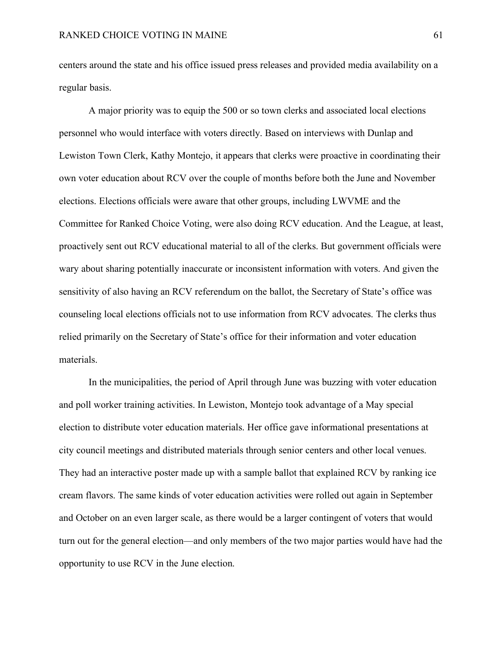centers around the state and his office issued press releases and provided media availability on a regular basis.

A major priority was to equip the 500 or so town clerks and associated local elections personnel who would interface with voters directly. Based on interviews with Dunlap and Lewiston Town Clerk, Kathy Montejo, it appears that clerks were proactive in coordinating their own voter education about RCV over the couple of months before both the June and November elections. Elections officials were aware that other groups, including LWVME and the Committee for Ranked Choice Voting, were also doing RCV education. And the League, at least, proactively sent out RCV educational material to all of the clerks. But government officials were wary about sharing potentially inaccurate or inconsistent information with voters. And given the sensitivity of also having an RCV referendum on the ballot, the Secretary of State's office was counseling local elections officials not to use information from RCV advocates. The clerks thus relied primarily on the Secretary of State's office for their information and voter education materials.

In the municipalities, the period of April through June was buzzing with voter education and poll worker training activities. In Lewiston, Montejo took advantage of a May special election to distribute voter education materials. Her office gave informational presentations at city council meetings and distributed materials through senior centers and other local venues. They had an interactive poster made up with a sample ballot that explained RCV by ranking ice cream flavors. The same kinds of voter education activities were rolled out again in September and October on an even larger scale, as there would be a larger contingent of voters that would turn out for the general election—and only members of the two major parties would have had the opportunity to use RCV in the June election.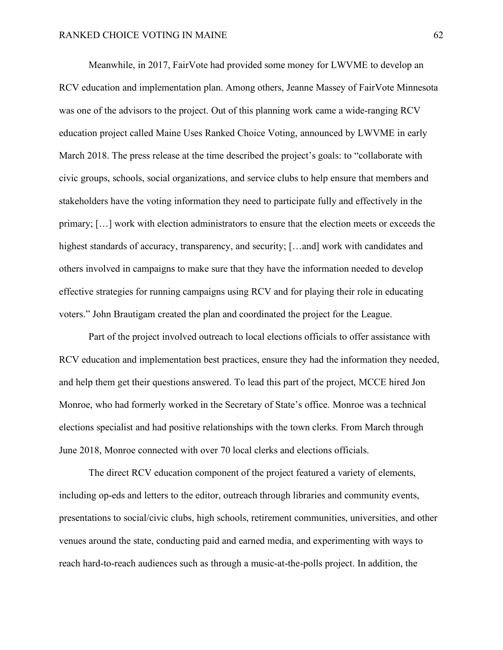Meanwhile, in 2017, FairVote had provided some money for LWVME to develop an RCV education and implementation plan. Among others, Jeanne Massey of FairVote Minnesota was one of the advisors to the project. Out of this planning work came a wide-ranging RCV education project called Maine Uses Ranked Choice Voting, announced by LWVME in early March 2018. The press release at the time described the project's goals: to "collaborate with civic groups, schools, social organizations, and service clubs to help ensure that members and stakeholders have the voting information they need to participate fully and effectively in the primary; […] work with election administrators to ensure that the election meets or exceeds the highest standards of accuracy, transparency, and security; [...and] work with candidates and others involved in campaigns to make sure that they have the information needed to develop effective strategies for running campaigns using RCV and for playing their role in educating voters." John Brautigam created the plan and coordinated the project for the League.

Part of the project involved outreach to local elections officials to offer assistance with RCV education and implementation best practices, ensure they had the information they needed, and help them get their questions answered. To lead this part of the project, MCCE hired Jon Monroe, who had formerly worked in the Secretary of State's office. Monroe was a technical elections specialist and had positive relationships with the town clerks. From March through June 2018, Monroe connected with over 70 local clerks and elections officials.

The direct RCV education component of the project featured a variety of elements, including op-eds and letters to the editor, outreach through libraries and community events, presentations to social/civic clubs, high schools, retirement communities, universities, and other venues around the state, conducting paid and earned media, and experimenting with ways to reach hard-to-reach audiences such as through a music-at-the-polls project. In addition, the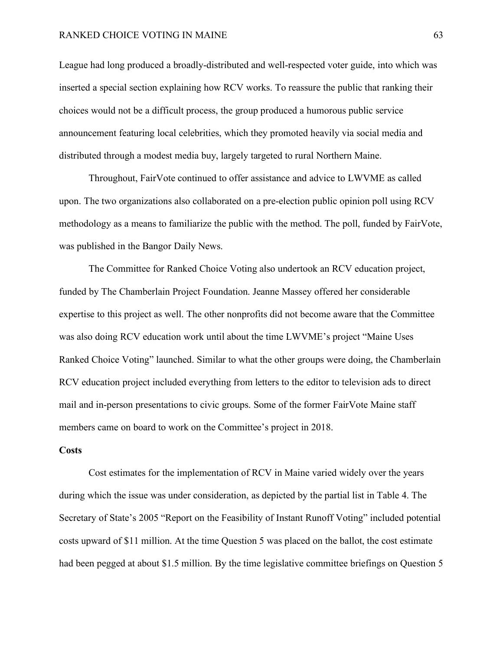League had long produced a broadly-distributed and well-respected voter guide, into which was inserted a special section explaining how RCV works. To reassure the public that ranking their choices would not be a difficult process, the group produced a humorous public service announcement featuring local celebrities, which they promoted heavily via social media and distributed through a modest media buy, largely targeted to rural Northern Maine.

Throughout, FairVote continued to offer assistance and advice to LWVME as called upon. The two organizations also collaborated on a pre-election public opinion poll using RCV methodology as a means to familiarize the public with the method. The poll, funded by FairVote, was published in the Bangor Daily News.

The Committee for Ranked Choice Voting also undertook an RCV education project, funded by The Chamberlain Project Foundation. Jeanne Massey offered her considerable expertise to this project as well. The other nonprofits did not become aware that the Committee was also doing RCV education work until about the time LWVME's project "Maine Uses Ranked Choice Voting" launched. Similar to what the other groups were doing, the Chamberlain RCV education project included everything from letters to the editor to television ads to direct mail and in-person presentations to civic groups. Some of the former FairVote Maine staff members came on board to work on the Committee's project in 2018.

### **Costs**

Cost estimates for the implementation of RCV in Maine varied widely over the years during which the issue was under consideration, as depicted by the partial list in Table 4. The Secretary of State's 2005 "Report on the Feasibility of Instant Runoff Voting" included potential costs upward of \$11 million. At the time Question 5 was placed on the ballot, the cost estimate had been pegged at about \$1.5 million. By the time legislative committee briefings on Question 5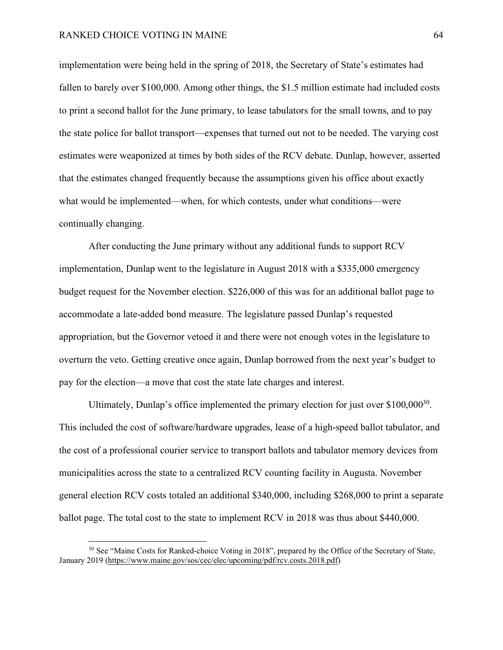implementation were being held in the spring of 2018, the Secretary of State's estimates had fallen to barely over \$100,000. Among other things, the \$1.5 million estimate had included costs to print a second ballot for the June primary, to lease tabulators for the small towns, and to pay the state police for ballot transport—expenses that turned out not to be needed. The varying cost estimates were weaponized at times by both sides of the RCV debate. Dunlap, however, asserted that the estimates changed frequently because the assumptions given his office about exactly what would be implemented—when, for which contests, under what conditions—were continually changing.

After conducting the June primary without any additional funds to support RCV implementation, Dunlap went to the legislature in August 2018 with a \$335,000 emergency budget request for the November election. \$226,000 of this was for an additional ballot page to accommodate a late-added bond measure. The legislature passed Dunlap's requested appropriation, but the Governor vetoed it and there were not enough votes in the legislature to overturn the veto. Getting creative once again, Dunlap borrowed from the next year's budget to pay for the election—a move that cost the state late charges and interest.

Ultimately, Dunlap's office implemented the primary election for just over \$100,000<sup>30</sup>. This included the cost of software/hardware upgrades, lease of a high-speed ballot tabulator, and the cost of a professional courier service to transport ballots and tabulator memory devices from municipalities across the state to a centralized RCV counting facility in Augusta. November general election RCV costs totaled an additional \$340,000, including \$268,000 to print a separate ballot page. The total cost to the state to implement RCV in 2018 was thus about \$440,000.

<sup>&</sup>lt;sup>30</sup> See "Maine Costs for Ranked-choice Voting in 2018", prepared by the Office of the Secretary of State, January 2019 (https://www.maine.gov/sos/cec/elec/upcoming/pdf/rcv.costs.2018.pdf)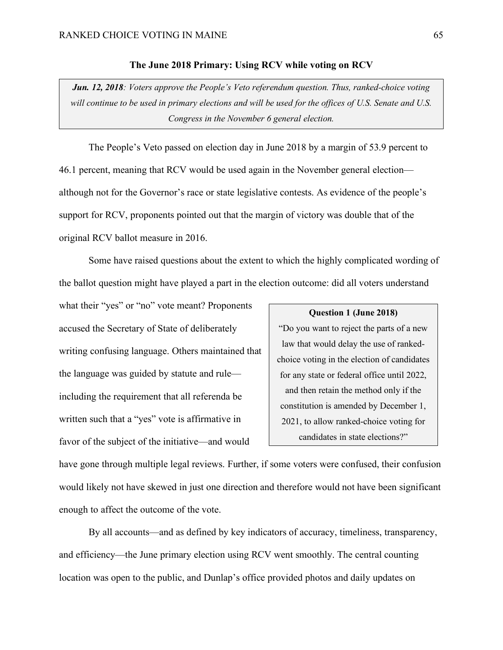## **The June 2018 Primary: Using RCV while voting on RCV**

*Jun. 12, 2018: Voters approve the People's Veto referendum question. Thus, ranked-choice voting will continue to be used in primary elections and will be used for the offices of U.S. Senate and U.S. Congress in the November 6 general election.*

The People's Veto passed on election day in June 2018 by a margin of 53.9 percent to 46.1 percent, meaning that RCV would be used again in the November general election although not for the Governor's race or state legislative contests. As evidence of the people's support for RCV, proponents pointed out that the margin of victory was double that of the original RCV ballot measure in 2016.

Some have raised questions about the extent to which the highly complicated wording of the ballot question might have played a part in the election outcome: did all voters understand

what their "yes" or "no" vote meant? Proponents accused the Secretary of State of deliberately writing confusing language. Others maintained that the language was guided by statute and rule including the requirement that all referenda be written such that a "yes" vote is affirmative in favor of the subject of the initiative—and would

#### **Question 1 (June 2018)**

"Do you want to reject the parts of a new law that would delay the use of rankedchoice voting in the election of candidates for any state or federal office until 2022, and then retain the method only if the constitution is amended by December 1, 2021, to allow ranked-choice voting for candidates in state elections?"

have gone through multiple legal reviews. Further, if some voters were confused, their confusion would likely not have skewed in just one direction and therefore would not have been significant enough to affect the outcome of the vote.

By all accounts—and as defined by key indicators of accuracy, timeliness, transparency, and efficiency—the June primary election using RCV went smoothly. The central counting location was open to the public, and Dunlap's office provided photos and daily updates on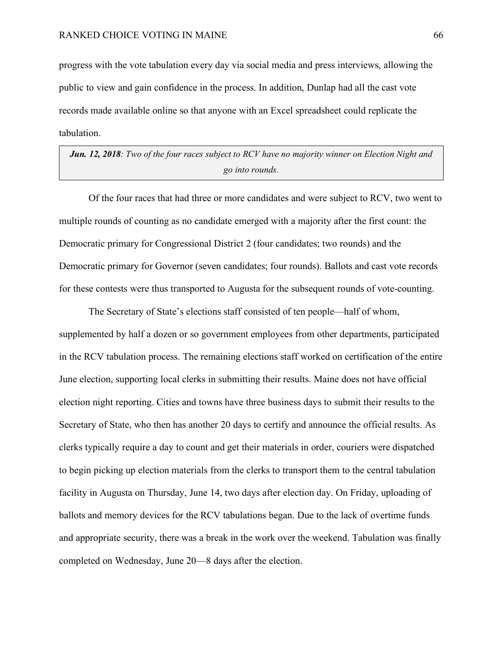progress with the vote tabulation every day via social media and press interviews, allowing the public to view and gain confidence in the process. In addition, Dunlap had all the cast vote records made available online so that anyone with an Excel spreadsheet could replicate the tabulation.

# *Jun. 12, 2018: Two of the four races subject to RCV have no majority winner on Election Night and go into rounds.*

Of the four races that had three or more candidates and were subject to RCV, two went to multiple rounds of counting as no candidate emerged with a majority after the first count: the Democratic primary for Congressional District 2 (four candidates; two rounds) and the Democratic primary for Governor (seven candidates; four rounds). Ballots and cast vote records for these contests were thus transported to Augusta for the subsequent rounds of vote-counting.

The Secretary of State's elections staff consisted of ten people—half of whom, supplemented by half a dozen or so government employees from other departments, participated in the RCV tabulation process. The remaining elections staff worked on certification of the entire June election, supporting local clerks in submitting their results. Maine does not have official election night reporting. Cities and towns have three business days to submit their results to the Secretary of State, who then has another 20 days to certify and announce the official results. As clerks typically require a day to count and get their materials in order, couriers were dispatched to begin picking up election materials from the clerks to transport them to the central tabulation facility in Augusta on Thursday, June 14, two days after election day. On Friday, uploading of ballots and memory devices for the RCV tabulations began. Due to the lack of overtime funds and appropriate security, there was a break in the work over the weekend. Tabulation was finally completed on Wednesday, June 20—8 days after the election.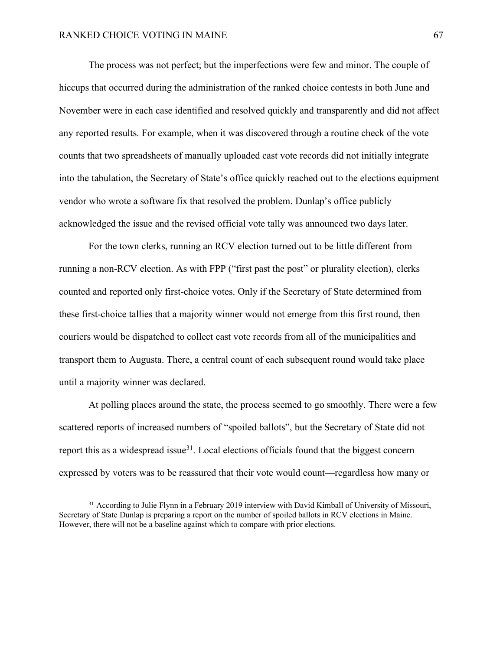The process was not perfect; but the imperfections were few and minor. The couple of hiccups that occurred during the administration of the ranked choice contests in both June and November were in each case identified and resolved quickly and transparently and did not affect any reported results. For example, when it was discovered through a routine check of the vote counts that two spreadsheets of manually uploaded cast vote records did not initially integrate into the tabulation, the Secretary of State's office quickly reached out to the elections equipment vendor who wrote a software fix that resolved the problem. Dunlap's office publicly acknowledged the issue and the revised official vote tally was announced two days later.

For the town clerks, running an RCV election turned out to be little different from running a non-RCV election. As with FPP ("first past the post" or plurality election), clerks counted and reported only first-choice votes. Only if the Secretary of State determined from these first-choice tallies that a majority winner would not emerge from this first round, then couriers would be dispatched to collect cast vote records from all of the municipalities and transport them to Augusta. There, a central count of each subsequent round would take place until a majority winner was declared.

At polling places around the state, the process seemed to go smoothly. There were a few scattered reports of increased numbers of "spoiled ballots", but the Secretary of State did not report this as a widespread issue $3^1$ . Local elections officials found that the biggest concern expressed by voters was to be reassured that their vote would count—regardless how many or

<sup>&</sup>lt;sup>31</sup> According to Julie Flynn in a February 2019 interview with David Kimball of University of Missouri, Secretary of State Dunlap is preparing a report on the number of spoiled ballots in RCV elections in Maine. However, there will not be a baseline against which to compare with prior elections.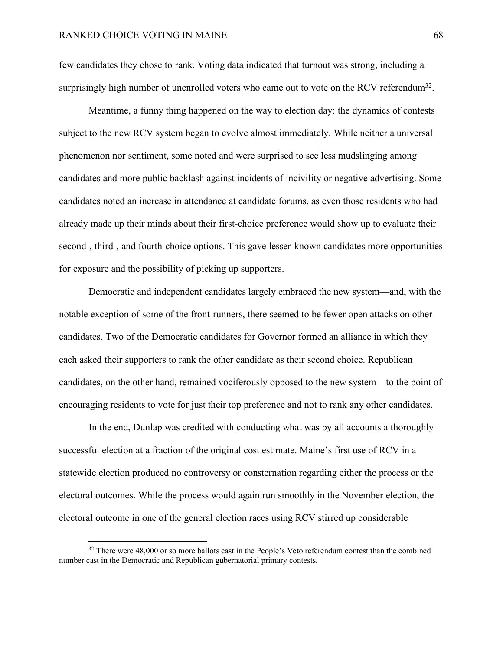few candidates they chose to rank. Voting data indicated that turnout was strong, including a surprisingly high number of unenrolled voters who came out to vote on the RCV referendum<sup>32</sup>.

Meantime, a funny thing happened on the way to election day: the dynamics of contests subject to the new RCV system began to evolve almost immediately. While neither a universal phenomenon nor sentiment, some noted and were surprised to see less mudslinging among candidates and more public backlash against incidents of incivility or negative advertising. Some candidates noted an increase in attendance at candidate forums, as even those residents who had already made up their minds about their first-choice preference would show up to evaluate their second-, third-, and fourth-choice options. This gave lesser-known candidates more opportunities for exposure and the possibility of picking up supporters.

Democratic and independent candidates largely embraced the new system—and, with the notable exception of some of the front-runners, there seemed to be fewer open attacks on other candidates. Two of the Democratic candidates for Governor formed an alliance in which they each asked their supporters to rank the other candidate as their second choice. Republican candidates, on the other hand, remained vociferously opposed to the new system—to the point of encouraging residents to vote for just their top preference and not to rank any other candidates.

In the end, Dunlap was credited with conducting what was by all accounts a thoroughly successful election at a fraction of the original cost estimate. Maine's first use of RCV in a statewide election produced no controversy or consternation regarding either the process or the electoral outcomes. While the process would again run smoothly in the November election, the electoral outcome in one of the general election races using RCV stirred up considerable

<sup>&</sup>lt;sup>32</sup> There were 48,000 or so more ballots cast in the People's Veto referendum contest than the combined number cast in the Democratic and Republican gubernatorial primary contests.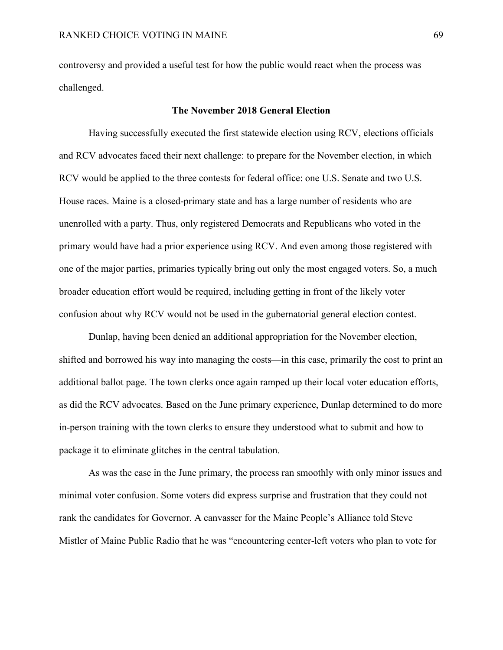controversy and provided a useful test for how the public would react when the process was challenged.

## **The November 2018 General Election**

Having successfully executed the first statewide election using RCV, elections officials and RCV advocates faced their next challenge: to prepare for the November election, in which RCV would be applied to the three contests for federal office: one U.S. Senate and two U.S. House races. Maine is a closed-primary state and has a large number of residents who are unenrolled with a party. Thus, only registered Democrats and Republicans who voted in the primary would have had a prior experience using RCV. And even among those registered with one of the major parties, primaries typically bring out only the most engaged voters. So, a much broader education effort would be required, including getting in front of the likely voter confusion about why RCV would not be used in the gubernatorial general election contest.

Dunlap, having been denied an additional appropriation for the November election, shifted and borrowed his way into managing the costs—in this case, primarily the cost to print an additional ballot page. The town clerks once again ramped up their local voter education efforts, as did the RCV advocates. Based on the June primary experience, Dunlap determined to do more in-person training with the town clerks to ensure they understood what to submit and how to package it to eliminate glitches in the central tabulation.

As was the case in the June primary, the process ran smoothly with only minor issues and minimal voter confusion. Some voters did express surprise and frustration that they could not rank the candidates for Governor. A canvasser for the Maine People's Alliance told Steve Mistler of Maine Public Radio that he was "encountering center-left voters who plan to vote for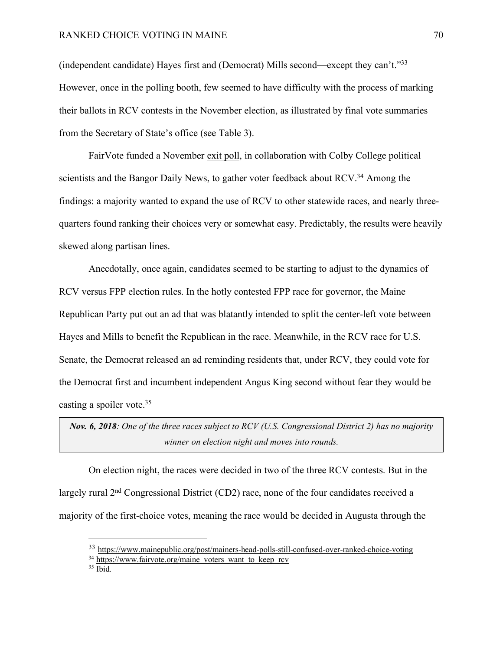(independent candidate) Hayes first and (Democrat) Mills second—except they can't."33 However, once in the polling booth, few seemed to have difficulty with the process of marking their ballots in RCV contests in the November election, as illustrated by final vote summaries from the Secretary of State's office (see Table 3).

FairVote funded a November exit poll, in collaboration with Colby College political scientists and the Bangor Daily News, to gather voter feedback about RCV.<sup>34</sup> Among the findings: a majority wanted to expand the use of RCV to other statewide races, and nearly threequarters found ranking their choices very or somewhat easy. Predictably, the results were heavily skewed along partisan lines.

Anecdotally, once again, candidates seemed to be starting to adjust to the dynamics of RCV versus FPP election rules. In the hotly contested FPP race for governor, the Maine Republican Party put out an ad that was blatantly intended to split the center-left vote between Hayes and Mills to benefit the Republican in the race. Meanwhile, in the RCV race for U.S. Senate, the Democrat released an ad reminding residents that, under RCV, they could vote for the Democrat first and incumbent independent Angus King second without fear they would be casting a spoiler vote.35

*Nov. 6, 2018: One of the three races subject to RCV (U.S. Congressional District 2) has no majority winner on election night and moves into rounds.*

On election night, the races were decided in two of the three RCV contests. But in the largely rural 2<sup>nd</sup> Congressional District (CD2) race, none of the four candidates received a majority of the first-choice votes, meaning the race would be decided in Augusta through the

 <sup>33</sup> https://www.mainepublic.org/post/mainers-head-polls-still-confused-over-ranked-choice-voting

 $34 \text{ https://www.fairvote.org/maine}$  voters want to keep rcv

 $35$  Ibid.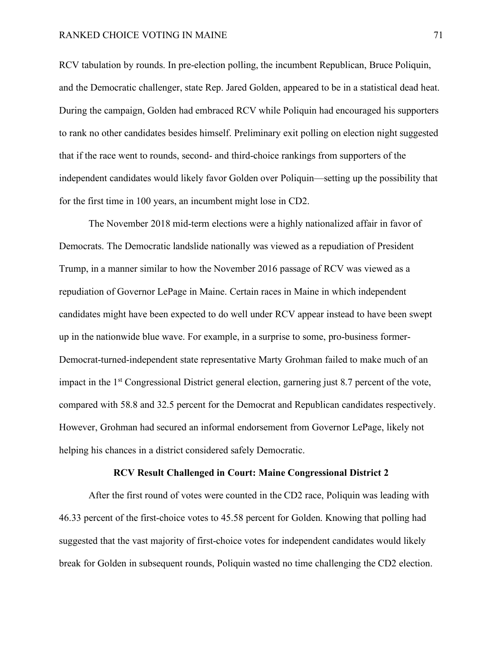RCV tabulation by rounds. In pre-election polling, the incumbent Republican, Bruce Poliquin, and the Democratic challenger, state Rep. Jared Golden, appeared to be in a statistical dead heat. During the campaign, Golden had embraced RCV while Poliquin had encouraged his supporters to rank no other candidates besides himself. Preliminary exit polling on election night suggested that if the race went to rounds, second- and third-choice rankings from supporters of the independent candidates would likely favor Golden over Poliquin—setting up the possibility that for the first time in 100 years, an incumbent might lose in CD2.

The November 2018 mid-term elections were a highly nationalized affair in favor of Democrats. The Democratic landslide nationally was viewed as a repudiation of President Trump, in a manner similar to how the November 2016 passage of RCV was viewed as a repudiation of Governor LePage in Maine. Certain races in Maine in which independent candidates might have been expected to do well under RCV appear instead to have been swept up in the nationwide blue wave. For example, in a surprise to some, pro-business former-Democrat-turned-independent state representative Marty Grohman failed to make much of an impact in the 1st Congressional District general election, garnering just 8.7 percent of the vote, compared with 58.8 and 32.5 percent for the Democrat and Republican candidates respectively. However, Grohman had secured an informal endorsement from Governor LePage, likely not helping his chances in a district considered safely Democratic.

## **RCV Result Challenged in Court: Maine Congressional District 2**

After the first round of votes were counted in the CD2 race, Poliquin was leading with 46.33 percent of the first-choice votes to 45.58 percent for Golden. Knowing that polling had suggested that the vast majority of first-choice votes for independent candidates would likely break for Golden in subsequent rounds, Poliquin wasted no time challenging the CD2 election.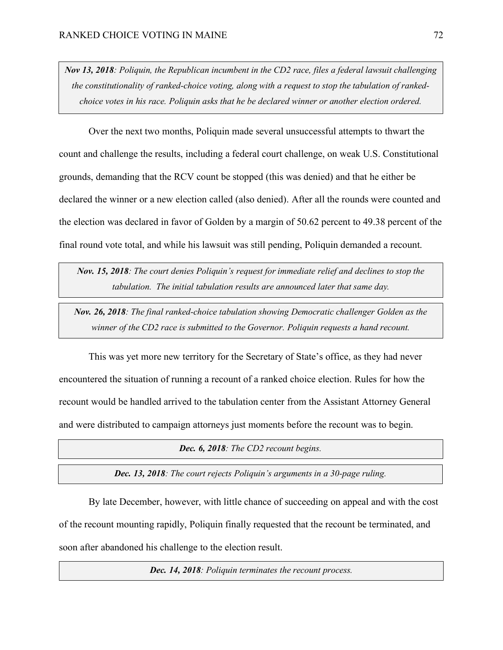*Nov 13, 2018: Poliquin, the Republican incumbent in the CD2 race, files a federal lawsuit challenging the constitutionality of ranked-choice voting, along with a request to stop the tabulation of rankedchoice votes in his race. Poliquin asks that he be declared winner or another election ordered.*

Over the next two months, Poliquin made several unsuccessful attempts to thwart the count and challenge the results, including a federal court challenge, on weak U.S. Constitutional grounds, demanding that the RCV count be stopped (this was denied) and that he either be declared the winner or a new election called (also denied). After all the rounds were counted and the election was declared in favor of Golden by a margin of 50.62 percent to 49.38 percent of the final round vote total, and while his lawsuit was still pending, Poliquin demanded a recount.

*Nov. 15, 2018: The court denies Poliquin's request for immediate relief and declines to stop the tabulation. The initial tabulation results are announced later that same day.*

*Nov. 26, 2018: The final ranked-choice tabulation showing Democratic challenger Golden as the winner of the CD2 race is submitted to the Governor. Poliquin requests a hand recount.*

This was yet more new territory for the Secretary of State's office, as they had never encountered the situation of running a recount of a ranked choice election. Rules for how the recount would be handled arrived to the tabulation center from the Assistant Attorney General and were distributed to campaign attorneys just moments before the recount was to begin.

*Dec. 6, 2018: The CD2 recount begins.*

*Dec. 13, 2018: The court rejects Poliquin's arguments in a 30-page ruling.*

By late December, however, with little chance of succeeding on appeal and with the cost of the recount mounting rapidly, Poliquin finally requested that the recount be terminated, and soon after abandoned his challenge to the election result.

*Dec. 14, 2018: Poliquin terminates the recount process.*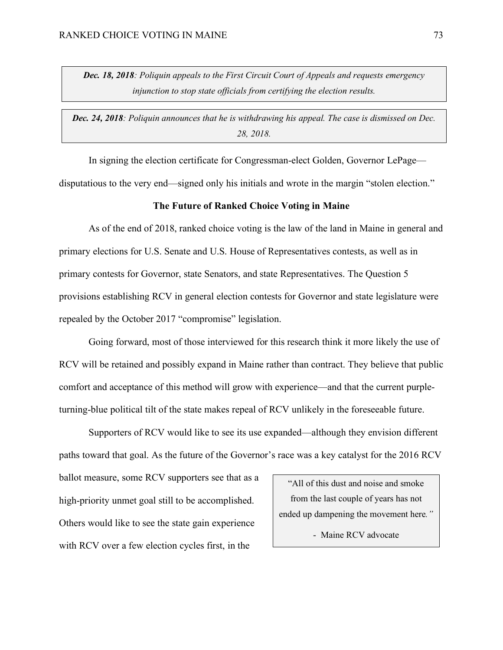*Dec. 18, 2018: Poliquin appeals to the First Circuit Court of Appeals and requests emergency injunction to stop state officials from certifying the election results.*

*Dec. 24, 2018: Poliquin announces that he is withdrawing his appeal. The case is dismissed on Dec. 28, 2018.*

In signing the election certificate for Congressman-elect Golden, Governor LePage disputatious to the very end—signed only his initials and wrote in the margin "stolen election."

## **The Future of Ranked Choice Voting in Maine**

As of the end of 2018, ranked choice voting is the law of the land in Maine in general and primary elections for U.S. Senate and U.S. House of Representatives contests, as well as in primary contests for Governor, state Senators, and state Representatives. The Question 5 provisions establishing RCV in general election contests for Governor and state legislature were repealed by the October 2017 "compromise" legislation.

Going forward, most of those interviewed for this research think it more likely the use of RCV will be retained and possibly expand in Maine rather than contract. They believe that public comfort and acceptance of this method will grow with experience—and that the current purpleturning-blue political tilt of the state makes repeal of RCV unlikely in the foreseeable future.

Supporters of RCV would like to see its use expanded—although they envision different paths toward that goal. As the future of the Governor's race was a key catalyst for the 2016 RCV

ballot measure, some RCV supporters see that as a high-priority unmet goal still to be accomplished. Others would like to see the state gain experience with RCV over a few election cycles first, in the

"All of this dust and noise and smoke from the last couple of years has not ended up dampening the movement here*."*

- Maine RCV advocate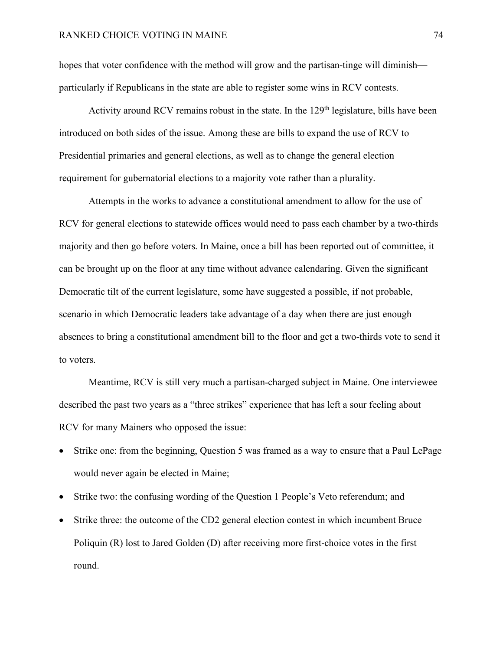hopes that voter confidence with the method will grow and the partisan-tinge will diminish particularly if Republicans in the state are able to register some wins in RCV contests.

Activity around RCV remains robust in the state. In the  $129<sup>th</sup>$  legislature, bills have been introduced on both sides of the issue. Among these are bills to expand the use of RCV to Presidential primaries and general elections, as well as to change the general election requirement for gubernatorial elections to a majority vote rather than a plurality.

Attempts in the works to advance a constitutional amendment to allow for the use of RCV for general elections to statewide offices would need to pass each chamber by a two-thirds majority and then go before voters. In Maine, once a bill has been reported out of committee, it can be brought up on the floor at any time without advance calendaring. Given the significant Democratic tilt of the current legislature, some have suggested a possible, if not probable, scenario in which Democratic leaders take advantage of a day when there are just enough absences to bring a constitutional amendment bill to the floor and get a two-thirds vote to send it to voters.

Meantime, RCV is still very much a partisan-charged subject in Maine. One interviewee described the past two years as a "three strikes" experience that has left a sour feeling about RCV for many Mainers who opposed the issue:

- Strike one: from the beginning, Question 5 was framed as a way to ensure that a Paul LePage would never again be elected in Maine;
- Strike two: the confusing wording of the Question 1 People's Veto referendum; and
- Strike three: the outcome of the CD2 general election contest in which incumbent Bruce Poliquin (R) lost to Jared Golden (D) after receiving more first-choice votes in the first round.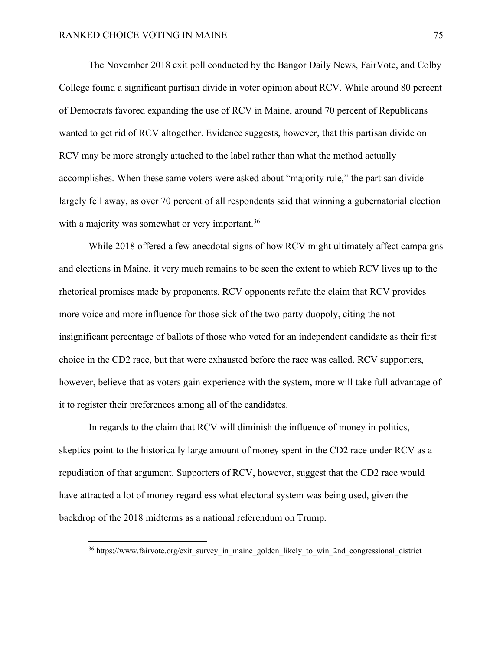The November 2018 exit poll conducted by the Bangor Daily News, FairVote, and Colby College found a significant partisan divide in voter opinion about RCV. While around 80 percent of Democrats favored expanding the use of RCV in Maine, around 70 percent of Republicans wanted to get rid of RCV altogether. Evidence suggests, however, that this partisan divide on RCV may be more strongly attached to the label rather than what the method actually accomplishes. When these same voters were asked about "majority rule," the partisan divide largely fell away, as over 70 percent of all respondents said that winning a gubernatorial election with a majority was somewhat or very important.<sup>36</sup>

While 2018 offered a few anecdotal signs of how RCV might ultimately affect campaigns and elections in Maine, it very much remains to be seen the extent to which RCV lives up to the rhetorical promises made by proponents. RCV opponents refute the claim that RCV provides more voice and more influence for those sick of the two-party duopoly, citing the notinsignificant percentage of ballots of those who voted for an independent candidate as their first choice in the CD2 race, but that were exhausted before the race was called. RCV supporters, however, believe that as voters gain experience with the system, more will take full advantage of it to register their preferences among all of the candidates.

In regards to the claim that RCV will diminish the influence of money in politics, skeptics point to the historically large amount of money spent in the CD2 race under RCV as a repudiation of that argument. Supporters of RCV, however, suggest that the CD2 race would have attracted a lot of money regardless what electoral system was being used, given the backdrop of the 2018 midterms as a national referendum on Trump.

<sup>&</sup>lt;sup>36</sup> https://www.fairvote.org/exit\_survey\_in\_maine\_golden\_likely\_to\_win\_2nd\_congressional\_district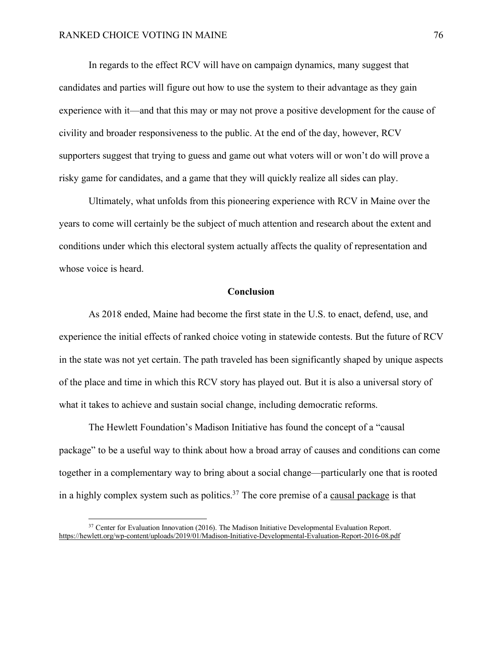In regards to the effect RCV will have on campaign dynamics, many suggest that candidates and parties will figure out how to use the system to their advantage as they gain experience with it—and that this may or may not prove a positive development for the cause of civility and broader responsiveness to the public. At the end of the day, however, RCV supporters suggest that trying to guess and game out what voters will or won't do will prove a risky game for candidates, and a game that they will quickly realize all sides can play.

Ultimately, what unfolds from this pioneering experience with RCV in Maine over the years to come will certainly be the subject of much attention and research about the extent and conditions under which this electoral system actually affects the quality of representation and whose voice is heard.

#### **Conclusion**

As 2018 ended, Maine had become the first state in the U.S. to enact, defend, use, and experience the initial effects of ranked choice voting in statewide contests. But the future of RCV in the state was not yet certain. The path traveled has been significantly shaped by unique aspects of the place and time in which this RCV story has played out. But it is also a universal story of what it takes to achieve and sustain social change, including democratic reforms.

The Hewlett Foundation's Madison Initiative has found the concept of a "causal package" to be a useful way to think about how a broad array of causes and conditions can come together in a complementary way to bring about a social change—particularly one that is rooted in a highly complex system such as politics.<sup>37</sup> The core premise of a causal package is that

<sup>&</sup>lt;sup>37</sup> Center for Evaluation Innovation (2016). The Madison Initiative Developmental Evaluation Report. https://hewlett.org/wp-content/uploads/2019/01/Madison-Initiative-Developmental-Evaluation-Report-2016-08.pdf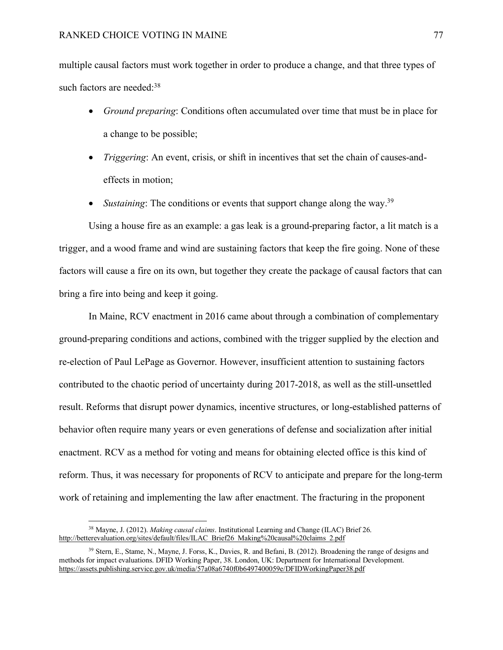multiple causal factors must work together in order to produce a change, and that three types of such factors are needed:<sup>38</sup>

- *Ground preparing*: Conditions often accumulated over time that must be in place for a change to be possible;
- *Triggering*: An event, crisis, or shift in incentives that set the chain of causes-andeffects in motion;
- *Sustaining*: The conditions or events that support change along the way.<sup>39</sup>

Using a house fire as an example: a gas leak is a ground-preparing factor, a lit match is a trigger, and a wood frame and wind are sustaining factors that keep the fire going. None of these factors will cause a fire on its own, but together they create the package of causal factors that can bring a fire into being and keep it going.

In Maine, RCV enactment in 2016 came about through a combination of complementary ground-preparing conditions and actions, combined with the trigger supplied by the election and re-election of Paul LePage as Governor. However, insufficient attention to sustaining factors contributed to the chaotic period of uncertainty during 2017-2018, as well as the still-unsettled result. Reforms that disrupt power dynamics, incentive structures, or long-established patterns of behavior often require many years or even generations of defense and socialization after initial enactment. RCV as a method for voting and means for obtaining elected office is this kind of reform. Thus, it was necessary for proponents of RCV to anticipate and prepare for the long-term work of retaining and implementing the law after enactment. The fracturing in the proponent

 <sup>38</sup> Mayne, J. (2012). *Making causal claims*. Institutional Learning and Change (ILAC) Brief 26. http://betterevaluation.org/sites/default/files/ILAC\_Brief26\_Making%20causal%20claims\_2.pdf

<sup>&</sup>lt;sup>39</sup> Stern, E., Stame, N., Mayne, J. Forss, K., Davies, R. and Befani, B. (2012). Broadening the range of designs and methods for impact evaluations. DFID Working Paper, 38. London, UK: Department for International Development. https://assets.publishing.service.gov.uk/media/57a08a6740f0b6497400059e/DFIDWorkingPaper38.pdf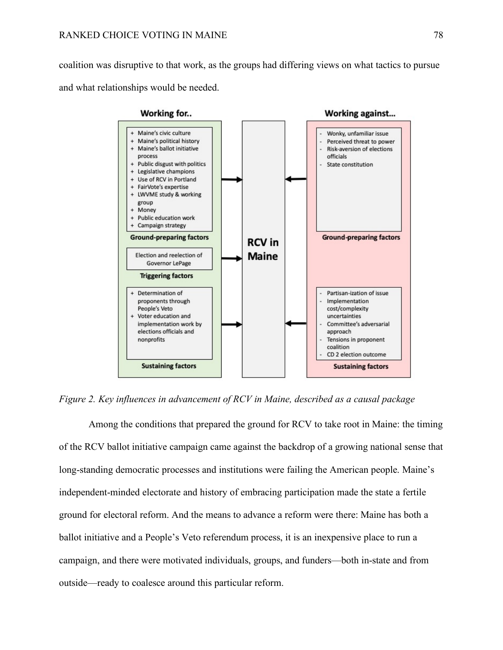coalition was disruptive to that work, as the groups had differing views on what tactics to pursue and what relationships would be needed.



*Figure 2. Key influences in advancement of RCV in Maine, described as a causal package*

Among the conditions that prepared the ground for RCV to take root in Maine: the timing of the RCV ballot initiative campaign came against the backdrop of a growing national sense that long-standing democratic processes and institutions were failing the American people. Maine's independent-minded electorate and history of embracing participation made the state a fertile ground for electoral reform. And the means to advance a reform were there: Maine has both a ballot initiative and a People's Veto referendum process, it is an inexpensive place to run a campaign, and there were motivated individuals, groups, and funders—both in-state and from outside—ready to coalesce around this particular reform.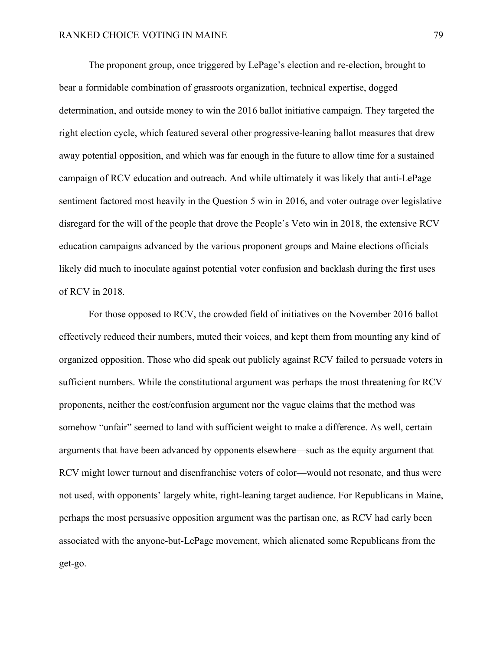The proponent group, once triggered by LePage's election and re-election, brought to bear a formidable combination of grassroots organization, technical expertise, dogged determination, and outside money to win the 2016 ballot initiative campaign. They targeted the right election cycle, which featured several other progressive-leaning ballot measures that drew away potential opposition, and which was far enough in the future to allow time for a sustained campaign of RCV education and outreach. And while ultimately it was likely that anti-LePage sentiment factored most heavily in the Question 5 win in 2016, and voter outrage over legislative disregard for the will of the people that drove the People's Veto win in 2018, the extensive RCV education campaigns advanced by the various proponent groups and Maine elections officials likely did much to inoculate against potential voter confusion and backlash during the first uses of RCV in 2018.

For those opposed to RCV, the crowded field of initiatives on the November 2016 ballot effectively reduced their numbers, muted their voices, and kept them from mounting any kind of organized opposition. Those who did speak out publicly against RCV failed to persuade voters in sufficient numbers. While the constitutional argument was perhaps the most threatening for RCV proponents, neither the cost/confusion argument nor the vague claims that the method was somehow "unfair" seemed to land with sufficient weight to make a difference. As well, certain arguments that have been advanced by opponents elsewhere—such as the equity argument that RCV might lower turnout and disenfranchise voters of color—would not resonate, and thus were not used, with opponents' largely white, right-leaning target audience. For Republicans in Maine, perhaps the most persuasive opposition argument was the partisan one, as RCV had early been associated with the anyone-but-LePage movement, which alienated some Republicans from the get-go.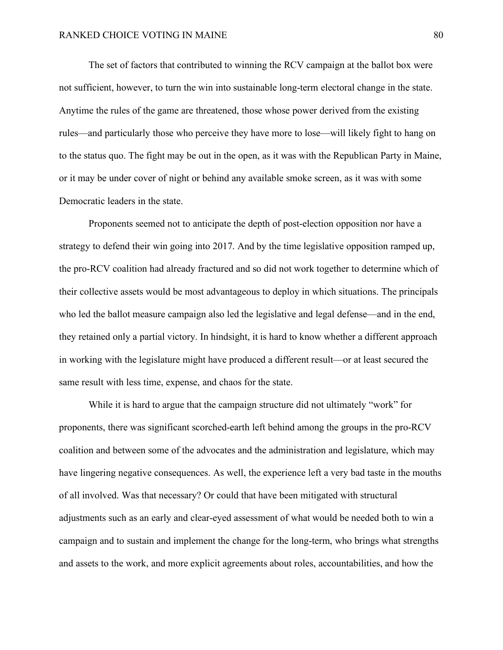The set of factors that contributed to winning the RCV campaign at the ballot box were not sufficient, however, to turn the win into sustainable long-term electoral change in the state. Anytime the rules of the game are threatened, those whose power derived from the existing rules—and particularly those who perceive they have more to lose—will likely fight to hang on to the status quo. The fight may be out in the open, as it was with the Republican Party in Maine, or it may be under cover of night or behind any available smoke screen, as it was with some Democratic leaders in the state.

Proponents seemed not to anticipate the depth of post-election opposition nor have a strategy to defend their win going into 2017. And by the time legislative opposition ramped up, the pro-RCV coalition had already fractured and so did not work together to determine which of their collective assets would be most advantageous to deploy in which situations. The principals who led the ballot measure campaign also led the legislative and legal defense—and in the end, they retained only a partial victory. In hindsight, it is hard to know whether a different approach in working with the legislature might have produced a different result—or at least secured the same result with less time, expense, and chaos for the state.

While it is hard to argue that the campaign structure did not ultimately "work" for proponents, there was significant scorched-earth left behind among the groups in the pro-RCV coalition and between some of the advocates and the administration and legislature, which may have lingering negative consequences. As well, the experience left a very bad taste in the mouths of all involved. Was that necessary? Or could that have been mitigated with structural adjustments such as an early and clear-eyed assessment of what would be needed both to win a campaign and to sustain and implement the change for the long-term, who brings what strengths and assets to the work, and more explicit agreements about roles, accountabilities, and how the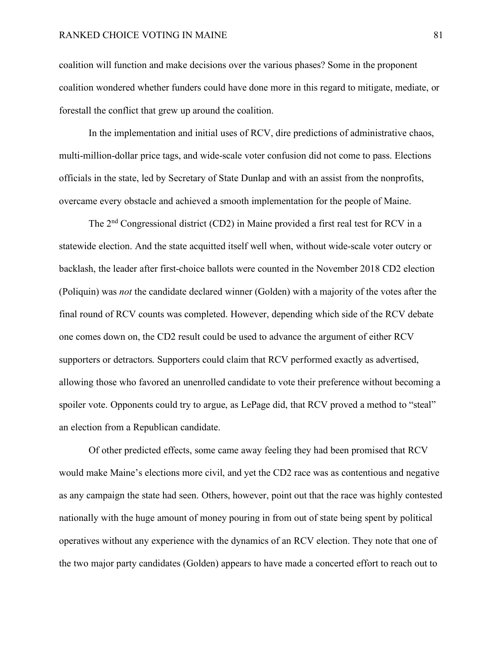## RANKED CHOICE VOTING IN MAINE 81

coalition will function and make decisions over the various phases? Some in the proponent coalition wondered whether funders could have done more in this regard to mitigate, mediate, or forestall the conflict that grew up around the coalition.

In the implementation and initial uses of RCV, dire predictions of administrative chaos, multi-million-dollar price tags, and wide-scale voter confusion did not come to pass. Elections officials in the state, led by Secretary of State Dunlap and with an assist from the nonprofits, overcame every obstacle and achieved a smooth implementation for the people of Maine.

The 2nd Congressional district (CD2) in Maine provided a first real test for RCV in a statewide election. And the state acquitted itself well when, without wide-scale voter outcry or backlash, the leader after first-choice ballots were counted in the November 2018 CD2 election (Poliquin) was *not* the candidate declared winner (Golden) with a majority of the votes after the final round of RCV counts was completed. However, depending which side of the RCV debate one comes down on, the CD2 result could be used to advance the argument of either RCV supporters or detractors. Supporters could claim that RCV performed exactly as advertised, allowing those who favored an unenrolled candidate to vote their preference without becoming a spoiler vote. Opponents could try to argue, as LePage did, that RCV proved a method to "steal" an election from a Republican candidate.

Of other predicted effects, some came away feeling they had been promised that RCV would make Maine's elections more civil, and yet the CD2 race was as contentious and negative as any campaign the state had seen. Others, however, point out that the race was highly contested nationally with the huge amount of money pouring in from out of state being spent by political operatives without any experience with the dynamics of an RCV election. They note that one of the two major party candidates (Golden) appears to have made a concerted effort to reach out to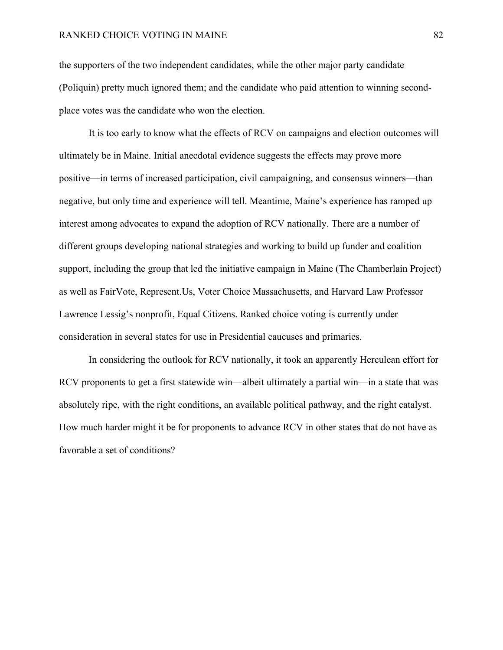## RANKED CHOICE VOTING IN MAINE 82

the supporters of the two independent candidates, while the other major party candidate (Poliquin) pretty much ignored them; and the candidate who paid attention to winning secondplace votes was the candidate who won the election.

It is too early to know what the effects of RCV on campaigns and election outcomes will ultimately be in Maine. Initial anecdotal evidence suggests the effects may prove more positive—in terms of increased participation, civil campaigning, and consensus winners—than negative, but only time and experience will tell. Meantime, Maine's experience has ramped up interest among advocates to expand the adoption of RCV nationally. There are a number of different groups developing national strategies and working to build up funder and coalition support, including the group that led the initiative campaign in Maine (The Chamberlain Project) as well as FairVote, Represent.Us, Voter Choice Massachusetts, and Harvard Law Professor Lawrence Lessig's nonprofit, Equal Citizens. Ranked choice voting is currently under consideration in several states for use in Presidential caucuses and primaries.

In considering the outlook for RCV nationally, it took an apparently Herculean effort for RCV proponents to get a first statewide win—albeit ultimately a partial win—in a state that was absolutely ripe, with the right conditions, an available political pathway, and the right catalyst. How much harder might it be for proponents to advance RCV in other states that do not have as favorable a set of conditions?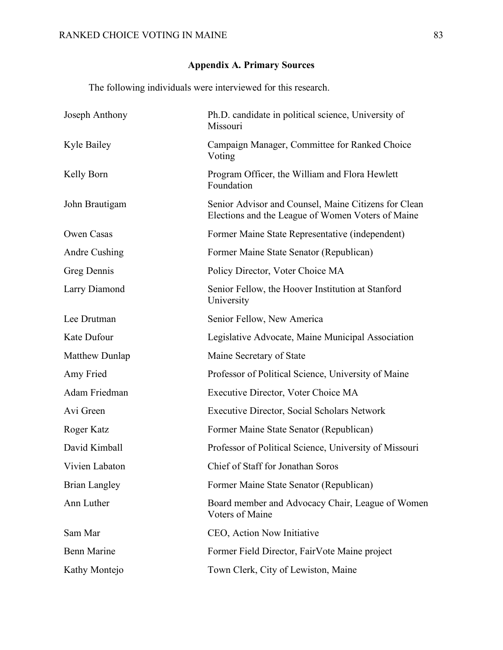# **Appendix A. Primary Sources**

The following individuals were interviewed for this research.

| Joseph Anthony       | Ph.D. candidate in political science, University of<br>Missouri                                           |
|----------------------|-----------------------------------------------------------------------------------------------------------|
| Kyle Bailey          | Campaign Manager, Committee for Ranked Choice<br>Voting                                                   |
| Kelly Born           | Program Officer, the William and Flora Hewlett<br>Foundation                                              |
| John Brautigam       | Senior Advisor and Counsel, Maine Citizens for Clean<br>Elections and the League of Women Voters of Maine |
| Owen Casas           | Former Maine State Representative (independent)                                                           |
| Andre Cushing        | Former Maine State Senator (Republican)                                                                   |
| Greg Dennis          | Policy Director, Voter Choice MA                                                                          |
| Larry Diamond        | Senior Fellow, the Hoover Institution at Stanford<br>University                                           |
| Lee Drutman          | Senior Fellow, New America                                                                                |
| Kate Dufour          | Legislative Advocate, Maine Municipal Association                                                         |
| Matthew Dunlap       | Maine Secretary of State                                                                                  |
| Amy Fried            | Professor of Political Science, University of Maine                                                       |
| Adam Friedman        | Executive Director, Voter Choice MA                                                                       |
| Avi Green            | <b>Executive Director, Social Scholars Network</b>                                                        |
| Roger Katz           | Former Maine State Senator (Republican)                                                                   |
| David Kimball        | Professor of Political Science, University of Missouri                                                    |
| Vivien Labaton       | Chief of Staff for Jonathan Soros                                                                         |
| <b>Brian Langley</b> | Former Maine State Senator (Republican)                                                                   |
| Ann Luther           | Board member and Advocacy Chair, League of Women<br><b>Voters of Maine</b>                                |
| Sam Mar              | CEO, Action Now Initiative                                                                                |
| <b>Benn Marine</b>   | Former Field Director, FairVote Maine project                                                             |
| Kathy Montejo        | Town Clerk, City of Lewiston, Maine                                                                       |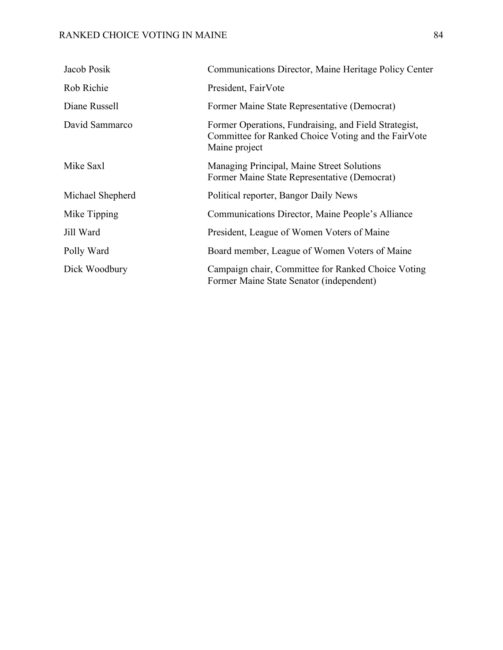# RANKED CHOICE VOTING IN MAINE 84

| Jacob Posik      | Communications Director, Maine Heritage Policy Center                                                                         |
|------------------|-------------------------------------------------------------------------------------------------------------------------------|
| Rob Richie       | President, FairVote                                                                                                           |
| Diane Russell    | Former Maine State Representative (Democrat)                                                                                  |
| David Sammarco   | Former Operations, Fundraising, and Field Strategist,<br>Committee for Ranked Choice Voting and the FairVote<br>Maine project |
| Mike Saxl        | Managing Principal, Maine Street Solutions<br>Former Maine State Representative (Democrat)                                    |
| Michael Shepherd | Political reporter, Bangor Daily News                                                                                         |
| Mike Tipping     | Communications Director, Maine People's Alliance                                                                              |
| Jill Ward        | President, League of Women Voters of Maine                                                                                    |
| Polly Ward       | Board member, League of Women Voters of Maine                                                                                 |
| Dick Woodbury    | Campaign chair, Committee for Ranked Choice Voting<br>Former Maine State Senator (independent)                                |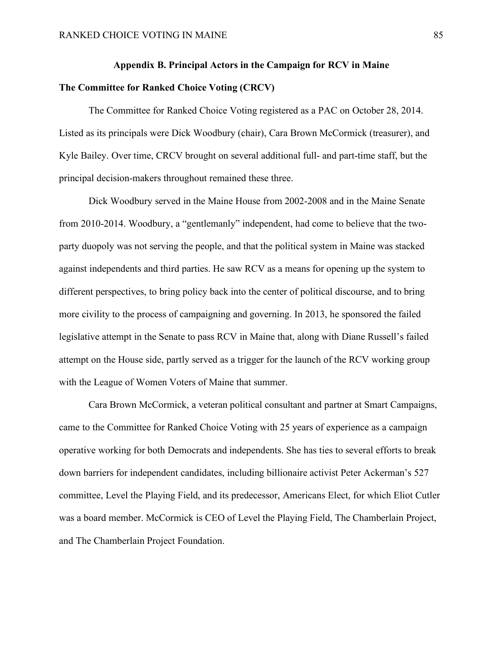## **Appendix B. Principal Actors in the Campaign for RCV in Maine**

## **The Committee for Ranked Choice Voting (CRCV)**

The Committee for Ranked Choice Voting registered as a PAC on October 28, 2014. Listed as its principals were Dick Woodbury (chair), Cara Brown McCormick (treasurer), and Kyle Bailey. Over time, CRCV brought on several additional full- and part-time staff, but the principal decision-makers throughout remained these three.

Dick Woodbury served in the Maine House from 2002-2008 and in the Maine Senate from 2010-2014. Woodbury, a "gentlemanly" independent, had come to believe that the twoparty duopoly was not serving the people, and that the political system in Maine was stacked against independents and third parties. He saw RCV as a means for opening up the system to different perspectives, to bring policy back into the center of political discourse, and to bring more civility to the process of campaigning and governing. In 2013, he sponsored the failed legislative attempt in the Senate to pass RCV in Maine that, along with Diane Russell's failed attempt on the House side, partly served as a trigger for the launch of the RCV working group with the League of Women Voters of Maine that summer.

Cara Brown McCormick, a veteran political consultant and partner at Smart Campaigns, came to the Committee for Ranked Choice Voting with 25 years of experience as a campaign operative working for both Democrats and independents. She has ties to several efforts to break down barriers for independent candidates, including billionaire activist Peter Ackerman's 527 committee, Level the Playing Field, and its predecessor, Americans Elect, for which Eliot Cutler was a board member. McCormick is CEO of Level the Playing Field, The Chamberlain Project, and The Chamberlain Project Foundation.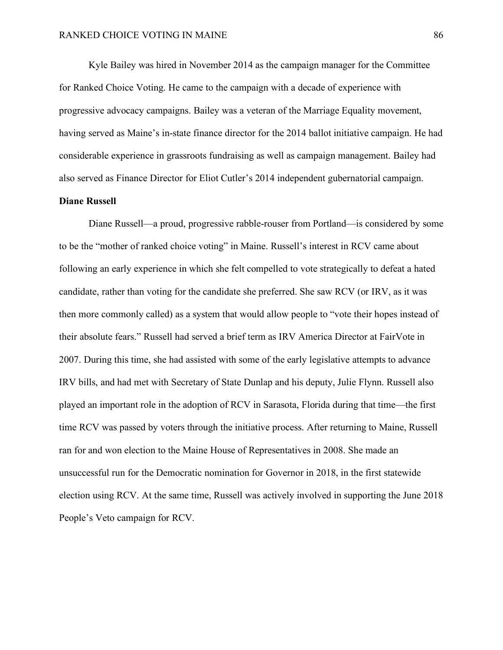Kyle Bailey was hired in November 2014 as the campaign manager for the Committee for Ranked Choice Voting. He came to the campaign with a decade of experience with progressive advocacy campaigns. Bailey was a veteran of the Marriage Equality movement, having served as Maine's in-state finance director for the 2014 ballot initiative campaign. He had considerable experience in grassroots fundraising as well as campaign management. Bailey had also served as Finance Director for Eliot Cutler's 2014 independent gubernatorial campaign.

## **Diane Russell**

Diane Russell—a proud, progressive rabble-rouser from Portland—is considered by some to be the "mother of ranked choice voting" in Maine. Russell's interest in RCV came about following an early experience in which she felt compelled to vote strategically to defeat a hated candidate, rather than voting for the candidate she preferred. She saw RCV (or IRV, as it was then more commonly called) as a system that would allow people to "vote their hopes instead of their absolute fears." Russell had served a brief term as IRV America Director at FairVote in 2007. During this time, she had assisted with some of the early legislative attempts to advance IRV bills, and had met with Secretary of State Dunlap and his deputy, Julie Flynn. Russell also played an important role in the adoption of RCV in Sarasota, Florida during that time—the first time RCV was passed by voters through the initiative process. After returning to Maine, Russell ran for and won election to the Maine House of Representatives in 2008. She made an unsuccessful run for the Democratic nomination for Governor in 2018, in the first statewide election using RCV. At the same time, Russell was actively involved in supporting the June 2018 People's Veto campaign for RCV.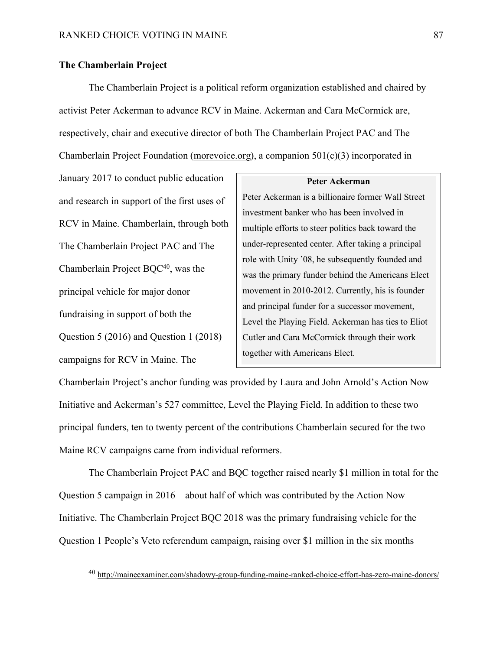## **The Chamberlain Project**

The Chamberlain Project is a political reform organization established and chaired by activist Peter Ackerman to advance RCV in Maine. Ackerman and Cara McCormick are, respectively, chair and executive director of both The Chamberlain Project PAC and The Chamberlain Project Foundation (morevoice.org), a companion 501(c)(3) incorporated in

January 2017 to conduct public education and research in support of the first uses of RCV in Maine. Chamberlain, through both The Chamberlain Project PAC and The Chamberlain Project BQC<sup>40</sup>, was the principal vehicle for major donor fundraising in support of both the Question 5 (2016) and Question 1 (2018) campaigns for RCV in Maine. The

### **Peter Ackerman**

Peter Ackerman is a billionaire former Wall Street investment banker who has been involved in multiple efforts to steer politics back toward the under-represented center. After taking a principal role with Unity '08, he subsequently founded and was the primary funder behind the Americans Elect movement in 2010-2012. Currently, his is founder and principal funder for a successor movement, Level the Playing Field. Ackerman has ties to Eliot Cutler and Cara McCormick through their work together with Americans Elect.

Chamberlain Project's anchor funding was provided by Laura and John Arnold's Action Now Initiative and Ackerman's 527 committee, Level the Playing Field. In addition to these two principal funders, ten to twenty percent of the contributions Chamberlain secured for the two Maine RCV campaigns came from individual reformers.

The Chamberlain Project PAC and BQC together raised nearly \$1 million in total for the Question 5 campaign in 2016—about half of which was contributed by the Action Now Initiative. The Chamberlain Project BQC 2018 was the primary fundraising vehicle for the Question 1 People's Veto referendum campaign, raising over \$1 million in the six months

 <sup>40</sup> http://maineexaminer.com/shadowy-group-funding-maine-ranked-choice-effort-has-zero-maine-donors/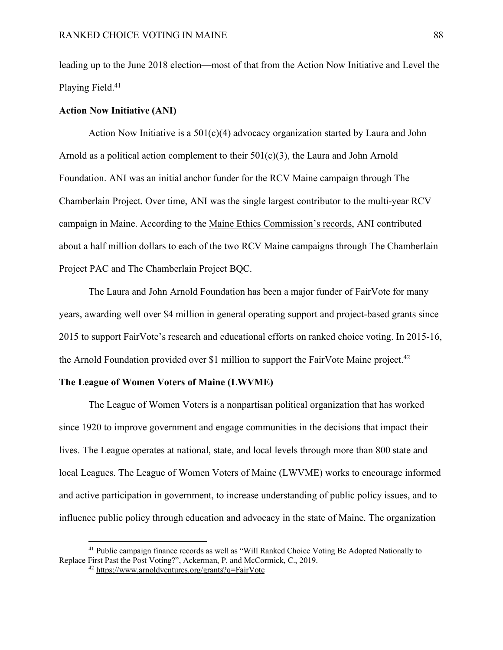leading up to the June 2018 election—most of that from the Action Now Initiative and Level the Playing Field. 41

## **Action Now Initiative (ANI)**

Action Now Initiative is a  $501(c)(4)$  advocacy organization started by Laura and John Arnold as a political action complement to their  $501(c)(3)$ , the Laura and John Arnold Foundation. ANI was an initial anchor funder for the RCV Maine campaign through The Chamberlain Project. Over time, ANI was the single largest contributor to the multi-year RCV campaign in Maine. According to the Maine Ethics Commission's records, ANI contributed about a half million dollars to each of the two RCV Maine campaigns through The Chamberlain Project PAC and The Chamberlain Project BQC.

The Laura and John Arnold Foundation has been a major funder of FairVote for many years, awarding well over \$4 million in general operating support and project-based grants since 2015 to support FairVote's research and educational efforts on ranked choice voting. In 2015-16, the Arnold Foundation provided over \$1 million to support the FairVote Maine project.<sup>42</sup>

## **The League of Women Voters of Maine (LWVME)**

The League of Women Voters is a nonpartisan political organization that has worked since 1920 to improve government and engage communities in the decisions that impact their lives. The League operates at national, state, and local levels through more than 800 state and local Leagues. The League of Women Voters of Maine (LWVME) works to encourage informed and active participation in government, to increase understanding of public policy issues, and to influence public policy through education and advocacy in the state of Maine. The organization

<sup>&</sup>lt;sup>41</sup> Public campaign finance records as well as "Will Ranked Choice Voting Be Adopted Nationally to Replace First Past the Post Voting?", Ackerman, P. and McCormick, C., 2019.

<sup>42</sup> https://www.arnoldventures.org/grants?q=FairVote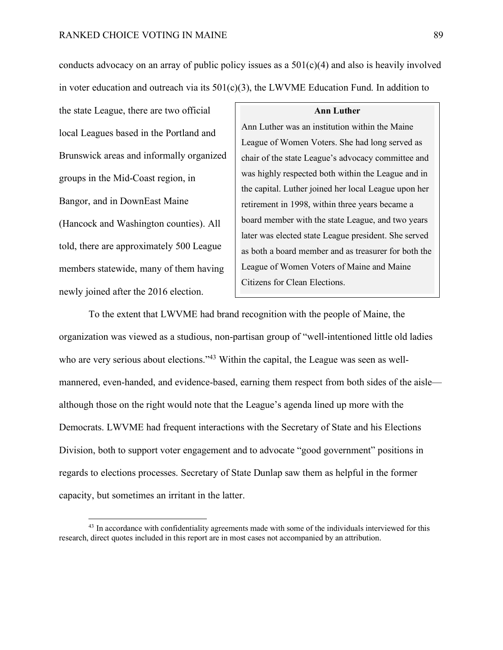conducts advocacy on an array of public policy issues as a  $501(c)(4)$  and also is heavily involved in voter education and outreach via its  $501(c)(3)$ , the LWVME Education Fund. In addition to

the state League, there are two official local Leagues based in the Portland and Brunswick areas and informally organized groups in the Mid-Coast region, in Bangor, and in DownEast Maine (Hancock and Washington counties). All told, there are approximately 500 League members statewide, many of them having newly joined after the 2016 election.

#### **Ann Luther**

Ann Luther was an institution within the Maine League of Women Voters. She had long served as chair of the state League's advocacy committee and was highly respected both within the League and in the capital. Luther joined her local League upon her retirement in 1998, within three years became a board member with the state League, and two years later was elected state League president. She served as both a board member and as treasurer for both the League of Women Voters of Maine and Maine Citizens for Clean Elections.

To the extent that LWVME had brand recognition with the people of Maine, the organization was viewed as a studious, non-partisan group of "well-intentioned little old ladies who are very serious about elections."<sup>43</sup> Within the capital, the League was seen as wellmannered, even-handed, and evidence-based, earning them respect from both sides of the aisle although those on the right would note that the League's agenda lined up more with the Democrats. LWVME had frequent interactions with the Secretary of State and his Elections Division, both to support voter engagement and to advocate "good government" positions in regards to elections processes. Secretary of State Dunlap saw them as helpful in the former capacity, but sometimes an irritant in the latter.

<sup>&</sup>lt;sup>43</sup> In accordance with confidentiality agreements made with some of the individuals interviewed for this research, direct quotes included in this report are in most cases not accompanied by an attribution.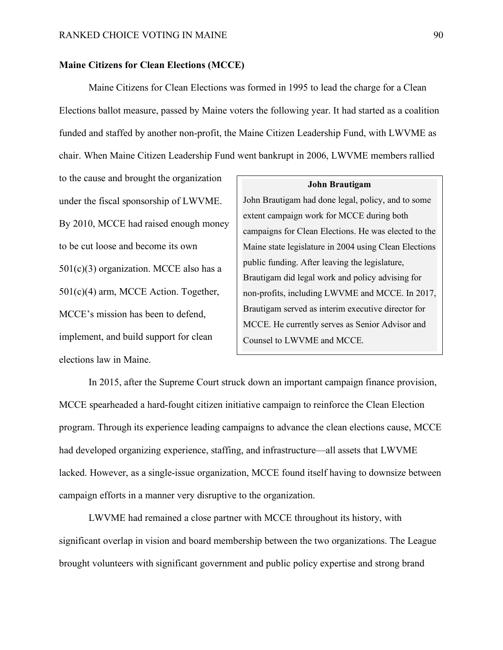## **Maine Citizens for Clean Elections (MCCE)**

Maine Citizens for Clean Elections was formed in 1995 to lead the charge for a Clean Elections ballot measure, passed by Maine voters the following year. It had started as a coalition funded and staffed by another non-profit, the Maine Citizen Leadership Fund, with LWVME as chair. When Maine Citizen Leadership Fund went bankrupt in 2006, LWVME members rallied

to the cause and brought the organization under the fiscal sponsorship of LWVME. By 2010, MCCE had raised enough money to be cut loose and become its own  $501(c)(3)$  organization. MCCE also has a 501(c)(4) arm, MCCE Action. Together, MCCE's mission has been to defend, implement, and build support for clean elections law in Maine.

#### **John Brautigam**

John Brautigam had done legal, policy, and to some extent campaign work for MCCE during both campaigns for Clean Elections. He was elected to the Maine state legislature in 2004 using Clean Elections public funding. After leaving the legislature, Brautigam did legal work and policy advising for non-profits, including LWVME and MCCE. In 2017, Brautigam served as interim executive director for MCCE. He currently serves as Senior Advisor and Counsel to LWVME and MCCE.

In 2015, after the Supreme Court struck down an important campaign finance provision, MCCE spearheaded a hard-fought citizen initiative campaign to reinforce the Clean Election program. Through its experience leading campaigns to advance the clean elections cause, MCCE had developed organizing experience, staffing, and infrastructure—all assets that LWVME lacked. However, as a single-issue organization, MCCE found itself having to downsize between campaign efforts in a manner very disruptive to the organization.

LWVME had remained a close partner with MCCE throughout its history, with significant overlap in vision and board membership between the two organizations. The League brought volunteers with significant government and public policy expertise and strong brand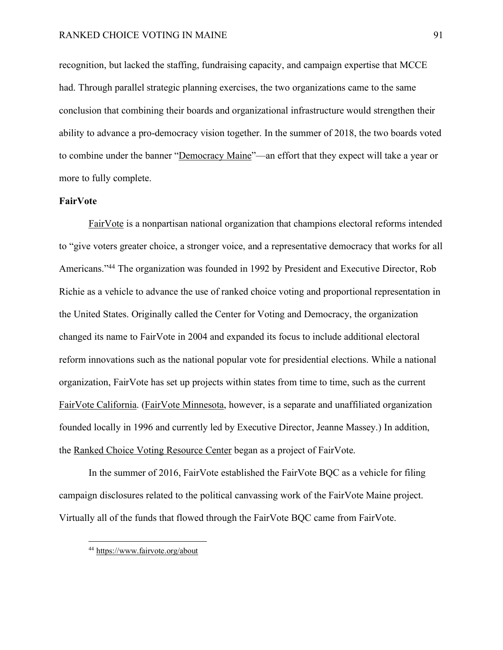## RANKED CHOICE VOTING IN MAINE 91

recognition, but lacked the staffing, fundraising capacity, and campaign expertise that MCCE had. Through parallel strategic planning exercises, the two organizations came to the same conclusion that combining their boards and organizational infrastructure would strengthen their ability to advance a pro-democracy vision together. In the summer of 2018, the two boards voted to combine under the banner "Democracy Maine"—an effort that they expect will take a year or more to fully complete.

## **FairVote**

FairVote is a nonpartisan national organization that champions electoral reforms intended to "give voters greater choice, a stronger voice, and a representative democracy that works for all Americans."44 The organization was founded in 1992 by President and Executive Director, Rob Richie as a vehicle to advance the use of ranked choice voting and proportional representation in the United States. Originally called the Center for Voting and Democracy, the organization changed its name to FairVote in 2004 and expanded its focus to include additional electoral reform innovations such as the national popular vote for presidential elections. While a national organization, FairVote has set up projects within states from time to time, such as the current FairVote California. (FairVote Minnesota, however, is a separate and unaffiliated organization founded locally in 1996 and currently led by Executive Director, Jeanne Massey.) In addition, the Ranked Choice Voting Resource Center began as a project of FairVote.

In the summer of 2016, FairVote established the FairVote BQC as a vehicle for filing campaign disclosures related to the political canvassing work of the FairVote Maine project. Virtually all of the funds that flowed through the FairVote BQC came from FairVote.

 <sup>44</sup> https://www.fairvote.org/about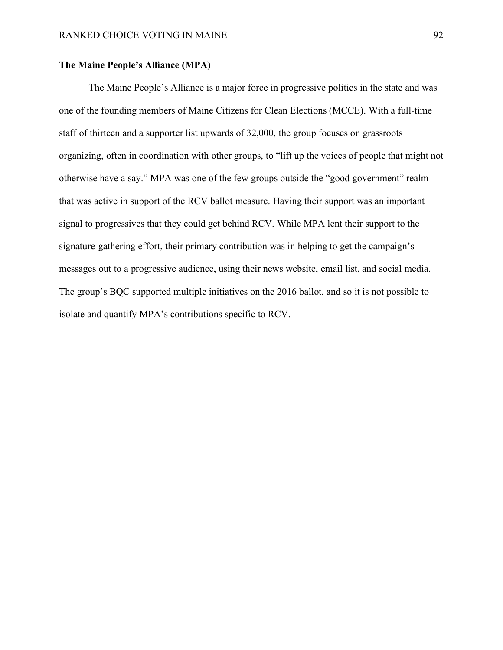## **The Maine People's Alliance (MPA)**

The Maine People's Alliance is a major force in progressive politics in the state and was one of the founding members of Maine Citizens for Clean Elections (MCCE). With a full-time staff of thirteen and a supporter list upwards of 32,000, the group focuses on grassroots organizing, often in coordination with other groups, to "lift up the voices of people that might not otherwise have a say." MPA was one of the few groups outside the "good government" realm that was active in support of the RCV ballot measure. Having their support was an important signal to progressives that they could get behind RCV. While MPA lent their support to the signature-gathering effort, their primary contribution was in helping to get the campaign's messages out to a progressive audience, using their news website, email list, and social media. The group's BQC supported multiple initiatives on the 2016 ballot, and so it is not possible to isolate and quantify MPA's contributions specific to RCV.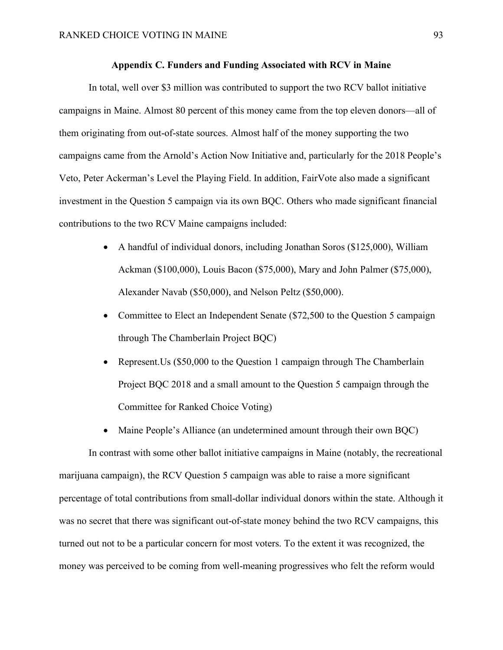## **Appendix C. Funders and Funding Associated with RCV in Maine**

In total, well over \$3 million was contributed to support the two RCV ballot initiative campaigns in Maine. Almost 80 percent of this money came from the top eleven donors—all of them originating from out-of-state sources. Almost half of the money supporting the two campaigns came from the Arnold's Action Now Initiative and, particularly for the 2018 People's Veto, Peter Ackerman's Level the Playing Field. In addition, FairVote also made a significant investment in the Question 5 campaign via its own BQC. Others who made significant financial contributions to the two RCV Maine campaigns included:

- A handful of individual donors, including Jonathan Soros (\$125,000), William Ackman (\$100,000), Louis Bacon (\$75,000), Mary and John Palmer (\$75,000), Alexander Navab (\$50,000), and Nelson Peltz (\$50,000).
- Committee to Elect an Independent Senate (\$72,500 to the Question 5 campaign through The Chamberlain Project BQC)
- Represent. Us (\$50,000 to the Question 1 campaign through The Chamberlain Project BQC 2018 and a small amount to the Question 5 campaign through the Committee for Ranked Choice Voting)
- Maine People's Alliance (an undetermined amount through their own BOC)

In contrast with some other ballot initiative campaigns in Maine (notably, the recreational marijuana campaign), the RCV Question 5 campaign was able to raise a more significant percentage of total contributions from small-dollar individual donors within the state. Although it was no secret that there was significant out-of-state money behind the two RCV campaigns, this turned out not to be a particular concern for most voters. To the extent it was recognized, the money was perceived to be coming from well-meaning progressives who felt the reform would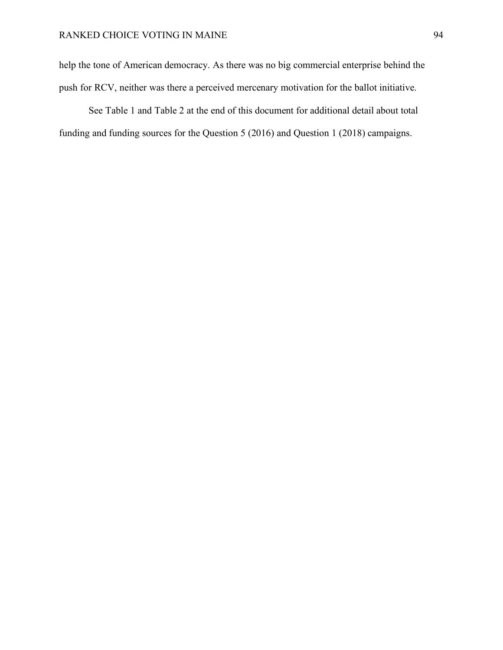help the tone of American democracy. As there was no big commercial enterprise behind the push for RCV, neither was there a perceived mercenary motivation for the ballot initiative.

See Table 1 and Table 2 at the end of this document for additional detail about total funding and funding sources for the Question 5 (2016) and Question 1 (2018) campaigns.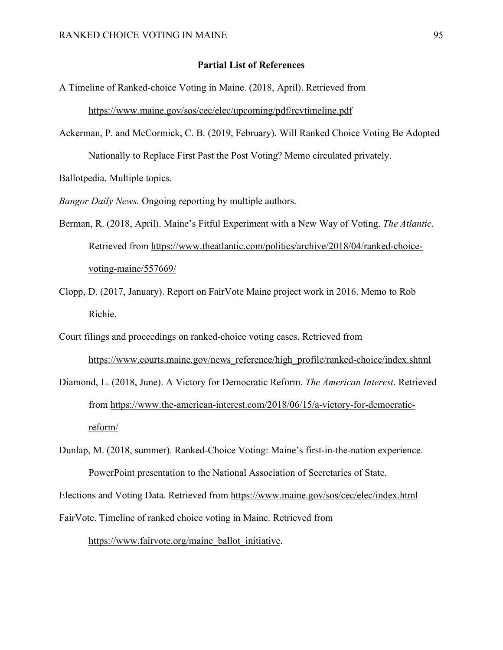### **Partial List of References**

A Timeline of Ranked-choice Voting in Maine. (2018, April). Retrieved from

https://www.maine.gov/sos/cec/elec/upcoming/pdf/rcvtimeline.pdf

Ackerman, P. and McCormick, C. B. (2019, February). Will Ranked Choice Voting Be Adopted Nationally to Replace First Past the Post Voting? Memo circulated privately.

Ballotpedia. Multiple topics.

*Bangor Daily News*. Ongoing reporting by multiple authors.

- Berman, R. (2018, April). Maine's Fitful Experiment with a New Way of Voting. *The Atlantic*. Retrieved from https://www.theatlantic.com/politics/archive/2018/04/ranked-choicevoting-maine/557669/
- Clopp, D. (2017, January). Report on FairVote Maine project work in 2016. Memo to Rob Richie.
- Court filings and proceedings on ranked-choice voting cases. Retrieved from https://www.courts.maine.gov/news\_reference/high\_profile/ranked-choice/index.shtml
- Diamond, L. (2018, June). A Victory for Democratic Reform. *The American Interest*. Retrieved from https://www.the-american-interest.com/2018/06/15/a-victory-for-democraticreform/
- Dunlap, M. (2018, summer). Ranked-Choice Voting: Maine's first-in-the-nation experience. PowerPoint presentation to the National Association of Secretaries of State.

Elections and Voting Data. Retrieved from https://www.maine.gov/sos/cec/elec/index.html

FairVote. Timeline of ranked choice voting in Maine. Retrieved from https://www.fairvote.org/maine\_ballot\_initiative.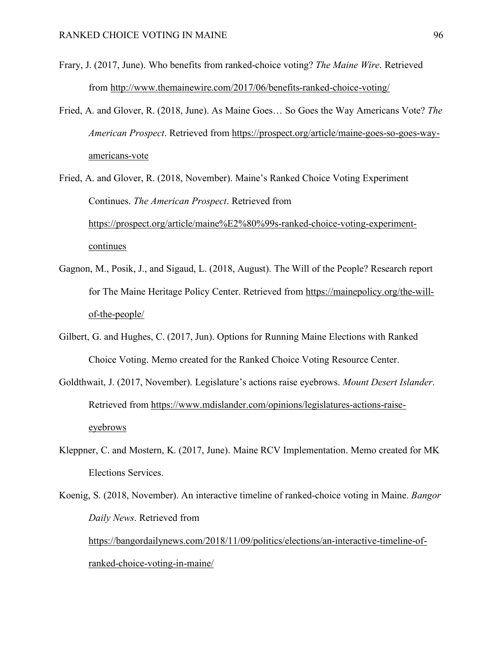- Frary, J. (2017, June). Who benefits from ranked-choice voting? *The Maine Wire*. Retrieved from http://www.themainewire.com/2017/06/benefits-ranked-choice-voting/
- Fried, A. and Glover, R. (2018, June). As Maine Goes… So Goes the Way Americans Vote? *The American Prospect*. Retrieved from https://prospect.org/article/maine-goes-so-goes-wayamericans-vote
- Fried, A. and Glover, R. (2018, November). Maine's Ranked Choice Voting Experiment Continues. *The American Prospect*. Retrieved from https://prospect.org/article/maine%E2%80%99s-ranked-choice-voting-experimentcontinues
- Gagnon, M., Posik, J., and Sigaud, L. (2018, August). The Will of the People? Research report for The Maine Heritage Policy Center. Retrieved from https://mainepolicy.org/the-willof-the-people/
- Gilbert, G. and Hughes, C. (2017, Jun). Options for Running Maine Elections with Ranked Choice Voting. Memo created for the Ranked Choice Voting Resource Center.
- Goldthwait, J. (2017, November). Legislature's actions raise eyebrows. *Mount Desert Islander*. Retrieved from https://www.mdislander.com/opinions/legislatures-actions-raiseeyebrows
- Kleppner, C. and Mostern, K. (2017, June). Maine RCV Implementation. Memo created for MK Elections Services.
- Koenig, S. (2018, November). An interactive timeline of ranked-choice voting in Maine. *Bangor Daily News*. Retrieved from https://bangordailynews.com/2018/11/09/politics/elections/an-interactive-timeline-ofranked-choice-voting-in-maine/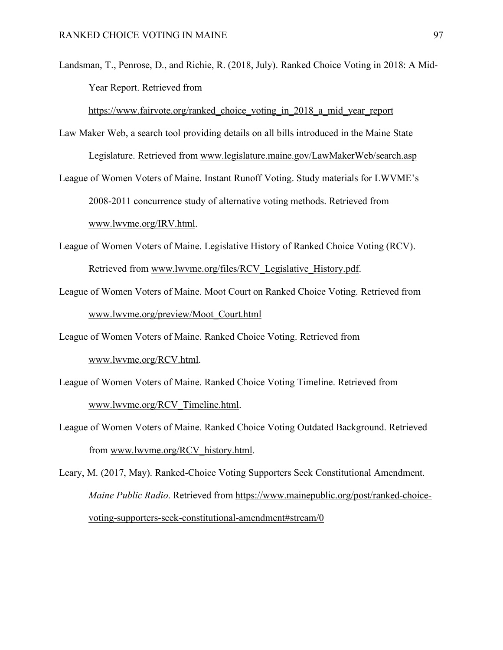Landsman, T., Penrose, D., and Richie, R. (2018, July). Ranked Choice Voting in 2018: A Mid-Year Report. Retrieved from

https://www.fairvote.org/ranked choice voting in 2018 a mid year report

- Law Maker Web, a search tool providing details on all bills introduced in the Maine State Legislature. Retrieved from www.legislature.maine.gov/LawMakerWeb/search.asp
- League of Women Voters of Maine. Instant Runoff Voting. Study materials for LWVME's 2008-2011 concurrence study of alternative voting methods. Retrieved from www.lwvme.org/IRV.html.
- League of Women Voters of Maine. Legislative History of Ranked Choice Voting (RCV). Retrieved from www.lwvme.org/files/RCV\_Legislative\_History.pdf.
- League of Women Voters of Maine. Moot Court on Ranked Choice Voting. Retrieved from www.lwvme.org/preview/Moot\_Court.html

League of Women Voters of Maine. Ranked Choice Voting. Retrieved from

www.lwvme.org/RCV.html.

- League of Women Voters of Maine. Ranked Choice Voting Timeline. Retrieved from www.lwvme.org/RCV\_Timeline.html.
- League of Women Voters of Maine. Ranked Choice Voting Outdated Background. Retrieved from www.lwvme.org/RCV\_history.html.
- Leary, M. (2017, May). Ranked-Choice Voting Supporters Seek Constitutional Amendment. *Maine Public Radio*. Retrieved from https://www.mainepublic.org/post/ranked-choicevoting-supporters-seek-constitutional-amendment#stream/0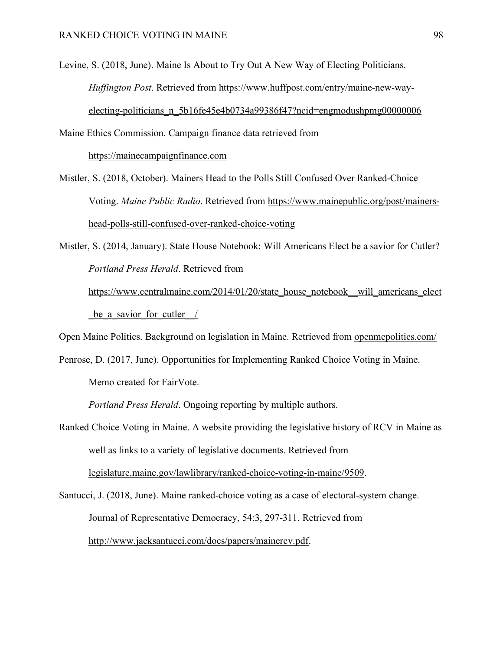Levine, S. (2018, June). Maine Is About to Try Out A New Way of Electing Politicians. *Huffington Post*. Retrieved from https://www.huffpost.com/entry/maine-new-wayelecting-politicians\_n\_5b16fe45e4b0734a99386f47?ncid=engmodushpmg00000006

Maine Ethics Commission. Campaign finance data retrieved from https://mainecampaignfinance.com

Mistler, S. (2018, October). Mainers Head to the Polls Still Confused Over Ranked-Choice Voting. *Maine Public Radio*. Retrieved from https://www.mainepublic.org/post/mainershead-polls-still-confused-over-ranked-choice-voting

Mistler, S. (2014, January). State House Notebook: Will Americans Elect be a savior for Cutler? *Portland Press Herald*. Retrieved from

https://www.centralmaine.com/2014/01/20/state\_house\_notebook\_\_will\_americans\_elect be a savior for cutler /

Open Maine Politics. Background on legislation in Maine. Retrieved from openmepolitics.com/

Penrose, D. (2017, June). Opportunities for Implementing Ranked Choice Voting in Maine. Memo created for FairVote.

*Portland Press Herald*. Ongoing reporting by multiple authors.

Ranked Choice Voting in Maine. A website providing the legislative history of RCV in Maine as well as links to a variety of legislative documents. Retrieved from legislature.maine.gov/lawlibrary/ranked-choice-voting-in-maine/9509.

Santucci, J. (2018, June). Maine ranked-choice voting as a case of electoral-system change. Journal of Representative Democracy, 54:3, 297-311. Retrieved from http://www.jacksantucci.com/docs/papers/mainercv.pdf.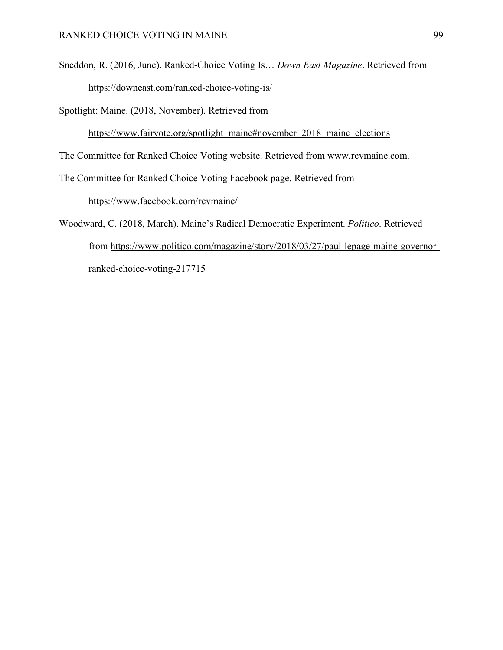Sneddon, R. (2016, June). Ranked-Choice Voting Is… *Down East Magazine*. Retrieved from https://downeast.com/ranked-choice-voting-is/

Spotlight: Maine. (2018, November). Retrieved from

https://www.fairvote.org/spotlight\_maine#november\_2018\_maine\_elections

The Committee for Ranked Choice Voting website. Retrieved from www.rcvmaine.com.

The Committee for Ranked Choice Voting Facebook page. Retrieved from

https://www.facebook.com/rcvmaine/

Woodward, C. (2018, March). Maine's Radical Democratic Experiment. *Politico*. Retrieved from https://www.politico.com/magazine/story/2018/03/27/paul-lepage-maine-governorranked-choice-voting-217715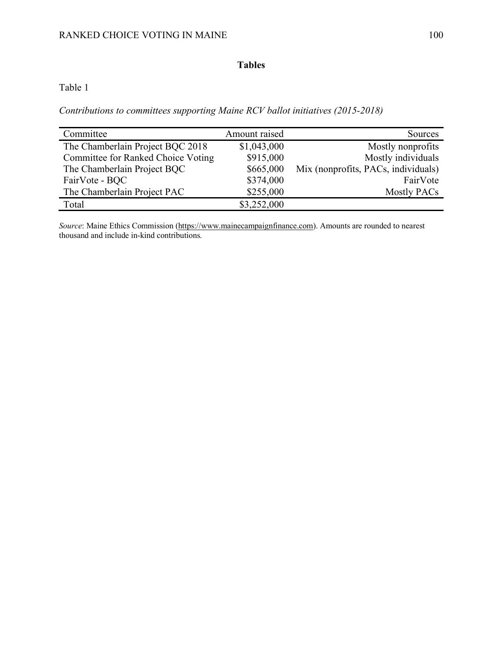# **Tables**

# Table 1

*Contributions to committees supporting Maine RCV ballot initiatives (2015-2018)*

| Committee                          | Amount raised | Sources                             |
|------------------------------------|---------------|-------------------------------------|
| The Chamberlain Project BQC 2018   | \$1,043,000   | Mostly nonprofits                   |
| Committee for Ranked Choice Voting | \$915,000     | Mostly individuals                  |
| The Chamberlain Project BQC        | \$665,000     | Mix (nonprofits, PACs, individuals) |
| FairVote - BQC                     | \$374,000     | FairVote                            |
| The Chamberlain Project PAC        | \$255,000     | <b>Mostly PACs</b>                  |
| Total                              | \$3,252,000   |                                     |

*Source*: Maine Ethics Commission (https://www.mainecampaignfinance.com). Amounts are rounded to nearest thousand and include in-kind contributions.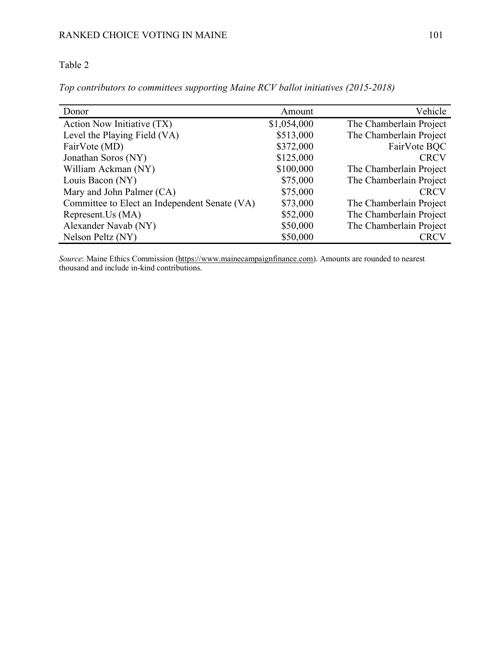## Table 2

*Top contributors to committees supporting Maine RCV ballot initiatives (2015-2018)*

| Donor                                         | Amount      | Vehicle                 |
|-----------------------------------------------|-------------|-------------------------|
| Action Now Initiative (TX)                    | \$1,054,000 | The Chamberlain Project |
| Level the Playing Field (VA)                  | \$513,000   | The Chamberlain Project |
| FairVote (MD)                                 | \$372,000   | FairVote BQC            |
| Jonathan Soros (NY)                           | \$125,000   | <b>CRCV</b>             |
| William Ackman (NY)                           | \$100,000   | The Chamberlain Project |
| Louis Bacon (NY)                              | \$75,000    | The Chamberlain Project |
| Mary and John Palmer (CA)                     | \$75,000    | <b>CRCV</b>             |
| Committee to Elect an Independent Senate (VA) | \$73,000    | The Chamberlain Project |
| Represent.Us (MA)                             | \$52,000    | The Chamberlain Project |
| Alexander Navab (NY)                          | \$50,000    | The Chamberlain Project |
| Nelson Peltz (NY)                             | \$50,000    | <b>CRCV</b>             |

*Source*: Maine Ethics Commission (https://www.mainecampaignfinance.com). Amounts are rounded to nearest thousand and include in-kind contributions.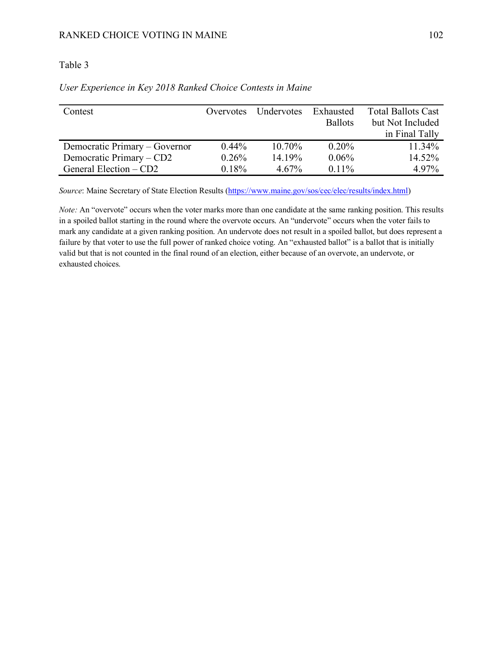## Table 3

| Contest                       | Overvotes | Undervotes | Exhausted      | <b>Total Ballots Cast</b> |
|-------------------------------|-----------|------------|----------------|---------------------------|
|                               |           |            | <b>Ballots</b> | but Not Included          |
|                               |           |            |                | in Final Tally            |
| Democratic Primary – Governor | $0.44\%$  | 10.70%     | $0.20\%$       | 11.34%                    |
| Democratic Primary – CD2      | 0.26%     | 14.19%     | 0.06%          | 14.52%                    |
| General Election – CD2        | 0.18%     | $4.67\%$   | $0.11\%$       | 4.97%                     |

## *User Experience in Key 2018 Ranked Choice Contests in Maine*

*Source*: Maine Secretary of State Election Results (https://www.maine.gov/sos/cec/elec/results/index.html)

*Note:* An "overvote" occurs when the voter marks more than one candidate at the same ranking position. This results in a spoiled ballot starting in the round where the overvote occurs. An "undervote" occurs when the voter fails to mark any candidate at a given ranking position. An undervote does not result in a spoiled ballot, but does represent a failure by that voter to use the full power of ranked choice voting. An "exhausted ballot" is a ballot that is initially valid but that is not counted in the final round of an election, either because of an overvote, an undervote, or exhausted choices.